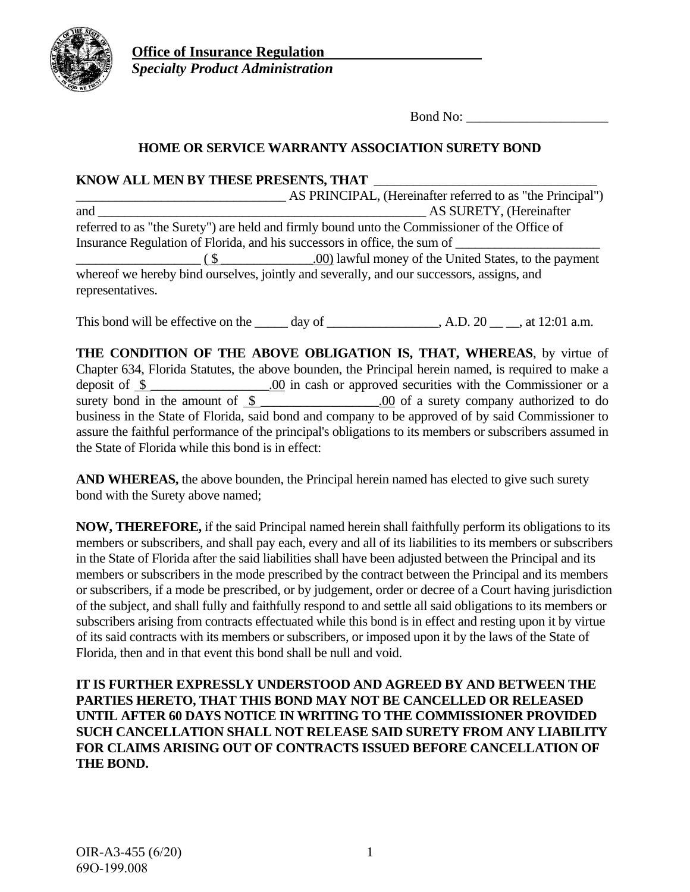

**Office of Insurance Regulation**  *Specialty Product Administration* 

Bond No:

## **HOME OR SERVICE WARRANTY ASSOCIATION SURETY BOND**

**KNOW ALL MEN BY THESE PRESENTS, THAT** \_\_\_\_\_\_\_\_\_\_\_\_\_\_\_\_\_\_\_\_\_\_\_\_\_\_\_\_\_\_\_\_\_\_ \_\_\_\_\_\_\_\_\_\_\_\_\_\_\_\_\_\_\_\_\_\_\_\_\_\_\_\_\_\_\_\_ AS PRINCIPAL, (Hereinafter referred to as "the Principal") and  $\overline{A}$ S SURETY, (Hereinafter referred to as "the Surety") are held and firmly bound unto the Commissioner of the Office of Insurance Regulation of Florida, and his successors in office, the sum of  $\frac{1}{\sqrt{1-\frac{1}{\sqrt{1-\frac{1}{\sqrt{1-\frac{1}{\sqrt{1-\frac{1}{\sqrt{1-\frac{1}{\sqrt{1-\frac{1}{\sqrt{1-\frac{1}{\sqrt{1-\frac{1}{\sqrt{1-\frac{1}{\sqrt{1-\frac{1}{\sqrt{1-\frac{1}{\sqrt{1-\frac{1}{\sqrt{1-\frac{1}{\sqrt{1-\frac{1}{\sqrt{1-\frac{1}{\sqrt{1-\frac{1}{\sqrt{1-\frac{1}{\sqrt{1-\frac{1}{\sqrt{1-\frac{1}{\sqrt{1-\frac{1}{\sqrt{1-\frac{1}{\sqrt{1-\frac{1}{\sqrt{1-\frac{1}{\sqrt{1-\frac{1$ whereof we hereby bind ourselves, jointly and severally, and our successors, assigns, and representatives.

This bond will be effective on the  $\_\_\_\_$  day of  $\_\_\_\_\_\_$ , A.D. 20  $\_\_\_\_\_$  at 12:01 a.m.

**THE CONDITION OF THE ABOVE OBLIGATION IS, THAT, WHEREAS**, by virtue of Chapter 634, Florida Statutes, the above bounden, the Principal herein named, is required to make a deposit of \$ \_\_\_\_\_\_\_\_\_\_\_\_\_\_\_\_\_\_.00 in cash or approved securities with the Commissioner or a surety bond in the amount of  $\frac{\$}{\$}$  . 00 of a surety company authorized to do business in the State of Florida, said bond and company to be approved of by said Commissioner to assure the faithful performance of the principal's obligations to its members or subscribers assumed in the State of Florida while this bond is in effect:

**AND WHEREAS,** the above bounden, the Principal herein named has elected to give such surety bond with the Surety above named;

**NOW, THEREFORE,** if the said Principal named herein shall faithfully perform its obligations to its members or subscribers, and shall pay each, every and all of its liabilities to its members or subscribers in the State of Florida after the said liabilities shall have been adjusted between the Principal and its members or subscribers in the mode prescribed by the contract between the Principal and its members or subscribers, if a mode be prescribed, or by judgement, order or decree of a Court having jurisdiction of the subject, and shall fully and faithfully respond to and settle all said obligations to its members or subscribers arising from contracts effectuated while this bond is in effect and resting upon it by virtue of its said contracts with its members or subscribers, or imposed upon it by the laws of the State of Florida, then and in that event this bond shall be null and void.

**IT IS FURTHER EXPRESSLY UNDERSTOOD AND AGREED BY AND BETWEEN THE PARTIES HERETO, THAT THIS BOND MAY NOT BE CANCELLED OR RELEASED UNTIL AFTER 60 DAYS NOTICE IN WRITING TO THE COMMISSIONER PROVIDED SUCH CANCELLATION SHALL NOT RELEASE SAID SURETY FROM ANY LIABILITY FOR CLAIMS ARISING OUT OF CONTRACTS ISSUED BEFORE CANCELLATION OF THE BOND.**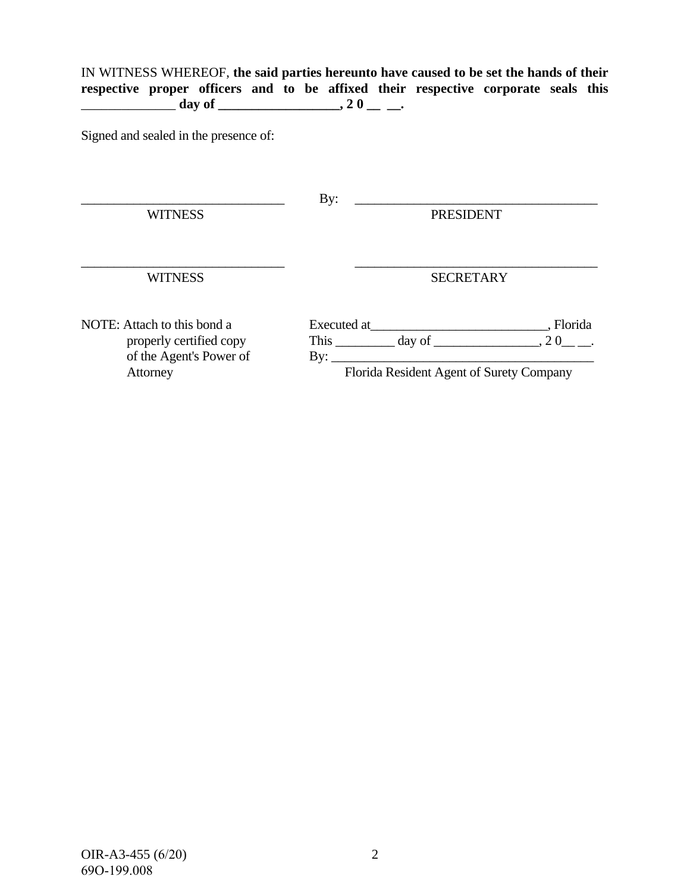IN WITNESS WHEREOF, **the said parties hereunto have caused to be set the hands of their respective proper officers and to be affixed their respective corporate seals this**   $\frac{1}{\sqrt{2}} \frac{1}{\sqrt{2}} \cdot \frac{1}{\sqrt{2}} \cdot \frac{1}{\sqrt{2}} \cdot \frac{1}{\sqrt{2}} \cdot \frac{1}{\sqrt{2}} \cdot \frac{1}{\sqrt{2}} \cdot \frac{1}{\sqrt{2}} \cdot \frac{1}{\sqrt{2}} \cdot \frac{1}{\sqrt{2}} \cdot \frac{1}{\sqrt{2}} \cdot \frac{1}{\sqrt{2}} \cdot \frac{1}{\sqrt{2}} \cdot \frac{1}{\sqrt{2}} \cdot \frac{1}{\sqrt{2}} \cdot \frac{1}{\sqrt{2}} \cdot \frac{1}{\sqrt{2}} \cdot \frac{1}{\sqrt{2}} \cdot \frac{1}{\$ 

Signed and sealed in the presence of:

| <b>WITNESS</b>                                                                                | By:<br><b>PRESIDENT</b>                                                                                              |                       |
|-----------------------------------------------------------------------------------------------|----------------------------------------------------------------------------------------------------------------------|-----------------------|
| <b>WITNESS</b>                                                                                | <b>SECRETARY</b>                                                                                                     |                       |
| NOTE: Attach to this bond a<br>properly certified copy<br>of the Agent's Power of<br>Attorney | Executed at<br>This $\_\_\_\_\_$ day of $\_\_\_\_\_\_\_\_$<br>$\rm{By:}$<br>Florida Resident Agent of Surety Company | , Florida<br>$, 20$ . |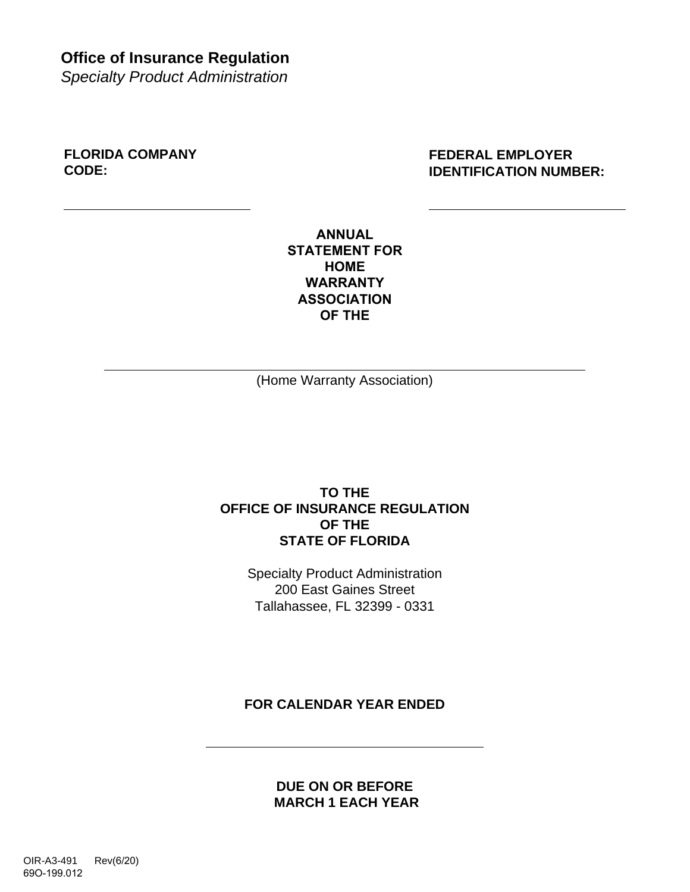**Office of Insurance Regulation** 

*Specialty Product Administration*

**FLORIDA COMPANY CODE:**

**FEDERAL EMPLOYER IDENTIFICATION NUMBER:**

**ANNUAL STATEMENT FOR HOME WARRANTY ASSOCIATION OF THE**

(Home Warranty Association)

#### **TO THE OFFICE OF INSURANCE REGULATION OF THE STATE OF FLORIDA**

Specialty Product Administration 200 East Gaines Street Tallahassee, FL 32399 - 0331

**FOR CALENDAR YEAR ENDED**

**DUE ON OR BEFORE MARCH 1 EACH YEAR**

OIR-A3-491 Rev(6/20) 69O-199.012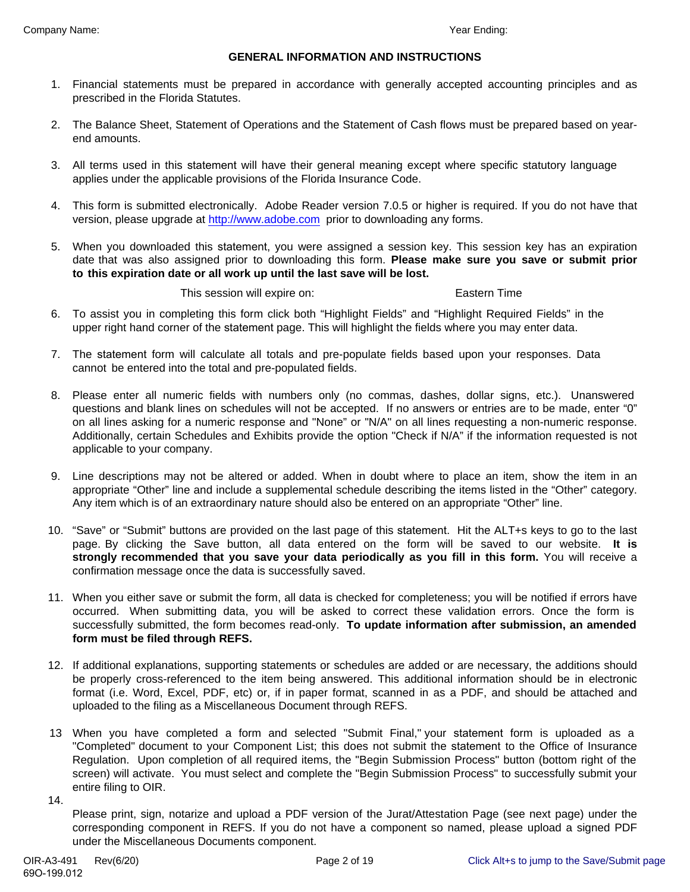#### **GENERAL INFORMATION AND INSTRUCTIONS**

- Financial statements must be prepared in accordance with generally accepted accounting principles and as 1. prescribed in the Florida Statutes.
- The Balance Sheet, Statement of Operations and the Statement of Cash flows must be prepared based on year-2. end amounts.
- All terms used in this statement will have their general meaning except where specific statutory language 3. applies under the applicable provisions of the Florida Insurance Code.
- This form is submitted electronically. Adobe Reader version 7.0.5 or higher is required. If you do not have that 4. version, please upgrade at http://www.adobe.com prior to downloading any forms.
- When you downloaded this statement, you were assigned a session key. This session key has an expiration 5. date that was also assigned prior to downloading this form. **Please make sure you save or submit prior to this expiration date or all work up until the last save will be lost.**

This session will expire on: Eastern Time

- To assist you in completing this form click both "Highlight Fields" and "Highlight Required Fields" in the 6. upper right hand corner of the statement page. This will highlight the fields where you may enter data.
- The statement form will calculate all totals and pre-populate fields based upon your responses. Data 7. cannot be entered into the total and pre-populated fields.
- Please enter all numeric fields with numbers only (no commas, dashes, dollar signs, etc.). Unanswered 8. questions and blank lines on schedules will not be accepted. If no answers or entries are to be made, enter "0" on all lines asking for a numeric response and "None" or "N/A" on all lines requesting a non-numeric response. Additionally, certain Schedules and Exhibits provide the option "Check if N/A" if the information requested is not applicable to your company.
- Line descriptions may not be altered or added. When in doubt where to place an item, show the item in an 9. appropriate "Other" line and include a supplemental schedule describing the items listed in the "Other" category. Any item which is of an extraordinary nature should also be entered on an appropriate "Other" line.
- "Save" or "Submit" buttons are provided on the last page of this statement. Hit the ALT+s keys to go to the last 10. page. By clicking the Save button, all data entered on the form will be saved to our website. **It is strongly recommended that you save your data periodically as you fill in this form.** You will receive a confirmation message once the data is successfully saved.
- 11. When you either save or submit the form, all data is checked for completeness; you will be notified if errors have occurred. When submitting data, you will be asked to correct these validation errors. Once the form is successfully submitted, the form becomes read-only. **To update information after submission, an amended form must be filed through REFS.**
- 12. If additional explanations, supporting statements or schedules are added or are necessary, the additions should be properly cross-referenced to the item being answered. This additional information should be in electronic format (i.e. Word, Excel, PDF, etc) or, if in paper format, scanned in as a PDF, and should be attached and uploaded to the filing as a Miscellaneous Document through REFS.
- When you have completed a form and selected "Submit Final," your statement form is uploaded as a 13 "Completed" document to your Component List; this does not submit the statement to the Office of Insurance Regulation. Upon completion of all required items, the "Begin Submission Process" button (bottom right of the screen) will activate. You must select and complete the "Begin Submission Process" to successfully submit your entire filing to OIR.
- 14.

Please print, sign, notarize and upload a PDF version of the Jurat/Attestation Page (see next page) under the corresponding component in REFS. If you do not have a component so named, please upload a signed PDF under the Miscellaneous Documents component.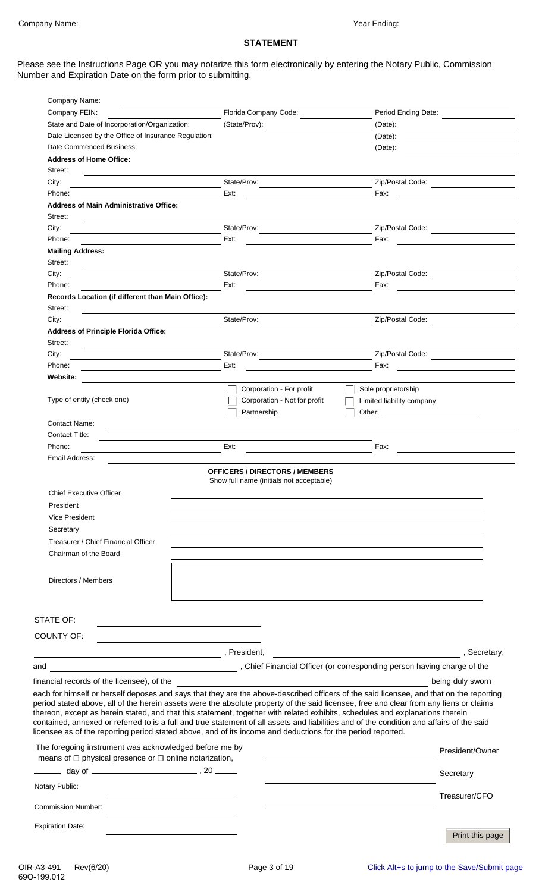# **STATEMENT**

Please see the Instructions Page OR you may notarize this form electronically by entering the Notary Public, Commission Number and Expiration Date on the form prior to submitting.

| Company Name:                                                                                                                                                                                                                                                                                                                                                                                                                                                                                                                                                                                                                                                                                                                                                                                                                                                                                                                             |                              |                                                                                                                                    |
|-------------------------------------------------------------------------------------------------------------------------------------------------------------------------------------------------------------------------------------------------------------------------------------------------------------------------------------------------------------------------------------------------------------------------------------------------------------------------------------------------------------------------------------------------------------------------------------------------------------------------------------------------------------------------------------------------------------------------------------------------------------------------------------------------------------------------------------------------------------------------------------------------------------------------------------------|------------------------------|------------------------------------------------------------------------------------------------------------------------------------|
| Company FEIN:                                                                                                                                                                                                                                                                                                                                                                                                                                                                                                                                                                                                                                                                                                                                                                                                                                                                                                                             | Florida Company Code:        | Period Ending Date:                                                                                                                |
| State and Date of Incorporation/Organization:                                                                                                                                                                                                                                                                                                                                                                                                                                                                                                                                                                                                                                                                                                                                                                                                                                                                                             | (State/Prov):                | $(Date)$ :<br><u> 1980 - Jan Stein Stein Stein Stein Stein Stein Stein Stein Stein Stein Stein Stein Stein Stein Stein Stein S</u> |
| Date Licensed by the Office of Insurance Regulation:                                                                                                                                                                                                                                                                                                                                                                                                                                                                                                                                                                                                                                                                                                                                                                                                                                                                                      |                              | (Date):                                                                                                                            |
| Date Commenced Business:                                                                                                                                                                                                                                                                                                                                                                                                                                                                                                                                                                                                                                                                                                                                                                                                                                                                                                                  |                              | (Date):                                                                                                                            |
| <b>Address of Home Office:</b>                                                                                                                                                                                                                                                                                                                                                                                                                                                                                                                                                                                                                                                                                                                                                                                                                                                                                                            |                              |                                                                                                                                    |
| Street:                                                                                                                                                                                                                                                                                                                                                                                                                                                                                                                                                                                                                                                                                                                                                                                                                                                                                                                                   |                              |                                                                                                                                    |
| City:                                                                                                                                                                                                                                                                                                                                                                                                                                                                                                                                                                                                                                                                                                                                                                                                                                                                                                                                     | State/Prov:                  | Zip/Postal Code:                                                                                                                   |
| Phone:                                                                                                                                                                                                                                                                                                                                                                                                                                                                                                                                                                                                                                                                                                                                                                                                                                                                                                                                    | Ext:                         | Fax:                                                                                                                               |
| <b>Address of Main Administrative Office:</b>                                                                                                                                                                                                                                                                                                                                                                                                                                                                                                                                                                                                                                                                                                                                                                                                                                                                                             |                              |                                                                                                                                    |
| Street:                                                                                                                                                                                                                                                                                                                                                                                                                                                                                                                                                                                                                                                                                                                                                                                                                                                                                                                                   |                              |                                                                                                                                    |
| City:                                                                                                                                                                                                                                                                                                                                                                                                                                                                                                                                                                                                                                                                                                                                                                                                                                                                                                                                     | State/Prov:                  | Zip/Postal Code:                                                                                                                   |
| Phone:                                                                                                                                                                                                                                                                                                                                                                                                                                                                                                                                                                                                                                                                                                                                                                                                                                                                                                                                    | Ext:                         | Fax:                                                                                                                               |
| <b>Mailing Address:</b>                                                                                                                                                                                                                                                                                                                                                                                                                                                                                                                                                                                                                                                                                                                                                                                                                                                                                                                   |                              |                                                                                                                                    |
| Street:                                                                                                                                                                                                                                                                                                                                                                                                                                                                                                                                                                                                                                                                                                                                                                                                                                                                                                                                   |                              |                                                                                                                                    |
| City:                                                                                                                                                                                                                                                                                                                                                                                                                                                                                                                                                                                                                                                                                                                                                                                                                                                                                                                                     | State/Prov:                  | Zip/Postal Code:                                                                                                                   |
| Phone:                                                                                                                                                                                                                                                                                                                                                                                                                                                                                                                                                                                                                                                                                                                                                                                                                                                                                                                                    | Ext:                         | Fax:                                                                                                                               |
| Records Location (if different than Main Office):                                                                                                                                                                                                                                                                                                                                                                                                                                                                                                                                                                                                                                                                                                                                                                                                                                                                                         |                              |                                                                                                                                    |
| Street:<br>the control of the control of the control of the control of the control of the control of                                                                                                                                                                                                                                                                                                                                                                                                                                                                                                                                                                                                                                                                                                                                                                                                                                      |                              |                                                                                                                                    |
| City:                                                                                                                                                                                                                                                                                                                                                                                                                                                                                                                                                                                                                                                                                                                                                                                                                                                                                                                                     | State/Prov:                  | Zip/Postal Code:                                                                                                                   |
| <b>Address of Principle Florida Office:</b>                                                                                                                                                                                                                                                                                                                                                                                                                                                                                                                                                                                                                                                                                                                                                                                                                                                                                               |                              |                                                                                                                                    |
| Street:<br>the control of the control of the control of the control of the control of                                                                                                                                                                                                                                                                                                                                                                                                                                                                                                                                                                                                                                                                                                                                                                                                                                                     |                              |                                                                                                                                    |
| City:                                                                                                                                                                                                                                                                                                                                                                                                                                                                                                                                                                                                                                                                                                                                                                                                                                                                                                                                     | State/Prov:                  | Zip/Postal Code:                                                                                                                   |
| Phone:                                                                                                                                                                                                                                                                                                                                                                                                                                                                                                                                                                                                                                                                                                                                                                                                                                                                                                                                    | Ext:                         | Fax:                                                                                                                               |
| <b>Website:</b>                                                                                                                                                                                                                                                                                                                                                                                                                                                                                                                                                                                                                                                                                                                                                                                                                                                                                                                           |                              |                                                                                                                                    |
|                                                                                                                                                                                                                                                                                                                                                                                                                                                                                                                                                                                                                                                                                                                                                                                                                                                                                                                                           | Corporation - For profit     | Sole proprietorship                                                                                                                |
| Type of entity (check one)                                                                                                                                                                                                                                                                                                                                                                                                                                                                                                                                                                                                                                                                                                                                                                                                                                                                                                                | Corporation - Not for profit | Limited liability company                                                                                                          |
|                                                                                                                                                                                                                                                                                                                                                                                                                                                                                                                                                                                                                                                                                                                                                                                                                                                                                                                                           | Partnership                  |                                                                                                                                    |
| Contact Name:<br><u> 1989 - Johann Barbara, martin amerikan basar dan berasal dalam basa dalam basar dalam basar dalam basar dalam</u>                                                                                                                                                                                                                                                                                                                                                                                                                                                                                                                                                                                                                                                                                                                                                                                                    |                              |                                                                                                                                    |
| Contact Title:                                                                                                                                                                                                                                                                                                                                                                                                                                                                                                                                                                                                                                                                                                                                                                                                                                                                                                                            |                              |                                                                                                                                    |
| Phone:                                                                                                                                                                                                                                                                                                                                                                                                                                                                                                                                                                                                                                                                                                                                                                                                                                                                                                                                    | Ext:                         | Fax:                                                                                                                               |
| Email Address:                                                                                                                                                                                                                                                                                                                                                                                                                                                                                                                                                                                                                                                                                                                                                                                                                                                                                                                            |                              |                                                                                                                                    |
| President<br>Vice President<br>Secretary                                                                                                                                                                                                                                                                                                                                                                                                                                                                                                                                                                                                                                                                                                                                                                                                                                                                                                  |                              |                                                                                                                                    |
| Treasurer / Chief Financial Officer<br>Chairman of the Board                                                                                                                                                                                                                                                                                                                                                                                                                                                                                                                                                                                                                                                                                                                                                                                                                                                                              |                              |                                                                                                                                    |
| Directors / Members                                                                                                                                                                                                                                                                                                                                                                                                                                                                                                                                                                                                                                                                                                                                                                                                                                                                                                                       |                              |                                                                                                                                    |
|                                                                                                                                                                                                                                                                                                                                                                                                                                                                                                                                                                                                                                                                                                                                                                                                                                                                                                                                           |                              |                                                                                                                                    |
|                                                                                                                                                                                                                                                                                                                                                                                                                                                                                                                                                                                                                                                                                                                                                                                                                                                                                                                                           |                              |                                                                                                                                    |
| STATE OF:                                                                                                                                                                                                                                                                                                                                                                                                                                                                                                                                                                                                                                                                                                                                                                                                                                                                                                                                 |                              |                                                                                                                                    |
| COUNTY OF:                                                                                                                                                                                                                                                                                                                                                                                                                                                                                                                                                                                                                                                                                                                                                                                                                                                                                                                                |                              |                                                                                                                                    |
|                                                                                                                                                                                                                                                                                                                                                                                                                                                                                                                                                                                                                                                                                                                                                                                                                                                                                                                                           |                              |                                                                                                                                    |
|                                                                                                                                                                                                                                                                                                                                                                                                                                                                                                                                                                                                                                                                                                                                                                                                                                                                                                                                           |                              |                                                                                                                                    |
|                                                                                                                                                                                                                                                                                                                                                                                                                                                                                                                                                                                                                                                                                                                                                                                                                                                                                                                                           |                              |                                                                                                                                    |
| financial records of the licensee), of the                                                                                                                                                                                                                                                                                                                                                                                                                                                                                                                                                                                                                                                                                                                                                                                                                                                                                                |                              | being duly sworn                                                                                                                   |
|                                                                                                                                                                                                                                                                                                                                                                                                                                                                                                                                                                                                                                                                                                                                                                                                                                                                                                                                           |                              |                                                                                                                                    |
|                                                                                                                                                                                                                                                                                                                                                                                                                                                                                                                                                                                                                                                                                                                                                                                                                                                                                                                                           |                              |                                                                                                                                    |
|                                                                                                                                                                                                                                                                                                                                                                                                                                                                                                                                                                                                                                                                                                                                                                                                                                                                                                                                           |                              |                                                                                                                                    |
|                                                                                                                                                                                                                                                                                                                                                                                                                                                                                                                                                                                                                                                                                                                                                                                                                                                                                                                                           |                              | Secretary                                                                                                                          |
| each for himself or herself deposes and says that they are the above-described officers of the said licensee, and that on the reporting<br>period stated above, all of the herein assets were the absolute property of the said licensee, free and clear from any liens or claims<br>thereon, except as herein stated, and that this statement, together with related exhibits, schedules and explanations therein<br>contained, annexed or referred to is a full and true statement of all assets and liabilities and of the condition and affairs of the said<br>licensee as of the reporting period stated above, and of its income and deductions for the period reported.<br>The foregoing instrument was acknowledged before me by<br>means of $\Box$ physical presence or $\Box$ online notarization,<br>$\frac{1}{2}$ day of $\frac{1}{2}$ day of $\frac{1}{2}$ , 20 $\frac{1}{2}$<br>Notary Public:<br><b>Commission Number:</b> |                              | President/Owner<br>Treasurer/CFO                                                                                                   |
| <b>Expiration Date:</b>                                                                                                                                                                                                                                                                                                                                                                                                                                                                                                                                                                                                                                                                                                                                                                                                                                                                                                                   |                              |                                                                                                                                    |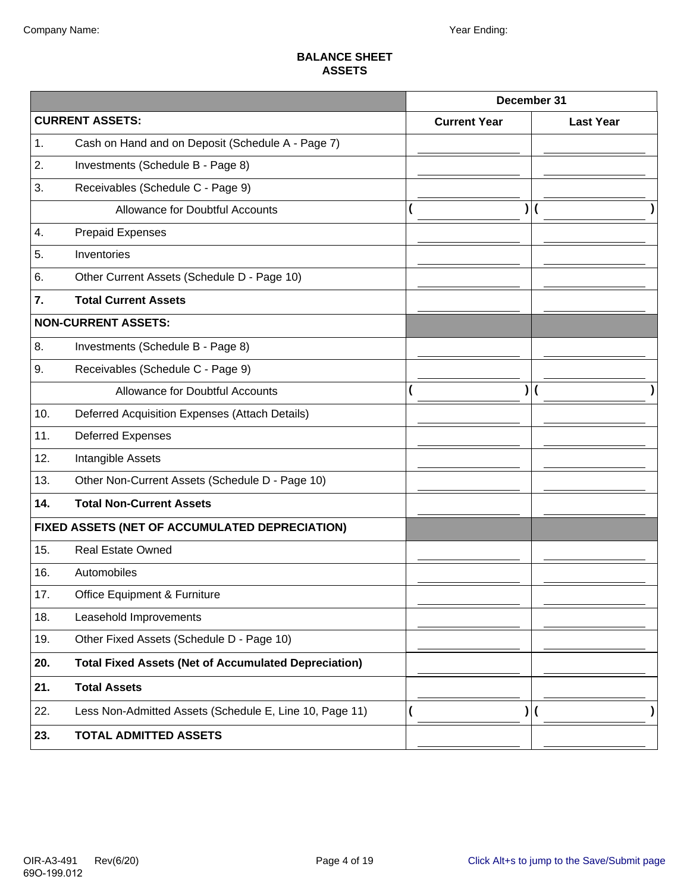#### **BALANCE SHEET ASSETS**

|     |                                                             | December 31         |                                 |                  |
|-----|-------------------------------------------------------------|---------------------|---------------------------------|------------------|
|     | <b>CURRENT ASSETS:</b>                                      | <b>Current Year</b> |                                 | <b>Last Year</b> |
| 1.  | Cash on Hand and on Deposit (Schedule A - Page 7)           |                     |                                 |                  |
| 2.  | Investments (Schedule B - Page 8)                           |                     |                                 |                  |
| 3.  | Receivables (Schedule C - Page 9)                           |                     |                                 |                  |
|     | Allowance for Doubtful Accounts                             |                     |                                 |                  |
| 4.  | <b>Prepaid Expenses</b>                                     |                     |                                 |                  |
| 5.  | Inventories                                                 |                     |                                 |                  |
| 6.  | Other Current Assets (Schedule D - Page 10)                 |                     |                                 |                  |
| 7.  | <b>Total Current Assets</b>                                 |                     |                                 |                  |
|     | <b>NON-CURRENT ASSETS:</b>                                  |                     |                                 |                  |
| 8.  | Investments (Schedule B - Page 8)                           |                     |                                 |                  |
| 9.  | Receivables (Schedule C - Page 9)                           |                     |                                 |                  |
|     | <b>Allowance for Doubtful Accounts</b>                      |                     |                                 |                  |
| 10. | Deferred Acquisition Expenses (Attach Details)              |                     |                                 |                  |
| 11. | <b>Deferred Expenses</b>                                    |                     |                                 |                  |
| 12. | Intangible Assets                                           |                     |                                 |                  |
| 13. | Other Non-Current Assets (Schedule D - Page 10)             |                     |                                 |                  |
| 14. | <b>Total Non-Current Assets</b>                             |                     |                                 |                  |
|     | FIXED ASSETS (NET OF ACCUMULATED DEPRECIATION)              |                     |                                 |                  |
| 15. | <b>Real Estate Owned</b>                                    |                     |                                 |                  |
| 16. | Automobiles                                                 |                     |                                 |                  |
| 17. | Office Equipment & Furniture                                |                     |                                 |                  |
| 18. | Leasehold Improvements                                      |                     |                                 |                  |
| 19. | Other Fixed Assets (Schedule D - Page 10)                   |                     |                                 |                  |
| 20. | <b>Total Fixed Assets (Net of Accumulated Depreciation)</b> |                     |                                 |                  |
| 21. | <b>Total Assets</b>                                         |                     |                                 |                  |
| 22. | Less Non-Admitted Assets (Schedule E, Line 10, Page 11)     |                     | )  <br>$\overline{\mathcal{L}}$ |                  |
| 23. | <b>TOTAL ADMITTED ASSETS</b>                                |                     |                                 |                  |
|     |                                                             |                     |                                 |                  |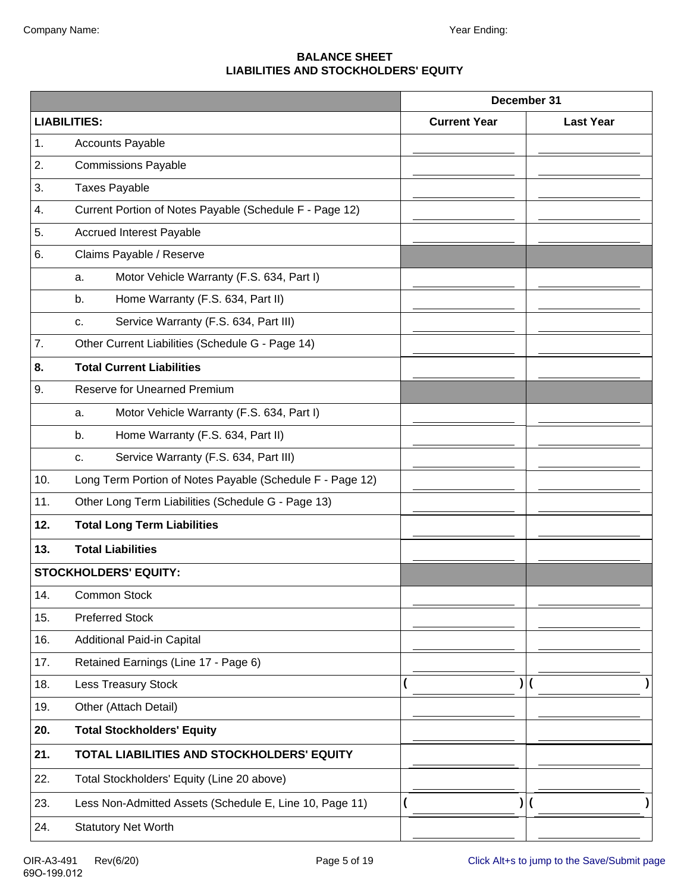#### **BALANCE SHEET LIABILITIES AND STOCKHOLDERS' EQUITY**

|     |                                                           |                     | December 31      |
|-----|-----------------------------------------------------------|---------------------|------------------|
|     | <b>LIABILITIES:</b>                                       | <b>Current Year</b> | <b>Last Year</b> |
| 1.  | <b>Accounts Payable</b>                                   |                     |                  |
| 2.  | <b>Commissions Payable</b>                                |                     |                  |
| 3.  | <b>Taxes Payable</b>                                      |                     |                  |
| 4.  | Current Portion of Notes Payable (Schedule F - Page 12)   |                     |                  |
| 5.  | <b>Accrued Interest Payable</b>                           |                     |                  |
| 6.  | Claims Payable / Reserve                                  |                     |                  |
|     | Motor Vehicle Warranty (F.S. 634, Part I)<br>a.           |                     |                  |
|     | Home Warranty (F.S. 634, Part II)<br>b.                   |                     |                  |
|     | Service Warranty (F.S. 634, Part III)<br>c.               |                     |                  |
| 7.  | Other Current Liabilities (Schedule G - Page 14)          |                     |                  |
| 8.  | <b>Total Current Liabilities</b>                          |                     |                  |
| 9.  | <b>Reserve for Unearned Premium</b>                       |                     |                  |
|     | Motor Vehicle Warranty (F.S. 634, Part I)<br>a.           |                     |                  |
|     | Home Warranty (F.S. 634, Part II)<br>b.                   |                     |                  |
|     | Service Warranty (F.S. 634, Part III)<br>c.               |                     |                  |
| 10. | Long Term Portion of Notes Payable (Schedule F - Page 12) |                     |                  |
| 11. | Other Long Term Liabilities (Schedule G - Page 13)        |                     |                  |
| 12. | <b>Total Long Term Liabilities</b>                        |                     |                  |
| 13. | <b>Total Liabilities</b>                                  |                     |                  |
|     | <b>STOCKHOLDERS' EQUITY:</b>                              |                     |                  |
| 14. | Common Stock                                              |                     |                  |
| 15. | <b>Preferred Stock</b>                                    |                     |                  |
| 16. | Additional Paid-in Capital                                |                     |                  |
| 17. | Retained Earnings (Line 17 - Page 6)                      |                     |                  |
| 18. | <b>Less Treasury Stock</b>                                |                     |                  |
| 19. | Other (Attach Detail)                                     |                     |                  |
| 20. | <b>Total Stockholders' Equity</b>                         |                     |                  |
| 21. | TOTAL LIABILITIES AND STOCKHOLDERS' EQUITY                |                     |                  |
| 22. | Total Stockholders' Equity (Line 20 above)                |                     |                  |
| 23. | Less Non-Admitted Assets (Schedule E, Line 10, Page 11)   |                     |                  |
| 24. | <b>Statutory Net Worth</b>                                |                     |                  |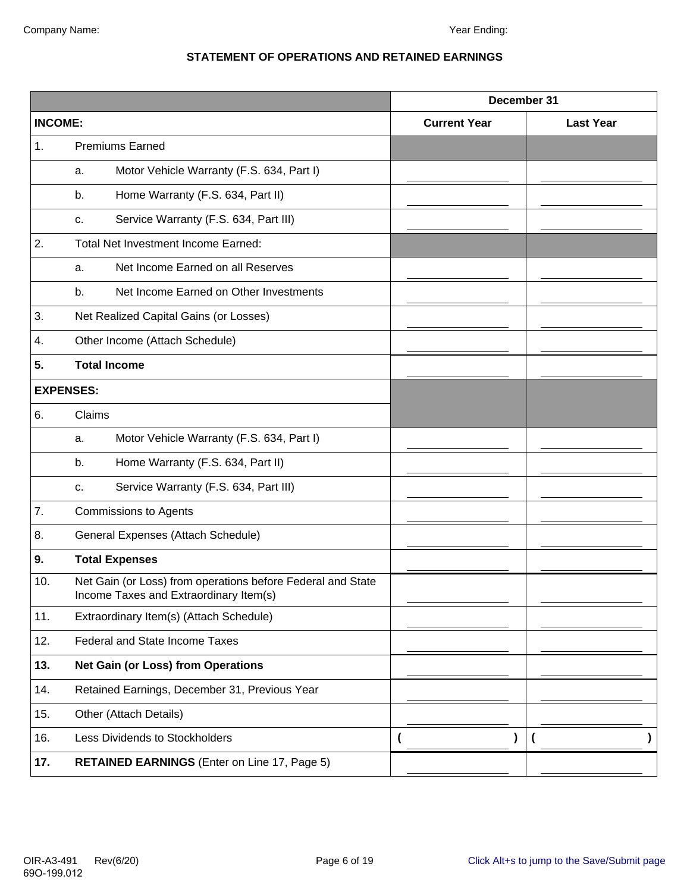#### **STATEMENT OF OPERATIONS AND RETAINED EARNINGS**

|                  |                                                                                                       |                     | December 31      |
|------------------|-------------------------------------------------------------------------------------------------------|---------------------|------------------|
| <b>INCOME:</b>   |                                                                                                       | <b>Current Year</b> | <b>Last Year</b> |
| 1.               | <b>Premiums Earned</b>                                                                                |                     |                  |
|                  | Motor Vehicle Warranty (F.S. 634, Part I)<br>a.                                                       |                     |                  |
|                  | Home Warranty (F.S. 634, Part II)<br>b.                                                               |                     |                  |
|                  | Service Warranty (F.S. 634, Part III)<br>c.                                                           |                     |                  |
| 2.               | <b>Total Net Investment Income Earned:</b>                                                            |                     |                  |
|                  | Net Income Earned on all Reserves<br>а.                                                               |                     |                  |
|                  | Net Income Earned on Other Investments<br>b.                                                          |                     |                  |
| 3.               | Net Realized Capital Gains (or Losses)                                                                |                     |                  |
| 4.               | Other Income (Attach Schedule)                                                                        |                     |                  |
| 5.               | <b>Total Income</b>                                                                                   |                     |                  |
| <b>EXPENSES:</b> |                                                                                                       |                     |                  |
| 6.               | Claims                                                                                                |                     |                  |
|                  | Motor Vehicle Warranty (F.S. 634, Part I)<br>a.                                                       |                     |                  |
|                  | Home Warranty (F.S. 634, Part II)<br>b.                                                               |                     |                  |
|                  | Service Warranty (F.S. 634, Part III)<br>c.                                                           |                     |                  |
| 7.               | <b>Commissions to Agents</b>                                                                          |                     |                  |
| 8.               | General Expenses (Attach Schedule)                                                                    |                     |                  |
| 9.               | <b>Total Expenses</b>                                                                                 |                     |                  |
| 10.              | Net Gain (or Loss) from operations before Federal and State<br>Income Taxes and Extraordinary Item(s) |                     |                  |
| 11.              | Extraordinary Item(s) (Attach Schedule)                                                               |                     |                  |
| 12.              | <b>Federal and State Income Taxes</b>                                                                 |                     |                  |
| 13.              | <b>Net Gain (or Loss) from Operations</b>                                                             |                     |                  |
| 14.              | Retained Earnings, December 31, Previous Year                                                         |                     |                  |
| 15.              | Other (Attach Details)                                                                                |                     |                  |
| 16.              | Less Dividends to Stockholders                                                                        |                     |                  |
| 17.              | <b>RETAINED EARNINGS</b> (Enter on Line 17, Page 5)                                                   |                     |                  |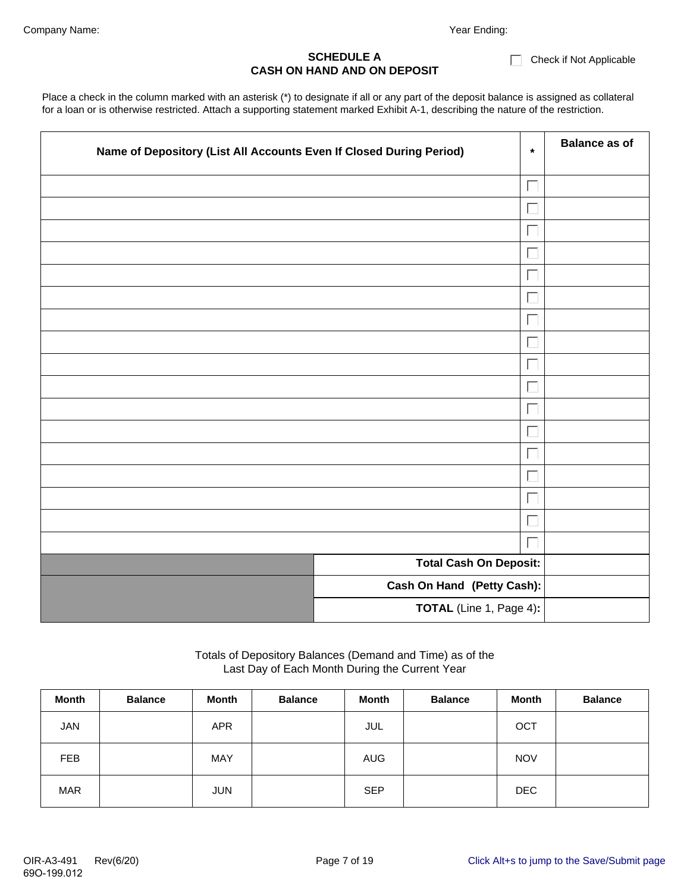#### $\Box$  Check if Not Applicable

#### **SCHEDULE A CASH ON HAND AND ON DEPOSIT**

Place a check in the column marked with an asterisk (\*) to designate if all or any part of the deposit balance is assigned as collateral for a loan or is otherwise restricted. Attach a supporting statement marked Exhibit A-1, describing the nature of the restriction.

| Name of Depository (List All Accounts Even If Closed During Period) | $\star$                       | <b>Balance as of</b> |
|---------------------------------------------------------------------|-------------------------------|----------------------|
|                                                                     | Г                             |                      |
|                                                                     | Г                             |                      |
|                                                                     | ⊏                             |                      |
|                                                                     | i.                            |                      |
|                                                                     | $\Box$                        |                      |
|                                                                     | $\Box$                        |                      |
|                                                                     | Г                             |                      |
|                                                                     | Г                             |                      |
|                                                                     | L                             |                      |
|                                                                     | Г                             |                      |
|                                                                     | Г                             |                      |
|                                                                     | Г                             |                      |
|                                                                     | L                             |                      |
|                                                                     | Г                             |                      |
|                                                                     | Г                             |                      |
|                                                                     | $\Box$                        |                      |
|                                                                     | Г                             |                      |
|                                                                     | <b>Total Cash On Deposit:</b> |                      |
|                                                                     | Cash On Hand (Petty Cash):    |                      |
|                                                                     | TOTAL (Line 1, Page 4):       |                      |

#### Totals of Depository Balances (Demand and Time) as of the Last Day of Each Month During the Current Year

| <b>Month</b> | <b>Balance</b> | Month      | <b>Balance</b> | <b>Month</b> | <b>Balance</b> | <b>Month</b> | <b>Balance</b> |
|--------------|----------------|------------|----------------|--------------|----------------|--------------|----------------|
| <b>JAN</b>   |                | <b>APR</b> |                | JUL          |                | OCT          |                |
| <b>FEB</b>   |                | <b>MAY</b> |                | <b>AUG</b>   |                | <b>NOV</b>   |                |
| <b>MAR</b>   |                | <b>JUN</b> |                | <b>SEP</b>   |                | <b>DEC</b>   |                |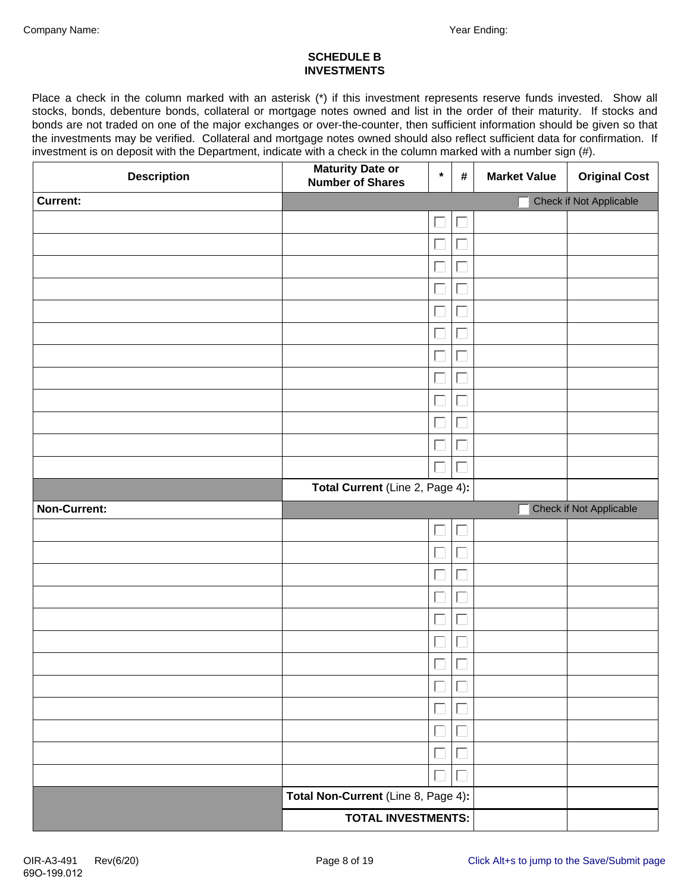#### **SCHEDULE B INVESTMENTS**

Place a check in the column marked with an asterisk (\*) if this investment represents reserve funds invested. Show all stocks, bonds, debenture bonds, collateral or mortgage notes owned and list in the order of their maturity. If stocks and bonds are not traded on one of the major exchanges or over-the-counter, then sufficient information should be given so that the investments may be verified. Collateral and mortgage notes owned should also reflect sufficient data for confirmation. If investment is on deposit with the Department, indicate with a check in the column marked with a number sign (#).

| <b>Description</b> | <b>Maturity Date or<br/>Number of Shares</b> | $\star$ | $\pmb{\#}$           | <b>Market Value</b> | <b>Original Cost</b>    |
|--------------------|----------------------------------------------|---------|----------------------|---------------------|-------------------------|
| <b>Current:</b>    |                                              |         |                      |                     | Check if Not Applicable |
|                    |                                              | ⊑       |                      |                     |                         |
|                    |                                              | Г       |                      |                     |                         |
|                    |                                              | Г       |                      |                     |                         |
|                    |                                              | L       |                      |                     |                         |
|                    |                                              | Г       |                      |                     |                         |
|                    |                                              | Γ       |                      |                     |                         |
|                    |                                              | Г       |                      |                     |                         |
|                    |                                              | Г       |                      |                     |                         |
|                    |                                              | Г       |                      |                     |                         |
|                    |                                              | $\Box$  |                      |                     |                         |
|                    |                                              | Γ       |                      |                     |                         |
|                    |                                              | Γ       |                      |                     |                         |
|                    | Total Current (Line 2, Page 4):              |         |                      |                     |                         |
| Non-Current:       |                                              |         |                      |                     | Check if Not Applicable |
|                    |                                              | Г       | $\sqrt{\frac{1}{2}}$ |                     |                         |
|                    |                                              | $\Box$  |                      |                     |                         |
|                    |                                              | Г       |                      |                     |                         |
|                    |                                              | Γ       |                      |                     |                         |
|                    |                                              | ⊏       |                      |                     |                         |
|                    |                                              | $\Box$  |                      |                     |                         |
|                    |                                              | Τ       |                      |                     |                         |
|                    |                                              |         |                      |                     |                         |
|                    |                                              | $\Box$  |                      |                     |                         |
|                    |                                              | Γ       |                      |                     |                         |
|                    |                                              | Г       |                      |                     |                         |
|                    |                                              | ⊏       |                      |                     |                         |
|                    |                                              | L.      |                      |                     |                         |
|                    | Total Non-Current (Line 8, Page 4):          |         |                      |                     |                         |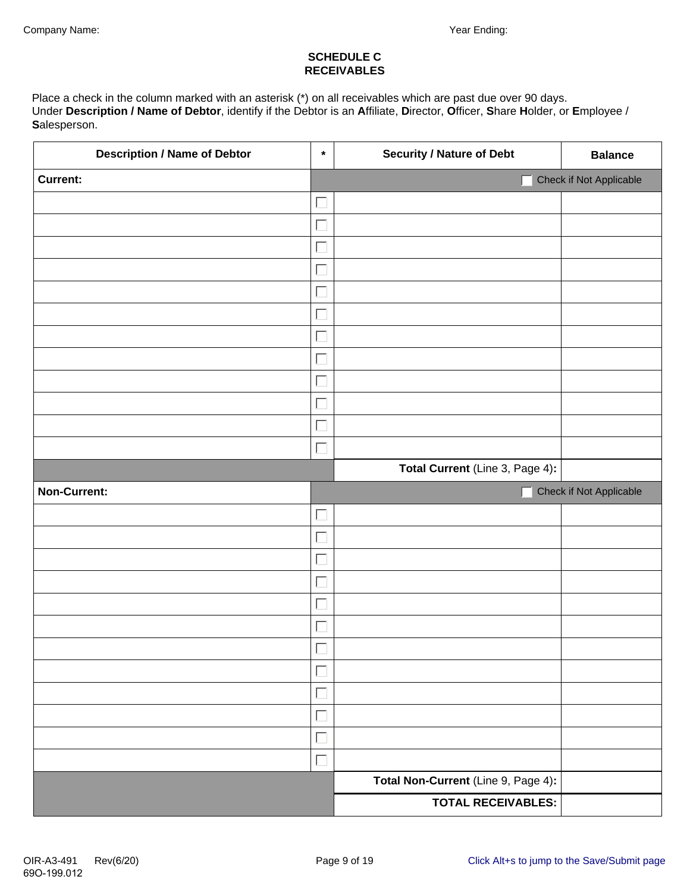#### **SCHEDULE C RECEIVABLES**

Place a check in the column marked with an asterisk (\*) on all receivables which are past due over 90 days. Under **Description / Name of Debtor**, identify if the Debtor is an **A**ffiliate, **D**irector, **O**fficer, **S**hare **H**older, or **E**mployee / **S**alesperson.

| <b>Description / Name of Debtor</b> | $\star$           | <b>Security / Nature of Debt</b>                                 | <b>Balance</b>          |
|-------------------------------------|-------------------|------------------------------------------------------------------|-------------------------|
| <b>Current:</b>                     |                   |                                                                  | Check if Not Applicable |
|                                     | $\Box$            |                                                                  |                         |
|                                     | $\Box$            |                                                                  |                         |
|                                     | $\Box$            |                                                                  |                         |
|                                     | $\Box$            |                                                                  |                         |
|                                     | $\Box$            |                                                                  |                         |
|                                     | $\Box$            |                                                                  |                         |
|                                     | $\Box$            |                                                                  |                         |
|                                     | $\Box$            |                                                                  |                         |
|                                     | $\Box$            |                                                                  |                         |
|                                     | $\Box$            |                                                                  |                         |
|                                     | $\Box$            |                                                                  |                         |
|                                     | $\Box$            |                                                                  |                         |
|                                     |                   | Total Current (Line 3, Page 4):                                  |                         |
| Non-Current:                        |                   |                                                                  | Check if Not Applicable |
|                                     |                   |                                                                  |                         |
|                                     | $\Box$            |                                                                  |                         |
|                                     | $\Box$            |                                                                  |                         |
|                                     | $\overline{\Box}$ |                                                                  |                         |
|                                     | Г                 |                                                                  |                         |
|                                     | $\Box$            |                                                                  |                         |
|                                     | $\Box$            |                                                                  |                         |
|                                     | $\blacksquare$    |                                                                  |                         |
|                                     | Г                 |                                                                  |                         |
|                                     | $\Box$            |                                                                  |                         |
|                                     | $\Box$            |                                                                  |                         |
|                                     |                   |                                                                  |                         |
|                                     | П                 |                                                                  |                         |
|                                     |                   | Total Non-Current (Line 9, Page 4):<br><b>TOTAL RECEIVABLES:</b> |                         |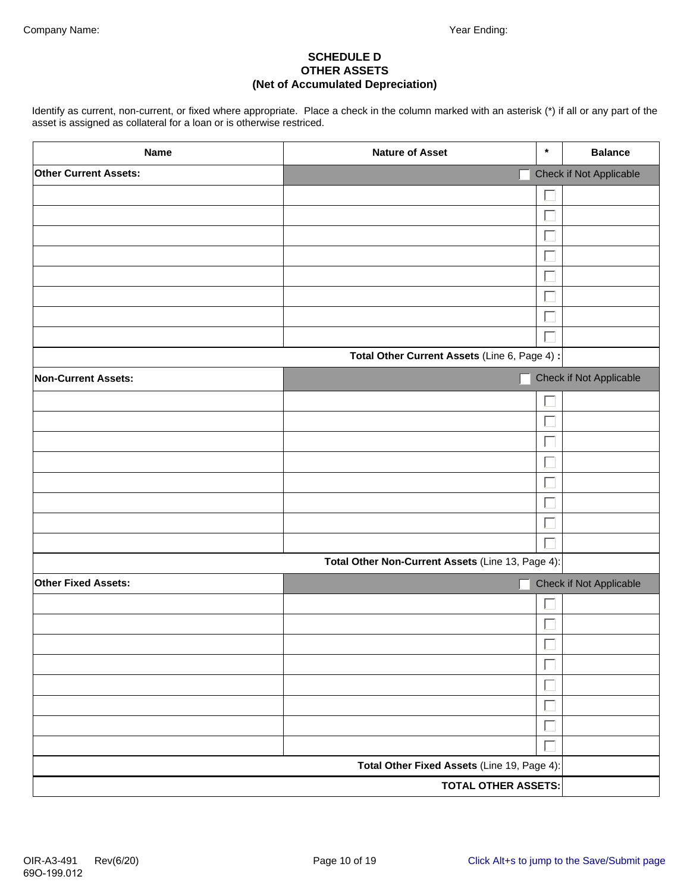#### **SCHEDULE D OTHER ASSETS (Net of Accumulated Depreciation)**

Identify as current, non-current, or fixed where appropriate. Place a check in the column marked with an asterisk (\*) if all or any part of the asset is assigned as collateral for a loan or is otherwise restriced.

| <b>Name</b>                  | <b>Nature of Asset</b>                            | $\star$ | <b>Balance</b>          |
|------------------------------|---------------------------------------------------|---------|-------------------------|
| <b>Other Current Assets:</b> |                                                   |         | Check if Not Applicable |
|                              |                                                   |         |                         |
|                              |                                                   |         |                         |
|                              |                                                   |         |                         |
|                              |                                                   |         |                         |
|                              |                                                   |         |                         |
|                              |                                                   |         |                         |
|                              |                                                   |         |                         |
|                              |                                                   |         |                         |
|                              | Total Other Current Assets (Line 6, Page 4) :     |         |                         |
| <b>Non-Current Assets:</b>   |                                                   |         | Check if Not Applicable |
|                              |                                                   |         |                         |
|                              |                                                   |         |                         |
|                              |                                                   |         |                         |
|                              |                                                   |         |                         |
|                              |                                                   |         |                         |
|                              |                                                   |         |                         |
|                              |                                                   |         |                         |
|                              |                                                   |         |                         |
|                              | Total Other Non-Current Assets (Line 13, Page 4): |         |                         |
| Other Fixed Assets:          |                                                   |         | Check if Not Applicable |
|                              |                                                   |         |                         |
|                              |                                                   |         |                         |
|                              |                                                   | $\Box$  |                         |
|                              |                                                   | Г       |                         |
|                              |                                                   |         |                         |
|                              |                                                   |         |                         |
|                              |                                                   |         |                         |
|                              |                                                   |         |                         |
|                              | Total Other Fixed Assets (Line 19, Page 4):       |         |                         |
|                              | <b>TOTAL OTHER ASSETS:</b>                        |         |                         |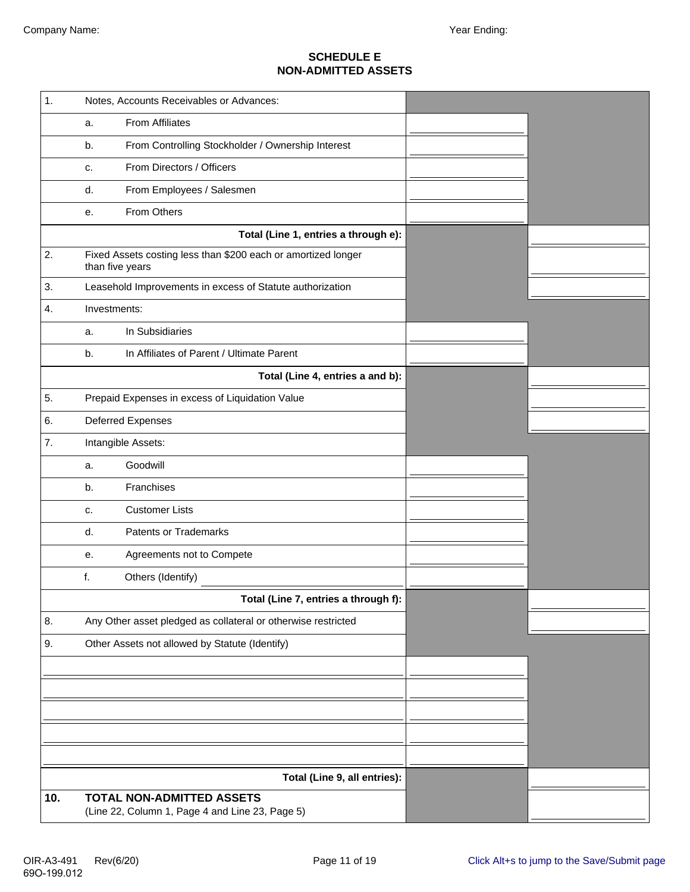#### **SCHEDULE E NON-ADMITTED ASSETS**

| 1.  | Notes, Accounts Receivables or Advances:                                            |  |
|-----|-------------------------------------------------------------------------------------|--|
|     | From Affiliates<br>a.                                                               |  |
|     | From Controlling Stockholder / Ownership Interest<br>b.                             |  |
|     | From Directors / Officers<br>c.                                                     |  |
|     | From Employees / Salesmen<br>d.                                                     |  |
|     | From Others<br>е.                                                                   |  |
|     | Total (Line 1, entries a through e):                                                |  |
| 2.  | Fixed Assets costing less than \$200 each or amortized longer<br>than five years    |  |
| 3.  | Leasehold Improvements in excess of Statute authorization                           |  |
| 4.  | Investments:                                                                        |  |
|     | In Subsidiaries<br>a.                                                               |  |
|     | In Affiliates of Parent / Ultimate Parent<br>b.                                     |  |
|     | Total (Line 4, entries a and b):                                                    |  |
| 5.  | Prepaid Expenses in excess of Liquidation Value                                     |  |
| 6.  | <b>Deferred Expenses</b>                                                            |  |
| 7.  | Intangible Assets:                                                                  |  |
|     | Goodwill<br>a.                                                                      |  |
|     | Franchises<br>b.                                                                    |  |
|     | <b>Customer Lists</b><br>c.                                                         |  |
|     | d.<br><b>Patents or Trademarks</b>                                                  |  |
|     | Agreements not to Compete<br>е.                                                     |  |
|     | f.<br>Others (Identify)                                                             |  |
|     | Total (Line 7, entries a through f):                                                |  |
| 8.  | Any Other asset pledged as collateral or otherwise restricted                       |  |
| 9.  | Other Assets not allowed by Statute (Identify)                                      |  |
|     |                                                                                     |  |
|     |                                                                                     |  |
|     |                                                                                     |  |
|     |                                                                                     |  |
|     |                                                                                     |  |
|     | Total (Line 9, all entries):                                                        |  |
| 10. | <b>TOTAL NON-ADMITTED ASSETS</b><br>(Line 22, Column 1, Page 4 and Line 23, Page 5) |  |
|     |                                                                                     |  |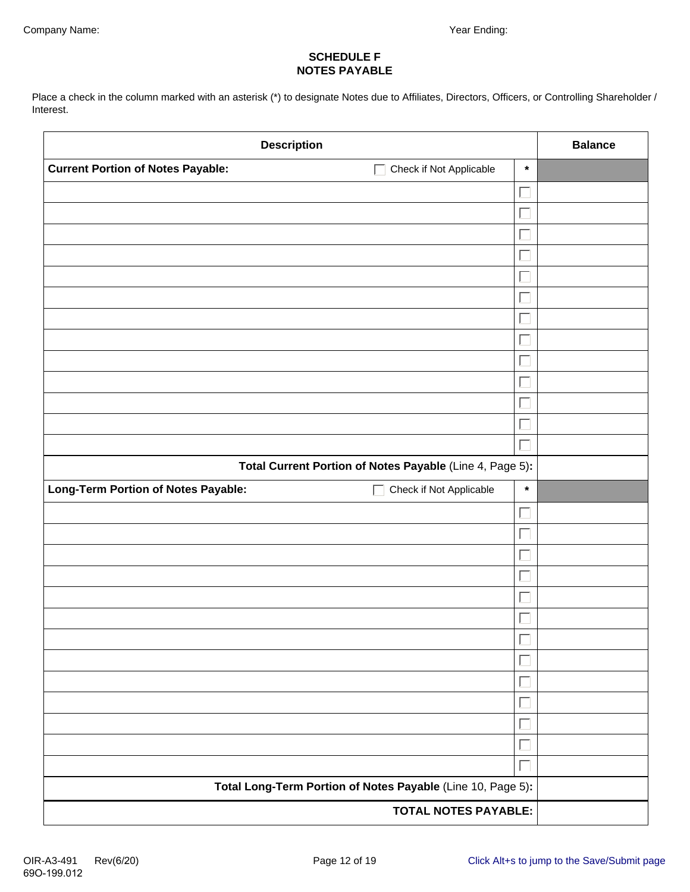#### **SCHEDULE F NOTES PAYABLE**

Place a check in the column marked with an asterisk (\*) to designate Notes due to Affiliates, Directors, Officers, or Controlling Shareholder / Interest.

| <b>Description</b>                                                                  | <b>Balance</b> |  |
|-------------------------------------------------------------------------------------|----------------|--|
| <b>Current Portion of Notes Payable:</b><br>Check if Not Applicable<br>$\mathbf{L}$ | $\star$        |  |
|                                                                                     |                |  |
|                                                                                     |                |  |
|                                                                                     |                |  |
|                                                                                     |                |  |
|                                                                                     |                |  |
|                                                                                     |                |  |
|                                                                                     |                |  |
|                                                                                     |                |  |
|                                                                                     |                |  |
|                                                                                     |                |  |
|                                                                                     |                |  |
|                                                                                     |                |  |
|                                                                                     |                |  |
| Total Current Portion of Notes Payable (Line 4, Page 5):                            |                |  |
| Long-Term Portion of Notes Payable:<br>Check if Not Applicable<br>П                 | $\star$        |  |
|                                                                                     |                |  |
|                                                                                     |                |  |
|                                                                                     |                |  |
|                                                                                     |                |  |
|                                                                                     |                |  |
|                                                                                     |                |  |
|                                                                                     |                |  |
|                                                                                     |                |  |
|                                                                                     |                |  |
|                                                                                     |                |  |
|                                                                                     |                |  |
|                                                                                     |                |  |
|                                                                                     |                |  |
| Total Long-Term Portion of Notes Payable (Line 10, Page 5):                         |                |  |
| <b>TOTAL NOTES PAYABLE:</b>                                                         |                |  |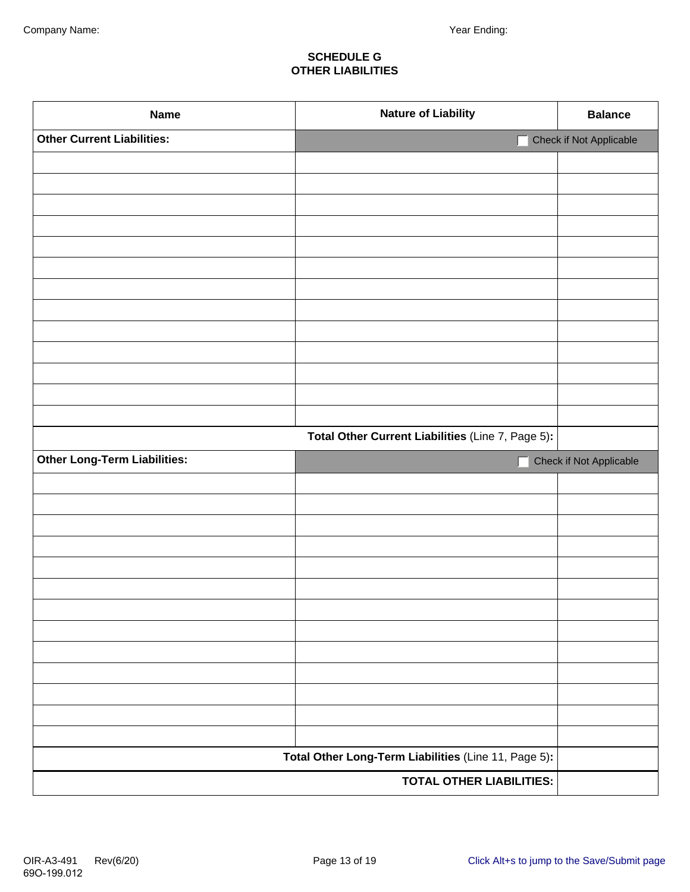#### **SCHEDULE G OTHER LIABILITIES**

| <b>Name</b>                         | <b>Nature of Liability</b>                           | <b>Balance</b>          |
|-------------------------------------|------------------------------------------------------|-------------------------|
| <b>Other Current Liabilities:</b>   |                                                      | Check if Not Applicable |
|                                     |                                                      |                         |
|                                     |                                                      |                         |
|                                     |                                                      |                         |
|                                     |                                                      |                         |
|                                     |                                                      |                         |
|                                     |                                                      |                         |
|                                     |                                                      |                         |
|                                     |                                                      |                         |
|                                     |                                                      |                         |
|                                     |                                                      |                         |
|                                     |                                                      |                         |
|                                     |                                                      |                         |
|                                     |                                                      |                         |
|                                     | Total Other Current Liabilities (Line 7, Page 5):    |                         |
| <b>Other Long-Term Liabilities:</b> |                                                      | Check if Not Applicable |
|                                     |                                                      |                         |
|                                     |                                                      |                         |
|                                     |                                                      |                         |
|                                     |                                                      |                         |
|                                     |                                                      |                         |
|                                     |                                                      |                         |
|                                     |                                                      |                         |
|                                     |                                                      |                         |
|                                     |                                                      |                         |
|                                     |                                                      |                         |
|                                     |                                                      |                         |
|                                     |                                                      |                         |
|                                     | Total Other Long-Term Liabilities (Line 11, Page 5): |                         |
|                                     | <b>TOTAL OTHER LIABILITIES:</b>                      |                         |
|                                     |                                                      |                         |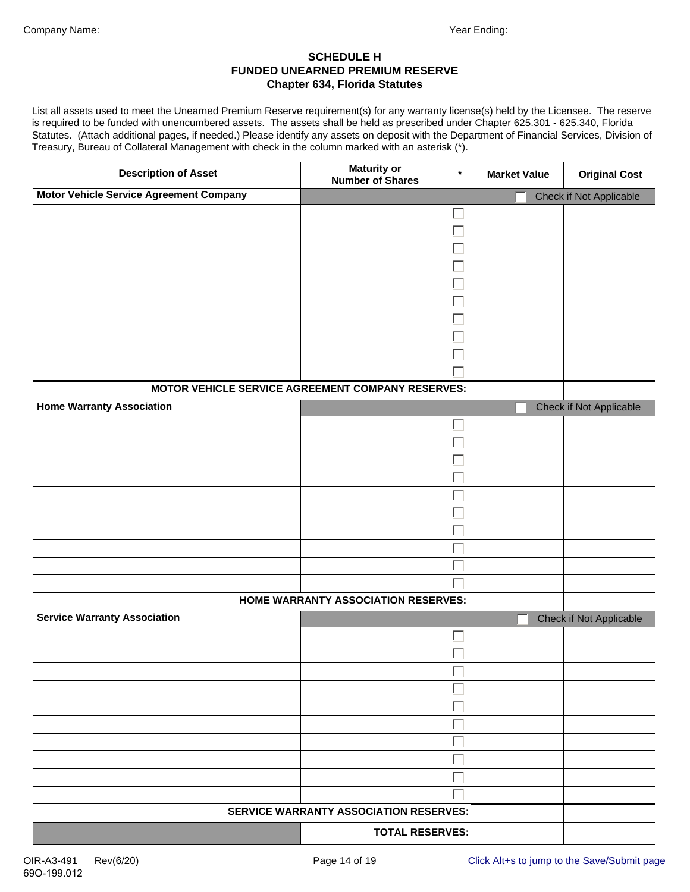#### **SCHEDULE H FUNDED UNEARNED PREMIUM RESERVE Chapter 634, Florida Statutes**

List all assets used to meet the Unearned Premium Reserve requirement(s) for any warranty license(s) held by the Licensee. The reserve is required to be funded with unencumbered assets. The assets shall be held as prescribed under Chapter 625.301 - 625.340, Florida Statutes. (Attach additional pages, if needed.) Please identify any assets on deposit with the Department of Financial Services, Division of Treasury, Bureau of Collateral Management with check in the column marked with an asterisk (\*).

| <b>Description of Asset</b>                       | <b>Maturity or</b><br><b>Number of Shares</b> | $\star$ | <b>Market Value</b> | <b>Original Cost</b>    |
|---------------------------------------------------|-----------------------------------------------|---------|---------------------|-------------------------|
| <b>Motor Vehicle Service Agreement Company</b>    |                                               |         |                     | Check if Not Applicable |
|                                                   |                                               |         |                     |                         |
|                                                   |                                               |         |                     |                         |
|                                                   |                                               |         |                     |                         |
|                                                   |                                               |         |                     |                         |
|                                                   |                                               |         |                     |                         |
|                                                   |                                               |         |                     |                         |
|                                                   |                                               |         |                     |                         |
|                                                   |                                               |         |                     |                         |
|                                                   |                                               |         |                     |                         |
|                                                   |                                               |         |                     |                         |
| MOTOR VEHICLE SERVICE AGREEMENT COMPANY RESERVES: |                                               |         |                     |                         |
| <b>Home Warranty Association</b>                  |                                               |         |                     | Check if Not Applicable |
|                                                   |                                               |         |                     |                         |
|                                                   |                                               |         |                     |                         |
|                                                   |                                               |         |                     |                         |
|                                                   |                                               |         |                     |                         |
|                                                   |                                               |         |                     |                         |
|                                                   |                                               |         |                     |                         |
|                                                   |                                               |         |                     |                         |
|                                                   |                                               |         |                     |                         |
|                                                   |                                               |         |                     |                         |
|                                                   |                                               |         |                     |                         |
|                                                   | HOME WARRANTY ASSOCIATION RESERVES:           |         |                     |                         |
| <b>Service Warranty Association</b>               |                                               |         |                     | Check if Not Applicable |
|                                                   |                                               |         |                     |                         |
|                                                   |                                               |         |                     |                         |
|                                                   |                                               |         |                     |                         |
|                                                   |                                               |         |                     |                         |
|                                                   |                                               |         |                     |                         |
|                                                   |                                               |         |                     |                         |
|                                                   |                                               |         |                     |                         |
|                                                   |                                               |         |                     |                         |
|                                                   |                                               |         |                     |                         |
|                                                   |                                               |         |                     |                         |
|                                                   | <b>SERVICE WARRANTY ASSOCIATION RESERVES:</b> |         |                     |                         |
|                                                   | <b>TOTAL RESERVES:</b>                        |         |                     |                         |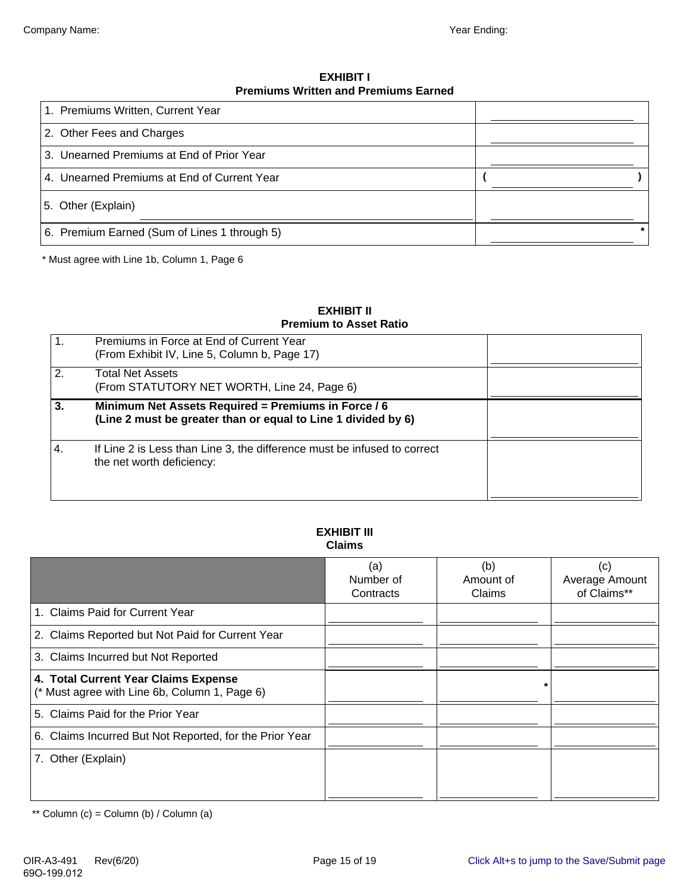**EXHIBIT I Premiums Written and Premiums Earned**

| 1. Premiums Written, Current Year            |  |
|----------------------------------------------|--|
| 2. Other Fees and Charges                    |  |
| 3. Unearned Premiums at End of Prior Year    |  |
| 4. Unearned Premiums at End of Current Year  |  |
| 5. Other (Explain)                           |  |
| 6. Premium Earned (Sum of Lines 1 through 5) |  |

\* Must agree with Line 1b, Column 1, Page 6

#### **EXHIBIT II Premium to Asset Ratio**

| .1  | Premiums in Force at End of Current Year<br>(From Exhibit IV, Line 5, Column b, Page 17)                             |  |
|-----|----------------------------------------------------------------------------------------------------------------------|--|
| 2.  | <b>Total Net Assets</b><br>(From STATUTORY NET WORTH, Line 24, Page 6)                                               |  |
| 3.  | Minimum Net Assets Required = Premiums in Force / 6<br>(Line 2 must be greater than or equal to Line 1 divided by 6) |  |
| -4. | If Line 2 is Less than Line 3, the difference must be infused to correct<br>the net worth deficiency:                |  |

#### **EXHIBIT III Claims**

|                                                                                       | (a)<br>Number of<br>Contracts | (b)<br>Amount of<br>Claims | (c)<br>Average Amount<br>of Claims** |
|---------------------------------------------------------------------------------------|-------------------------------|----------------------------|--------------------------------------|
| 1. Claims Paid for Current Year                                                       |                               |                            |                                      |
| 2. Claims Reported but Not Paid for Current Year                                      |                               |                            |                                      |
| 3. Claims Incurred but Not Reported                                                   |                               |                            |                                      |
| 4. Total Current Year Claims Expense<br>(* Must agree with Line 6b, Column 1, Page 6) |                               |                            |                                      |
| 5. Claims Paid for the Prior Year                                                     |                               |                            |                                      |
| 6. Claims Incurred But Not Reported, for the Prior Year                               |                               |                            |                                      |
| 7. Other (Explain)                                                                    |                               |                            |                                      |

\*\* Column  $(c)$  = Column  $(b)$  / Column  $(a)$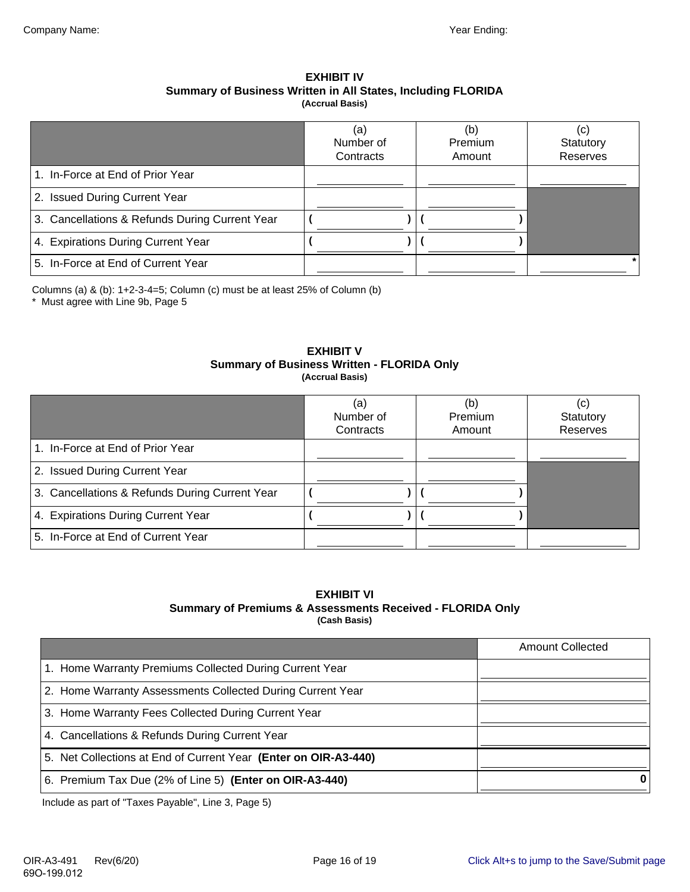#### **EXHIBIT IV Summary of Business Written in All States, Including FLORIDA (Accrual Basis)**

|                                                | (a)<br>Number of<br>Contracts | (b)<br>Premium<br>Amount | (c)<br>Statutory<br>Reserves |
|------------------------------------------------|-------------------------------|--------------------------|------------------------------|
| 1. In-Force at End of Prior Year               |                               |                          |                              |
| 2. Issued During Current Year                  |                               |                          |                              |
| 3. Cancellations & Refunds During Current Year |                               |                          |                              |
| 4. Expirations During Current Year             |                               |                          |                              |
| 5. In-Force at End of Current Year             |                               |                          |                              |

Columns (a) & (b): 1+2-3-4=5; Column (c) must be at least 25% of Column (b)

\* Must agree with Line 9b, Page 5

#### **EXHIBIT V Summary of Business Written - FLORIDA Only (Accrual Basis)**

|                                                | (a)<br>Number of<br>Contracts | (b)<br>Premium<br>Amount | (C)<br>Statutory<br>Reserves |
|------------------------------------------------|-------------------------------|--------------------------|------------------------------|
| 1. In-Force at End of Prior Year               |                               |                          |                              |
| 2. Issued During Current Year                  |                               |                          |                              |
| 3. Cancellations & Refunds During Current Year |                               |                          |                              |
| 4. Expirations During Current Year             |                               |                          |                              |
| 5. In-Force at End of Current Year             |                               |                          |                              |

#### **EXHIBIT VI Summary of Premiums & Assessments Received - FLORIDA Only (Cash Basis)**

|                                                                 | <b>Amount Collected</b> |
|-----------------------------------------------------------------|-------------------------|
| 1. Home Warranty Premiums Collected During Current Year         |                         |
| 2. Home Warranty Assessments Collected During Current Year      |                         |
| 3. Home Warranty Fees Collected During Current Year             |                         |
| 4. Cancellations & Refunds During Current Year                  |                         |
| 5. Net Collections at End of Current Year (Enter on OIR-A3-440) |                         |
| 6. Premium Tax Due (2% of Line 5) (Enter on OIR-A3-440)         |                         |

Include as part of "Taxes Payable", Line 3, Page 5)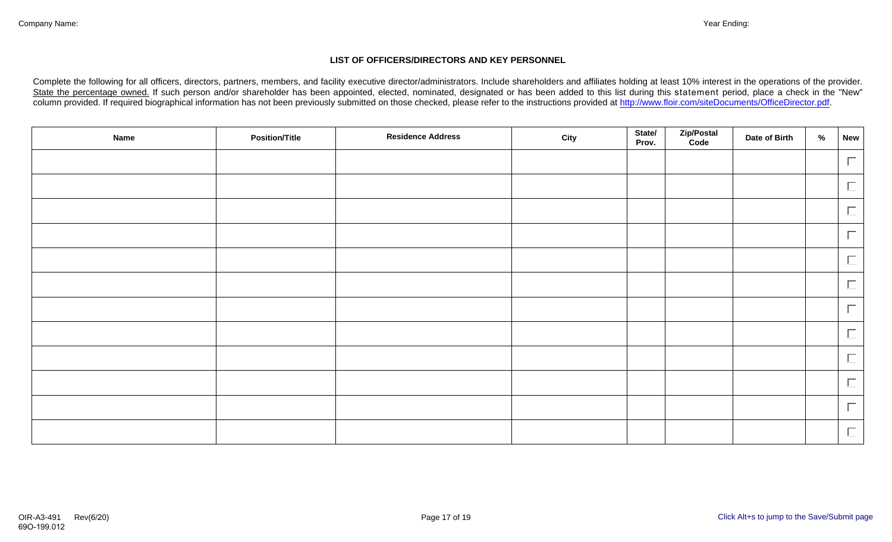#### **LIST OF OFFICERS/DIRECTORS AND KEY PERSONNEL**

Complete the following for all officers, directors, partners, members, and facility executive director/administrators. Include shareholders and affiliates holding at least 10% interest in the operations of the provider. State the percentage owned. If such person and/or shareholder has been appointed, elected, nominated, designated or has been added to this list during this statement period, place a check in the "New" column provided. If required biographical information has not been previously submitted on those checked, please refer to the instructions provided at http://www.floir.com/siteDocuments/OfficeDirector.pdf.

| <b>Name</b> | <b>Position/Title</b> | <b>Residence Address</b> | State/<br>City<br>Prov. | Zip/Postal<br>Code | Date of Birth | % | New    |
|-------------|-----------------------|--------------------------|-------------------------|--------------------|---------------|---|--------|
|             |                       |                          |                         |                    |               |   | $\Box$ |
|             |                       |                          |                         |                    |               |   | $\Box$ |
|             |                       |                          |                         |                    |               |   | $\Box$ |
|             |                       |                          |                         |                    |               |   | $\Box$ |
|             |                       |                          |                         |                    |               |   | $\Box$ |
|             |                       |                          |                         |                    |               |   | $\Box$ |
|             |                       |                          |                         |                    |               |   | $\Box$ |
|             |                       |                          |                         |                    |               |   | $\Box$ |
|             |                       |                          |                         |                    |               |   | $\Box$ |
|             |                       |                          |                         |                    |               |   | $\Box$ |
|             |                       |                          |                         |                    |               |   | $\Box$ |
|             |                       |                          |                         |                    |               |   | $\Box$ |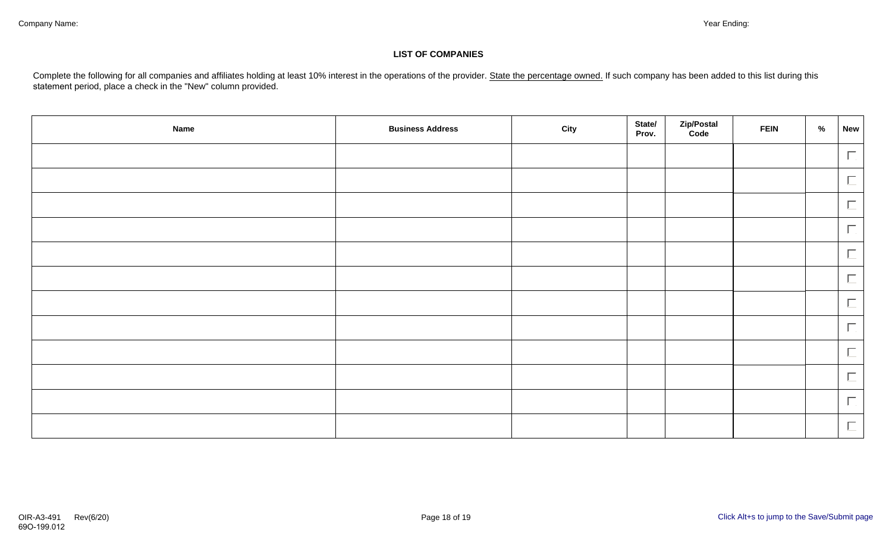#### **LIST OF COMPANIES**

Complete the following for all companies and affiliates holding at least 10% interest in the operations of the provider. State the percentage owned. If such company has been added to this list during this statement period, place a check in the "New" column provided.

| <b>Name</b> | <b>Business Address</b> | <b>City</b> | State/<br>Prov. | Zip/Postal<br>Code | <b>FEIN</b> | % | <b>New</b> |
|-------------|-------------------------|-------------|-----------------|--------------------|-------------|---|------------|
|             |                         |             |                 |                    |             |   | $\Box$     |
|             |                         |             |                 |                    |             |   | $\Box$     |
|             |                         |             |                 |                    |             |   | $\Box$     |
|             |                         |             |                 |                    |             |   | $\Box$     |
|             |                         |             |                 |                    |             |   | $\Box$     |
|             |                         |             |                 |                    |             |   | $\Box$     |
|             |                         |             |                 |                    |             |   | $\Box$     |
|             |                         |             |                 |                    |             |   | $\Box$     |
|             |                         |             |                 |                    |             |   | $\Box$     |
|             |                         |             |                 |                    |             |   | $\Box$     |
|             |                         |             |                 |                    |             |   | $\Box$     |
|             |                         |             |                 |                    |             |   | $\Box$     |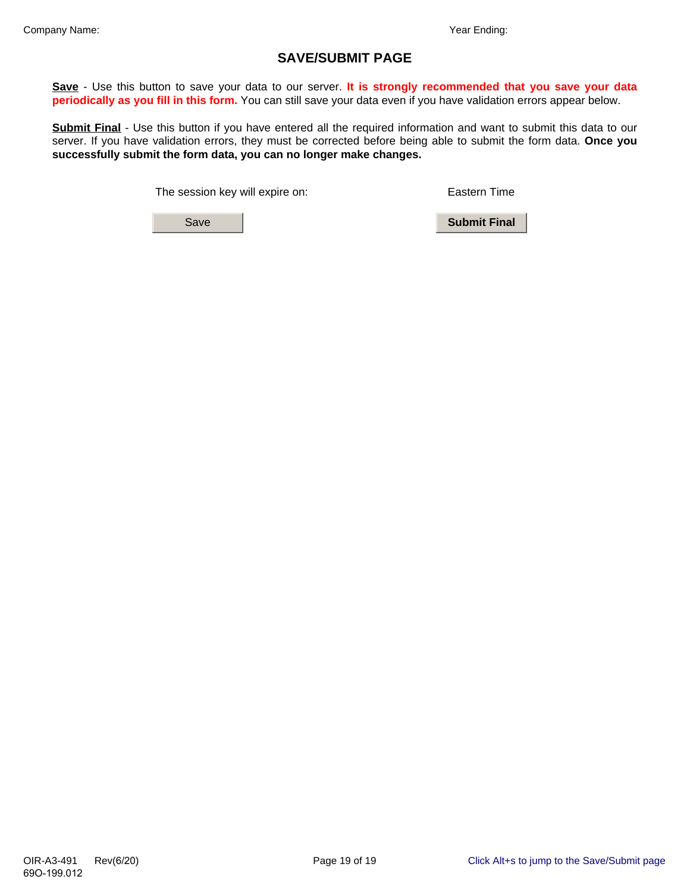## **SAVE/SUBMIT PAGE**

**Save** - Use this button to save your data to our server. **It is strongly recommended that you save your data periodically as you fill in this form.** You can still save your data even if you have validation errors appear below.

**Submit Final** - Use this button if you have entered all the required information and want to submit this data to our server. If you have validation errors, they must be corrected before being able to submit the form data. **Once you successfully submit the form data, you can no longer make changes.**

The session key will expire on: Eastern Time

Save **Submit Final**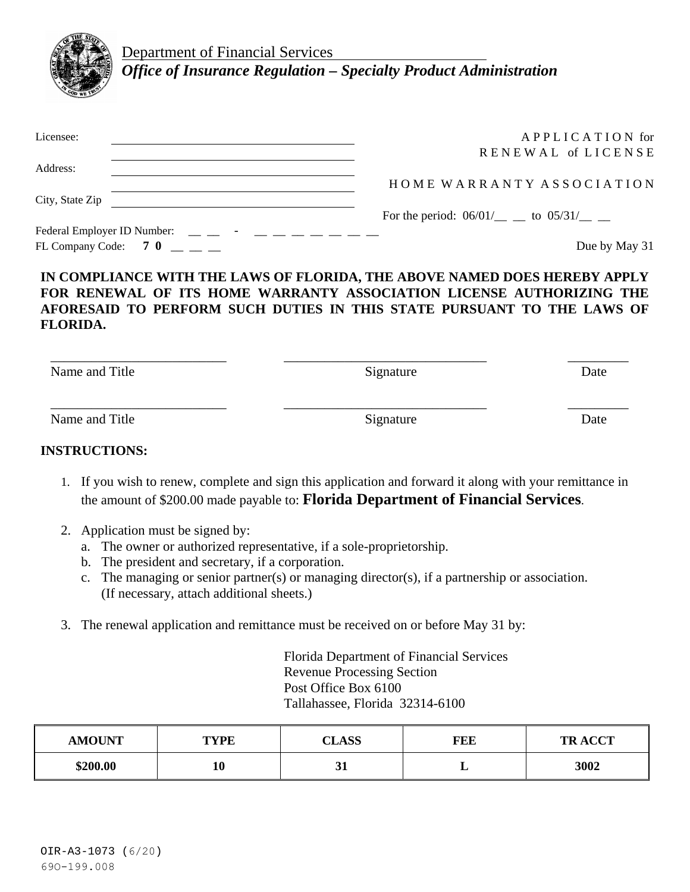

Department of Financial Services *Office of Insurance Regulation – Specialty Product Administration*

| Licensee:                                                                                                                                                                                                                                                                                                                            | APPLICATION for                                |
|--------------------------------------------------------------------------------------------------------------------------------------------------------------------------------------------------------------------------------------------------------------------------------------------------------------------------------------|------------------------------------------------|
|                                                                                                                                                                                                                                                                                                                                      | RENEWAL of LICENSE                             |
| Address:                                                                                                                                                                                                                                                                                                                             |                                                |
|                                                                                                                                                                                                                                                                                                                                      | HOME WARRANTY ASSOCIATION                      |
| City, State Zip                                                                                                                                                                                                                                                                                                                      |                                                |
|                                                                                                                                                                                                                                                                                                                                      | For the period: $06/01/$ ____ to $05/31/$ ____ |
| Federal Employer ID Number: $\qquad \qquad \_ \qquad$ $\qquad$ $\qquad$ $\qquad$ $\qquad \_ \qquad$ $\qquad$ $\qquad$ $\qquad$ $\qquad$ $\qquad$ $\qquad$ $\qquad$ $\qquad$ $\qquad$ $\qquad$ $\qquad$ $\qquad$ $\qquad$ $\qquad$ $\qquad$ $\qquad$ $\qquad$ $\qquad$ $\qquad$ $\qquad$ $\qquad$ $\qquad$ $\qquad$ $\qquad$ $\qquad$ |                                                |
| FL Company Code: 7 0                                                                                                                                                                                                                                                                                                                 | Due by May 31                                  |

#### **IN COMPLIANCE WITH THE LAWS OF FLORIDA, THE ABOVE NAMED DOES HEREBY APPLY FOR RENEWAL OF ITS HOME WARRANTY ASSOCIATION LICENSE AUTHORIZING THE AFORESAID TO PERFORM SUCH DUTIES IN THIS STATE PURSUANT TO THE LAWS OF FLORIDA.**

| Name and Title | Signature | Date |
|----------------|-----------|------|
| Name and Title | Signature | Date |

#### **INSTRUCTIONS:**

- 1. If you wish to renew, complete and sign this application and forward it along with your remittance in the amount of \$200.00 made payable to: **Florida Department of Financial Services**.
- 2. Application must be signed by:
	- a. The owner or authorized representative, if a sole-proprietorship.
	- b. The president and secretary, if a corporation.
	- c. The managing or senior partner(s) or managing director(s), if a partnership or association. (If necessary, attach additional sheets.)
- 3. The renewal application and remittance must be received on or before May 31 by:

Florida Department of Financial Services Revenue Processing Section Post Office Box 6100 Tallahassee, Florida 32314-6100

| <b>AMOUNT</b> | <b>TYPE</b> | <b>CLASS</b> | FEE | <b>TRACCT</b> |
|---------------|-------------|--------------|-----|---------------|
| \$200.00      | 10          | ◡▴           | ≖   | 3002          |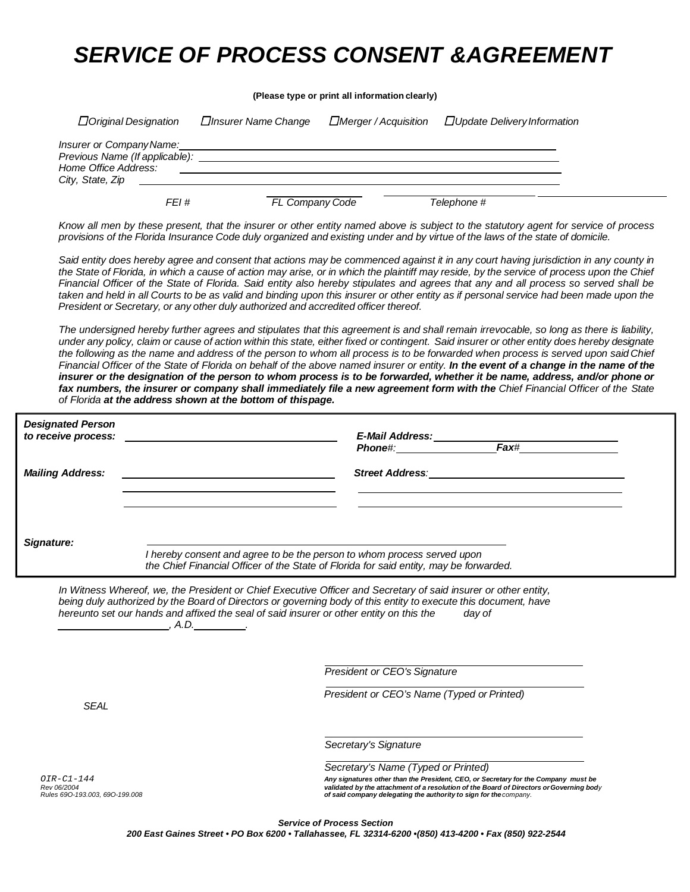# *SERVICE OF PROCESS CONSENT &AGREEMENT*

|                                                 |                             |                                                                                                                                                                                                                                                                                                                               | (Please type or print all information clearly) |                                                                                                                                                                                                                                                                                                                                                                                                                                                                                                                                                                                                                                                                                                                                                                                                                                      |  |
|-------------------------------------------------|-----------------------------|-------------------------------------------------------------------------------------------------------------------------------------------------------------------------------------------------------------------------------------------------------------------------------------------------------------------------------|------------------------------------------------|--------------------------------------------------------------------------------------------------------------------------------------------------------------------------------------------------------------------------------------------------------------------------------------------------------------------------------------------------------------------------------------------------------------------------------------------------------------------------------------------------------------------------------------------------------------------------------------------------------------------------------------------------------------------------------------------------------------------------------------------------------------------------------------------------------------------------------------|--|
|                                                 | $\Box$ Original Designation | □Insurer Name Change                                                                                                                                                                                                                                                                                                          | □Merger / Acquisition                          | $\Box$ Update Delivery Information                                                                                                                                                                                                                                                                                                                                                                                                                                                                                                                                                                                                                                                                                                                                                                                                   |  |
| Insurer or Company Name:<br>City, State, Zip    |                             | <u> 1980 - Jan Salaman, mangang mga kalendar ng mga kalendar ng mga kalendar ng mga kalendar ng mga kalendar ng mga ka</u>                                                                                                                                                                                                    |                                                |                                                                                                                                                                                                                                                                                                                                                                                                                                                                                                                                                                                                                                                                                                                                                                                                                                      |  |
|                                                 | FEI #                       |                                                                                                                                                                                                                                                                                                                               | FL Company Code                                | Telephone #                                                                                                                                                                                                                                                                                                                                                                                                                                                                                                                                                                                                                                                                                                                                                                                                                          |  |
|                                                 |                             |                                                                                                                                                                                                                                                                                                                               |                                                | Know all men by these present, that the insurer or other entity named above is subject to the statutory agent for service of process<br>provisions of the Florida Insurance Code duly organized and existing under and by virtue of the laws of the state of domicile.                                                                                                                                                                                                                                                                                                                                                                                                                                                                                                                                                               |  |
|                                                 |                             | President or Secretary, or any other duly authorized and accredited officer thereof.                                                                                                                                                                                                                                          |                                                | Said entity does hereby agree and consent that actions may be commenced against it in any court having jurisdiction in any county in<br>the State of Florida, in which a cause of action may arise, or in which the plaintiff may reside, by the service of process upon the Chief<br>Financial Officer of the State of Florida. Said entity also hereby stipulates and agrees that any and all process so served shall be<br>taken and held in all Courts to be as valid and binding upon this insurer or other entity as if personal service had been made upon the                                                                                                                                                                                                                                                                |  |
|                                                 |                             | of Florida at the address shown at the bottom of thispage.                                                                                                                                                                                                                                                                    |                                                | The undersigned hereby further agrees and stipulates that this agreement is and shall remain irrevocable, so long as there is liability,<br>under any policy, claim or cause of action within this state, either fixed or contingent. Said insurer or other entity does hereby designate<br>the following as the name and address of the person to whom all process is to be forwarded when process is served upon said Chief<br>Financial Officer of the State of Florida on behalf of the above named insurer or entity. In the event of a change in the name of the<br>insurer or the designation of the person to whom process is to be forwarded, whether it be name, address, and/or phone or<br>fax numbers, the insurer or company shall immediately file a new agreement form with the Chief Financial Officer of the State |  |
| <b>Designated Person</b><br>to receive process: |                             |                                                                                                                                                                                                                                                                                                                               |                                                |                                                                                                                                                                                                                                                                                                                                                                                                                                                                                                                                                                                                                                                                                                                                                                                                                                      |  |
| <b>Mailing Address:</b>                         |                             |                                                                                                                                                                                                                                                                                                                               |                                                | Street Address: The Contract of the Contract of the Contract of the Contract of the Contract of the Contract of the Contract of the Contract of the Contract of the Contract of the Contract of the Contract of the Contract o                                                                                                                                                                                                                                                                                                                                                                                                                                                                                                                                                                                                       |  |
| Signature:                                      |                             | I hereby consent and agree to be the person to whom process served upon<br>the Chief Financial Officer of the State of Florida for said entity, may be forwarded.                                                                                                                                                             |                                                |                                                                                                                                                                                                                                                                                                                                                                                                                                                                                                                                                                                                                                                                                                                                                                                                                                      |  |
|                                                 | A.D.                        | In Witness Whereof, we, the President or Chief Executive Officer and Secretary of said insurer or other entity,<br>being duly authorized by the Board of Directors or governing body of this entity to execute this document, have<br>hereunto set our hands and affixed the seal of said insurer or other entity on this the |                                                | day of                                                                                                                                                                                                                                                                                                                                                                                                                                                                                                                                                                                                                                                                                                                                                                                                                               |  |
|                                                 |                             |                                                                                                                                                                                                                                                                                                                               | <b>President or CEO's Signature</b>            |                                                                                                                                                                                                                                                                                                                                                                                                                                                                                                                                                                                                                                                                                                                                                                                                                                      |  |
| <b>SEAL</b>                                     |                             |                                                                                                                                                                                                                                                                                                                               | President or CEO's Name (Typed or Printed)     |                                                                                                                                                                                                                                                                                                                                                                                                                                                                                                                                                                                                                                                                                                                                                                                                                                      |  |
|                                                 |                             |                                                                                                                                                                                                                                                                                                                               | Secretary's Signature                          |                                                                                                                                                                                                                                                                                                                                                                                                                                                                                                                                                                                                                                                                                                                                                                                                                                      |  |
| OIR-C1-144                                      |                             |                                                                                                                                                                                                                                                                                                                               | Secretary's Name (Typed or Printed)            | Any signatures other than the President, CEO, or Secretary for the Company must be                                                                                                                                                                                                                                                                                                                                                                                                                                                                                                                                                                                                                                                                                                                                                   |  |

0IR-C1-144<br>Rev06/2004<br>Rev06/2004<br>Rules 690-193.003, 690-199.008 **State 199.000 Startegen State 199.000 Startegy of said company delegating the authority to sign for the company.** 

*Service of Process Section 200 East Gaines Street • PO Box 6200 • Tallahassee, FL 32314-6200 •(850) 413-4200 • Fax (850) 922-2544*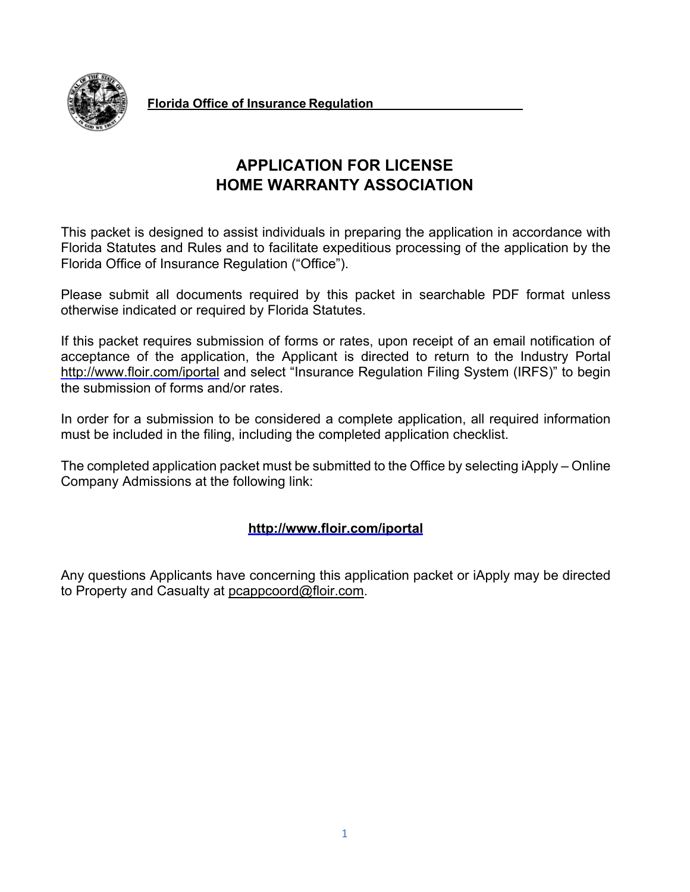

This packet is designed to assist individuals in preparing the application in accordance with Florida Statutes and Rules and to facilitate expeditious processing of the application by the Florida Office of Insurance Regulation ("Office").

Please submit all documents required by this packet in searchable PDF format unless otherwise indicated or required by Florida Statutes.

If this packet requires submission of forms or rates, upon receipt of an email notification of acceptance of the application, the Applicant is directed to return to the Industry Portal <http://www.floir.com/iportal> and select "Insurance Regulation Filing System (IRFS)" to begin the submission of forms and/or rates.

In order for a submission to be considered a complete application, all required information must be included in the filing, including the completed application checklist.

The completed application packet must be submitted to the Office by selecting iApply – Online Company Admissions at the following link:

# **<http://www.floir.com/iportal>**

Any questions Applicants have concerning this application packet or iApply may be directed to Property and Casualty at [pcappcoord@floir.com.](mailto:pcappcoord@floir.com)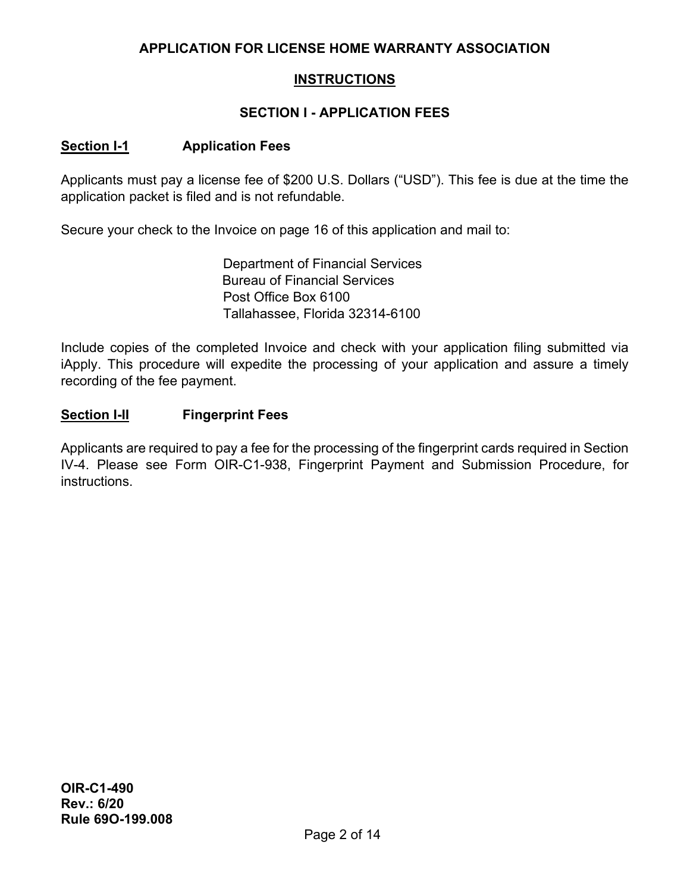## **INSTRUCTIONS**

## **SECTION I - APPLICATION FEES**

#### **Section I-1 Application Fees**

Applicants must pay a license fee of \$200 U.S. Dollars ("USD"). This fee is due at the time the application packet is filed and is not refundable.

Secure your check to the Invoice on page 16 of this application and mail to:

Department of Financial Services Bureau of Financial Services Post Office Box 6100 Tallahassee, Florida 32314-6100

Include copies of the completed Invoice and check with your application filing submitted via iApply. This procedure will expedite the processing of your application and assure a timely recording of the fee payment.

#### **Section I-II Fingerprint Fees**

Applicants are required to pay a fee for the processing of the fingerprint cards required in Section IV-4. Please see Form OIR-C1-938, Fingerprint Payment and Submission Procedure, for instructions.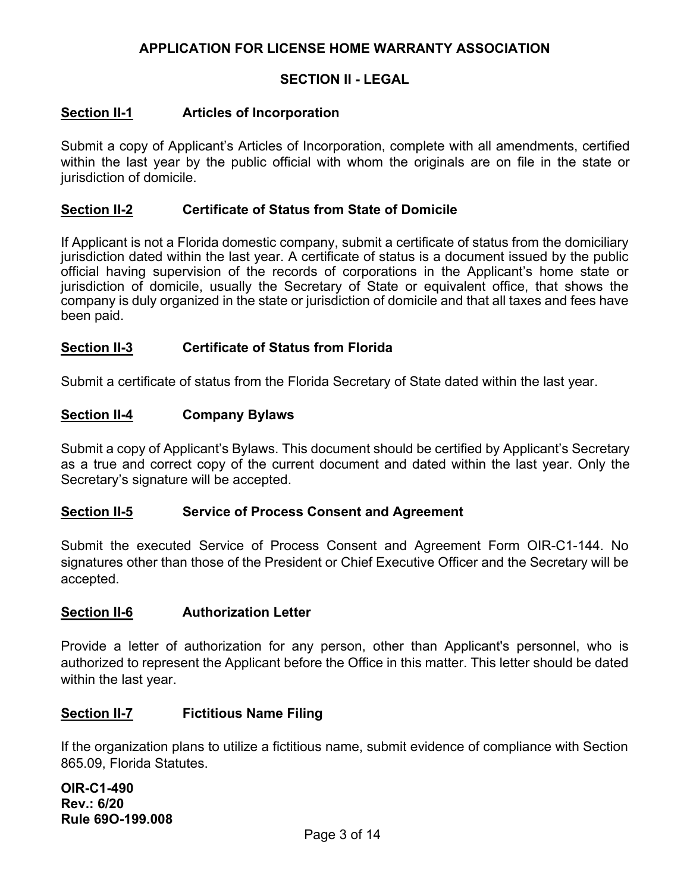#### **SECTION II - LEGAL**

#### **Section II-1 Articles of Incorporation**

Submit a copy of Applicant's Articles of Incorporation, complete with all amendments, certified within the last year by the public official with whom the originals are on file in the state or jurisdiction of domicile.

#### **Section II-2 Certificate of Status from State of Domicile**

If Applicant is not a Florida domestic company, submit a certificate of status from the domiciliary jurisdiction dated within the last year. A certificate of status is a document issued by the public official having supervision of the records of corporations in the Applicant's home state or jurisdiction of domicile, usually the Secretary of State or equivalent office, that shows the company is duly organized in the state or jurisdiction of domicile and that all taxes and fees have been paid.

#### **Section II-3 Certificate of Status from Florida**

Submit a certificate of status from the Florida Secretary of State dated within the last year.

#### **Section II-4 Company Bylaws**

Submit a copy of Applicant's Bylaws. This document should be certified by Applicant's Secretary as a true and correct copy of the current document and dated within the last year. Only the Secretary's signature will be accepted.

#### **Section II-5 Service of Process Consent and Agreement**

Submit the executed Service of Process Consent and Agreement Form OIR-C1-144. No signatures other than those of the President or Chief Executive Officer and the Secretary will be accepted.

#### **Section II-6 Authorization Letter**

Provide a letter of authorization for any person, other than Applicant's personnel, who is authorized to represent the Applicant before the Office in this matter. This letter should be dated within the last year.

#### **Section II-7 Fictitious Name Filing**

If the organization plans to utilize a fictitious name, submit evidence of compliance with Section 865.09, Florida Statutes.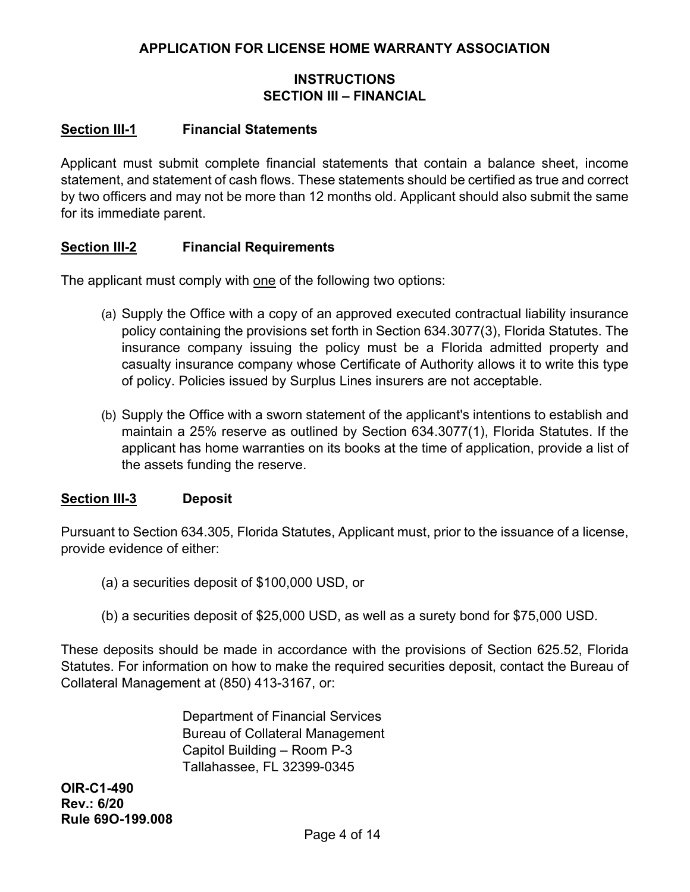## **INSTRUCTIONS SECTION III – FINANCIAL**

#### **Section III-1 Financial Statements**

Applicant must submit complete financial statements that contain a balance sheet, income statement, and statement of cash flows. These statements should be certified as true and correct by two officers and may not be more than 12 months old. Applicant should also submit the same for its immediate parent.

#### **Section III-2 Financial Requirements**

The applicant must comply with one of the following two options:

- (a) Supply the Office with a copy of an approved executed contractual liability insurance policy containing the provisions set forth in Section 634.3077(3), Florida Statutes. The insurance company issuing the policy must be a Florida admitted property and casualty insurance company whose Certificate of Authority allows it to write this type of policy. Policies issued by Surplus Lines insurers are not acceptable.
- (b) Supply the Office with a sworn statement of the applicant's intentions to establish and maintain a 25% reserve as outlined by Section 634.3077(1), Florida Statutes. If the applicant has home warranties on its books at the time of application, provide a list of the assets funding the reserve.

#### **Section III-3 Deposit**

Pursuant to Section 634.305, Florida Statutes, Applicant must, prior to the issuance of a license, provide evidence of either:

- (a) a securities deposit of \$100,000 USD, or
- (b) a securities deposit of \$25,000 USD, as well as a surety bond for \$75,000 USD.

These deposits should be made in accordance with the provisions of Section 625.52, Florida Statutes. For information on how to make the required securities deposit, contact the Bureau of Collateral Management at (850) 413-3167, or:

> Department of Financial Services Bureau of Collateral Management Capitol Building – Room P-3 Tallahassee, FL 32399-0345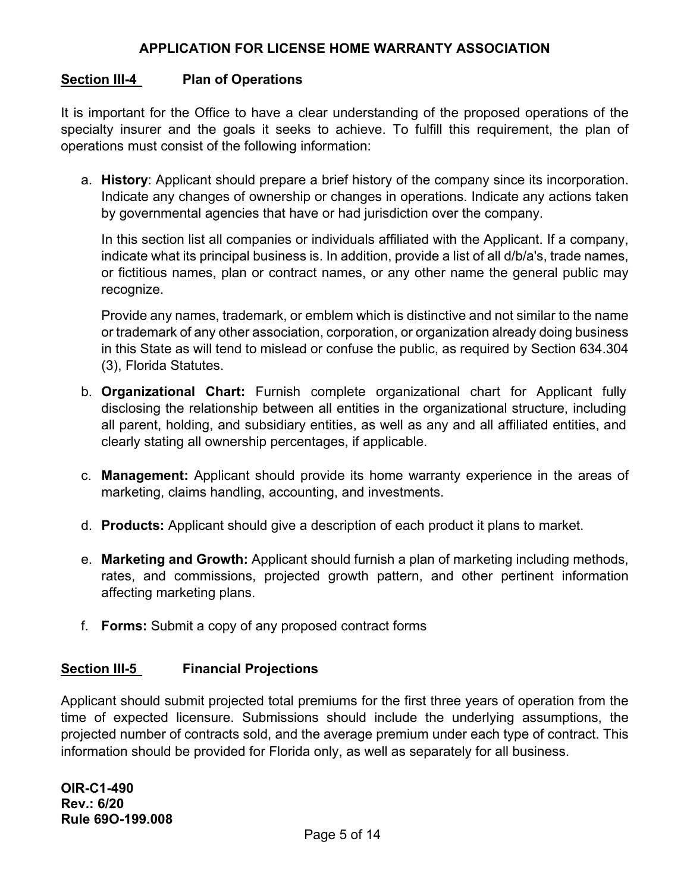### **Section III-4 Plan of Operations**

It is important for the Office to have a clear understanding of the proposed operations of the specialty insurer and the goals it seeks to achieve. To fulfill this requirement, the plan of operations must consist of the following information:

a. **History**: Applicant should prepare a brief history of the company since its incorporation. Indicate any changes of ownership or changes in operations. Indicate any actions taken by governmental agencies that have or had jurisdiction over the company.

In this section list all companies or individuals affiliated with the Applicant. If a company, indicate what its principal business is. In addition, provide a list of all d/b/a's, trade names, or fictitious names, plan or contract names, or any other name the general public may recognize.

Provide any names, trademark, or emblem which is distinctive and not similar to the name or trademark of any other association, corporation, or organization already doing business in this State as will tend to mislead or confuse the public, as required by Section 634.304 (3), Florida Statutes.

- b. **Organizational Chart:** Furnish complete organizational chart for Applicant fully disclosing the relationship between all entities in the organizational structure, including all parent, holding, and subsidiary entities, as well as any and all affiliated entities, and clearly stating all ownership percentages, if applicable.
- c. **Management:** Applicant should provide its home warranty experience in the areas of marketing, claims handling, accounting, and investments.
- d. **Products:** Applicant should give a description of each product it plans to market.
- e. **Marketing and Growth:** Applicant should furnish a plan of marketing including methods, rates, and commissions, projected growth pattern, and other pertinent information affecting marketing plans.
- f. **Forms:** Submit a copy of any proposed contract forms

## **Section III-5 Financial Projections**

Applicant should submit projected total premiums for the first three years of operation from the time of expected licensure. Submissions should include the underlying assumptions, the projected number of contracts sold, and the average premium under each type of contract. This information should be provided for Florida only, as well as separately for all business.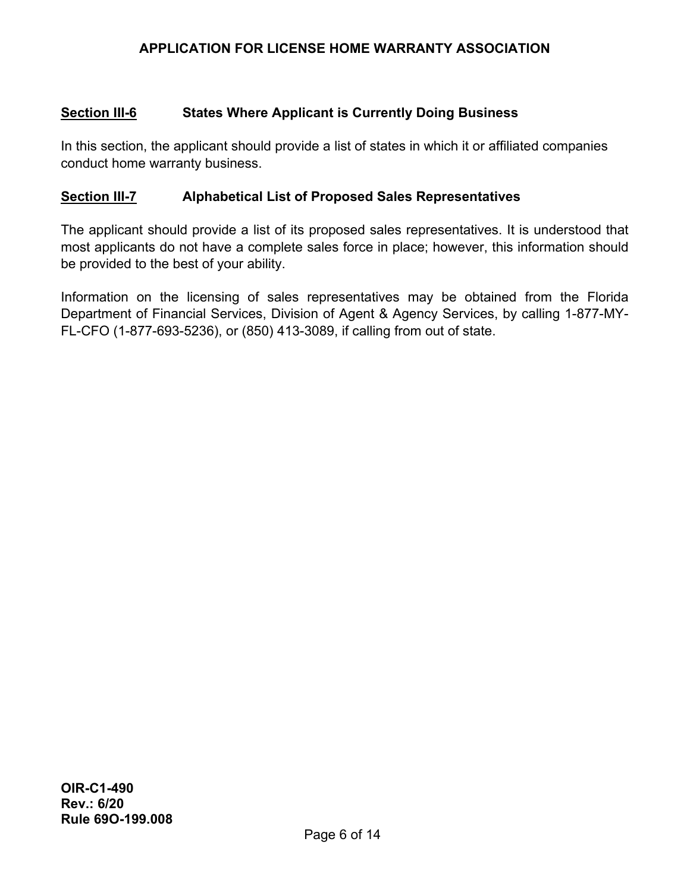#### **Section III-6 States Where Applicant is Currently Doing Business**

In this section, the applicant should provide a list of states in which it or affiliated companies conduct home warranty business.

#### **Section III-7 Alphabetical List of Proposed Sales Representatives**

The applicant should provide a list of its proposed sales representatives. It is understood that most applicants do not have a complete sales force in place; however, this information should be provided to the best of your ability.

Information on the licensing of sales representatives may be obtained from the Florida Department of Financial Services, Division of Agent & Agency Services, by calling 1-877-MY-FL-CFO (1-877-693-5236), or (850) 413-3089, if calling from out of state.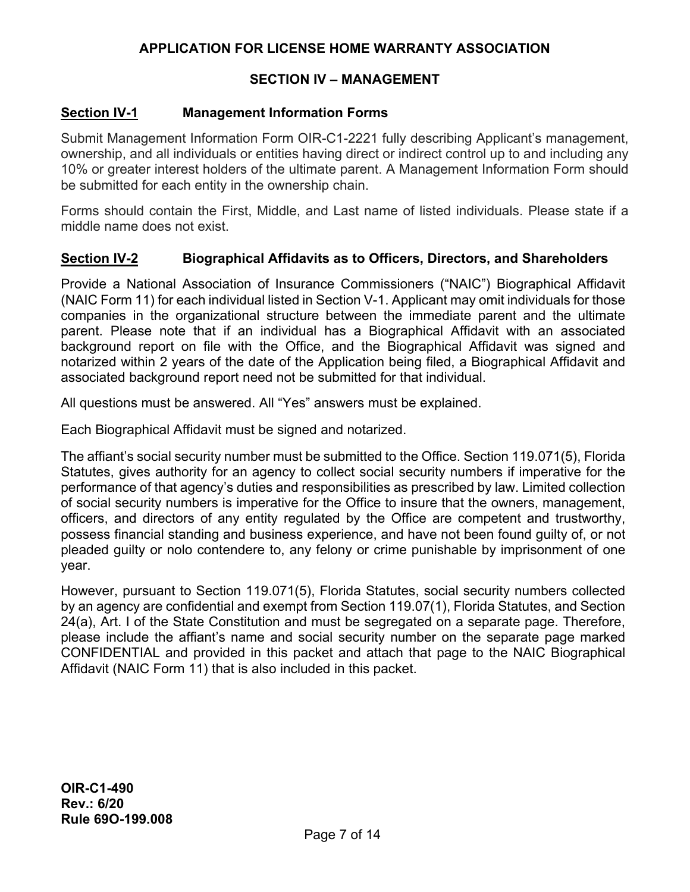#### **SECTION IV – MANAGEMENT**

#### **Section IV-1 Management Information Forms**

Submit Management Information Form OIR-C1-2221 fully describing Applicant's management, ownership, and all individuals or entities having direct or indirect control up to and including any 10% or greater interest holders of the ultimate parent. A Management Information Form should be submitted for each entity in the ownership chain.

Forms should contain the First, Middle, and Last name of listed individuals. Please state if a middle name does not exist.

#### **Section IV-2 Biographical Affidavits as to Officers, Directors, and Shareholders**

Provide a National Association of Insurance Commissioners ("NAIC") Biographical Affidavit (NAIC Form 11) for each individual listed in Section V-1. Applicant may omit individuals for those companies in the organizational structure between the immediate parent and the ultimate parent. Please note that if an individual has a Biographical Affidavit with an associated background report on file with the Office, and the Biographical Affidavit was signed and notarized within 2 years of the date of the Application being filed, a Biographical Affidavit and associated background report need not be submitted for that individual.

All questions must be answered. All "Yes" answers must be explained.

Each Biographical Affidavit must be signed and notarized.

The affiant's social security number must be submitted to the Office. Section 119.071(5), Florida Statutes, gives authority for an agency to collect social security numbers if imperative for the performance of that agency's duties and responsibilities as prescribed by law. Limited collection of social security numbers is imperative for the Office to insure that the owners, management, officers, and directors of any entity regulated by the Office are competent and trustworthy, possess financial standing and business experience, and have not been found guilty of, or not pleaded guilty or nolo contendere to, any felony or crime punishable by imprisonment of one year.

However, pursuant to Section 119.071(5), Florida Statutes, social security numbers collected by an agency are confidential and exempt from Section 119.07(1), Florida Statutes, and Section 24(a), Art. I of the State Constitution and must be segregated on a separate page. Therefore, please include the affiant's name and social security number on the separate page marked CONFIDENTIAL and provided in this packet and attach that page to the NAIC Biographical Affidavit (NAIC Form 11) that is also included in this packet.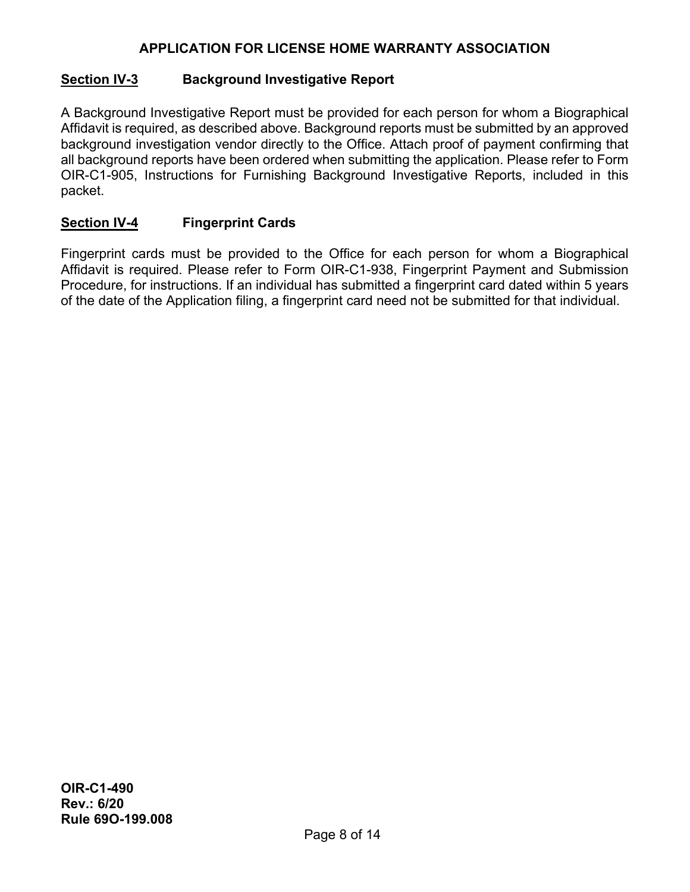## **Section IV-3 Background Investigative Report**

A Background Investigative Report must be provided for each person for whom a Biographical Affidavit is required, as described above. Background reports must be submitted by an approved background investigation vendor directly to the Office. Attach proof of payment confirming that all background reports have been ordered when submitting the application. Please refer to Form OIR-C1-905, Instructions for Furnishing Background Investigative Reports, included in this packet.

## **Section IV-4 Fingerprint Cards**

Fingerprint cards must be provided to the Office for each person for whom a Biographical Affidavit is required. Please refer to Form OIR-C1-938, Fingerprint Payment and Submission Procedure, for instructions. If an individual has submitted a fingerprint card dated within 5 years of the date of the Application filing, a fingerprint card need not be submitted for that individual.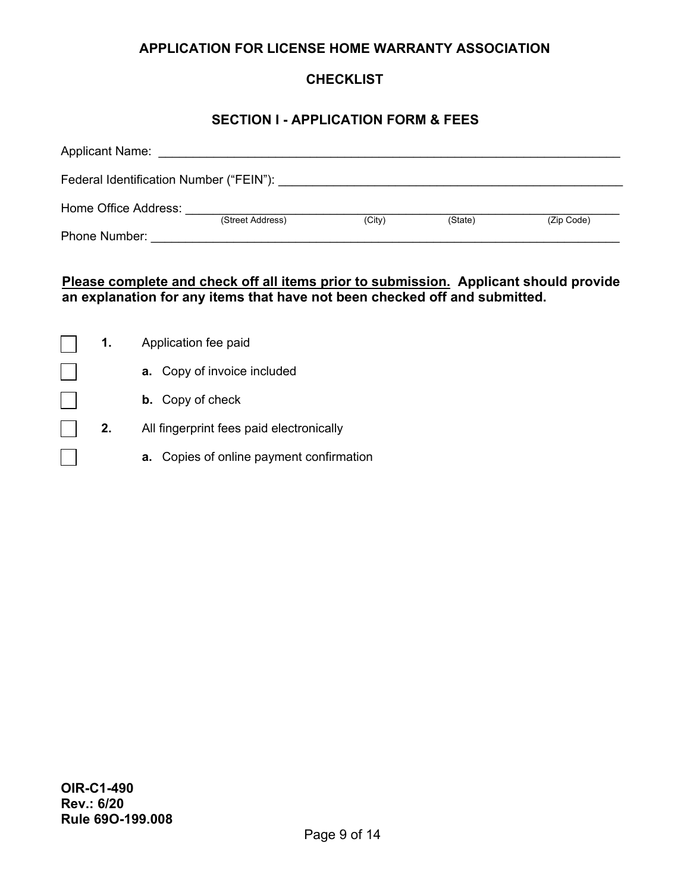# **CHECKLIST**

### **SECTION I - APPLICATION FORM & FEES**

| <b>Applicant Name:</b>                  |                  |        |         |            |
|-----------------------------------------|------------------|--------|---------|------------|
| Federal Identification Number ("FEIN"): |                  |        |         |            |
| Home Office Address:                    | (Street Address) | (City) | (State) | (Zip Code) |
| <b>Phone Number:</b>                    |                  |        |         |            |

## **Please complete and check off all items prior to submission. Applicant should provide an explanation for any items that have not been checked off and submitted.**

| 1. | Application fee paid                     |
|----|------------------------------------------|
|    | <b>a.</b> Copy of invoice included       |
|    | <b>b.</b> Copy of check                  |
| 2. | All fingerprint fees paid electronically |
|    | a. Copies of online payment confirmation |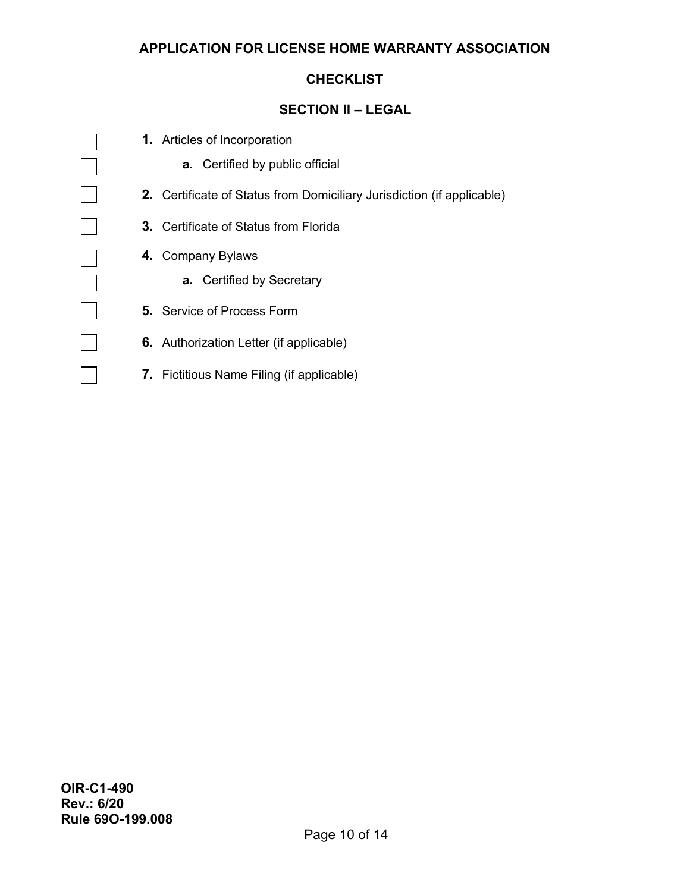#### **CHECKLIST**

#### **SECTION II – LEGAL**

**1.** Articles of Incorporation

 $\Box$ 

 $\Box$ 

 $\Box$ 

 $\Box$ 

 $\Box$ 

 $\Box$ 

 $\vert \ \ \vert$ 

- **a.** Certified by public official
- **2.** Certificate of Status from Domiciliary Jurisdiction (if applicable)
- **3.** Certificate of Status from Florida
- **4.** Company Bylaws
	- **a.** Certified by Secretary
- **5.** Service of Process Form
- **6.** Authorization Letter (if applicable)
- **7.** Fictitious Name Filing (if applicable)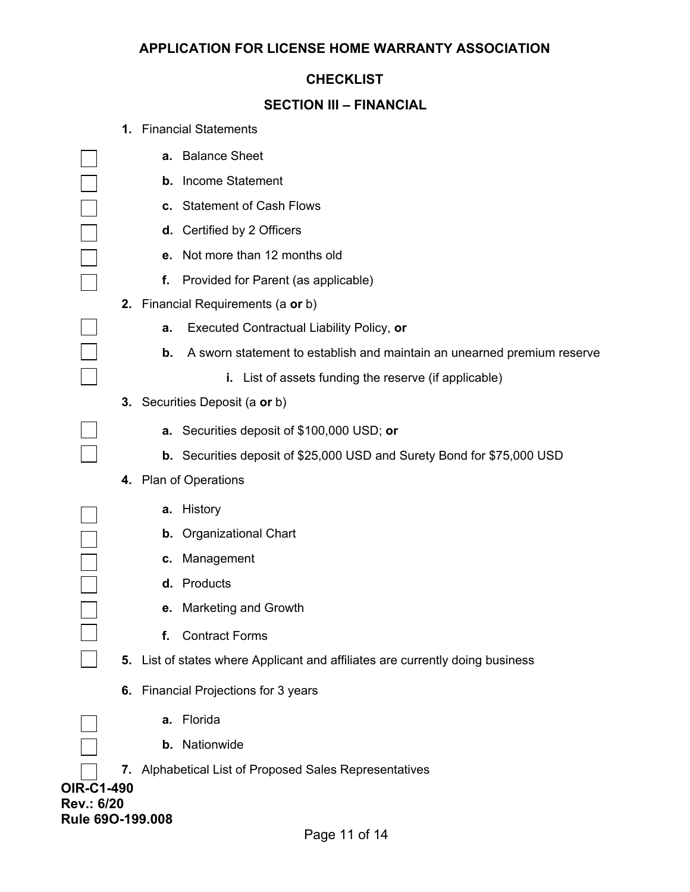#### **CHECKLIST**

# **SECTION III – FINANCIAL**

| <b>1.</b> Financial Statements |  |
|--------------------------------|--|
|--------------------------------|--|

|                                                     |    | а. | <b>Balance Sheet</b>                                                          |
|-----------------------------------------------------|----|----|-------------------------------------------------------------------------------|
|                                                     |    |    | <b>b.</b> Income Statement                                                    |
|                                                     |    |    | c. Statement of Cash Flows                                                    |
|                                                     |    |    | d. Certified by 2 Officers                                                    |
|                                                     |    |    | e. Not more than 12 months old                                                |
|                                                     |    | f. | Provided for Parent (as applicable)                                           |
|                                                     |    |    | 2. Financial Requirements (a or b)                                            |
|                                                     |    | a. | <b>Executed Contractual Liability Policy, or</b>                              |
|                                                     |    | b. | A sworn statement to establish and maintain an unearned premium reserve       |
|                                                     |    |    | i. List of assets funding the reserve (if applicable)                         |
|                                                     |    |    | <b>3.</b> Securities Deposit (a or b)                                         |
|                                                     |    |    | a. Securities deposit of \$100,000 USD; or                                    |
|                                                     |    |    | <b>b.</b> Securities deposit of \$25,000 USD and Surety Bond for \$75,000 USD |
|                                                     |    |    | 4. Plan of Operations                                                         |
|                                                     |    | а. | History                                                                       |
|                                                     |    |    | <b>b.</b> Organizational Chart                                                |
|                                                     |    | С. | Management                                                                    |
|                                                     |    |    | d. Products                                                                   |
|                                                     |    |    | e. Marketing and Growth                                                       |
|                                                     |    | f. | <b>Contract Forms</b>                                                         |
|                                                     |    |    | 5. List of states where Applicant and affiliates are currently doing business |
|                                                     | 6. |    | <b>Financial Projections for 3 years</b>                                      |
|                                                     |    | а. | Florida                                                                       |
|                                                     |    |    | <b>b.</b> Nationwide                                                          |
|                                                     |    |    | 7. Alphabetical List of Proposed Sales Representatives                        |
| <b>OIR-C1-490</b><br>Rev.: 6/20<br>Rule 690-199.008 |    |    |                                                                               |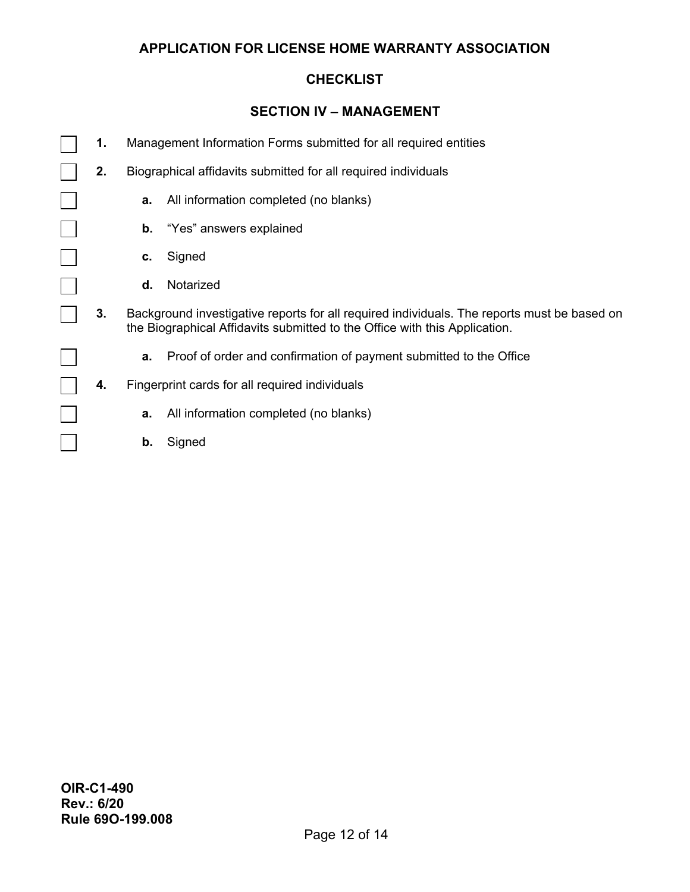#### **CHECKLIST**

#### **SECTION IV – MANAGEMENT**

- **1.** Management Information Forms submitted for all required entities
	- **2.** Biographical affidavits submitted for all required individuals
		- **a.** All information completed (no blanks)
		- **b.** "Yes" answers explained
		- **c.** Signed

 $\overline{a}$ 

 $\blacksquare$ 

 $\Box$ 

 $\mathcal{L}(\mathcal{A})$ 

- **d.** Notarized
- **3.** Background investigative reports for all required individuals. The reports must be based on the Biographical Affidavits submitted to the Office with this Application.
	- **a.** Proof of order and confirmation of payment submitted to the Office
- **4.** Fingerprint cards for all required individuals
	- **a.** All information completed (no blanks)
	- **b.** Signed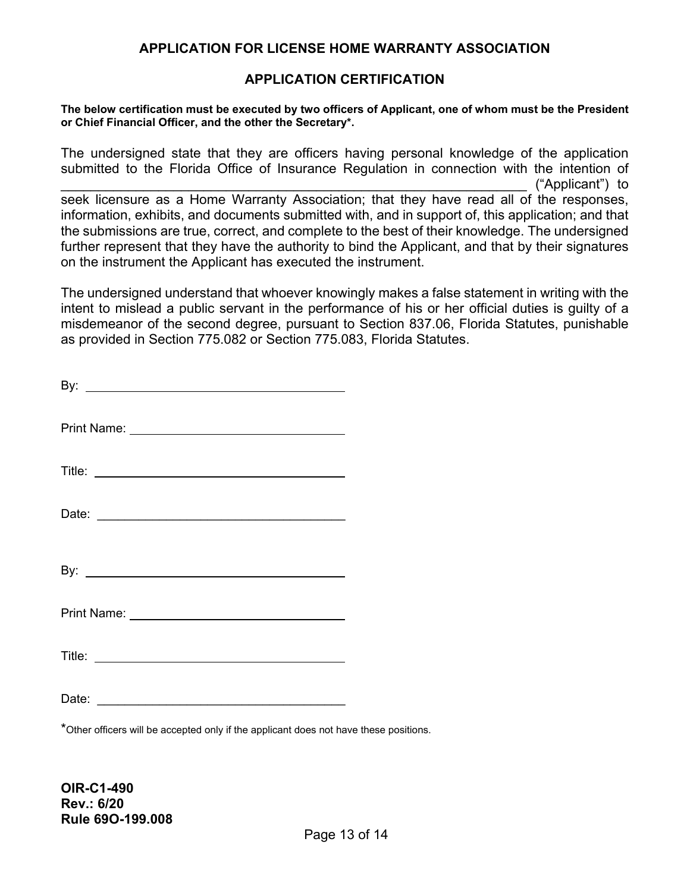#### **APPLICATION CERTIFICATION**

**The below certification must be executed by two officers of Applicant, one of whom must be the President or Chief Financial Officer, and the other the Secretary\*.**

The undersigned state that they are officers having personal knowledge of the application submitted to the Florida Office of Insurance Regulation in connection with the intention of \_\_\_\_\_\_\_\_\_\_\_\_\_\_\_\_\_\_\_\_\_\_\_\_\_\_\_\_\_\_\_\_\_\_\_\_\_\_\_\_\_\_\_\_\_\_\_\_\_\_\_\_\_\_\_\_\_\_\_\_\_\_ ("Applicant") to seek licensure as a Home Warranty Association; that they have read all of the responses, information, exhibits, and documents submitted with, and in support of, this application; and that the submissions are true, correct, and complete to the best of their knowledge. The undersigned further represent that they have the authority to bind the Applicant, and that by their signatures on the instrument the Applicant has executed the instrument.

The undersigned understand that whoever knowingly makes a false statement in writing with the intent to mislead a public servant in the performance of his or her official duties is guilty of a misdemeanor of the second degree, pursuant to Section 837.06, Florida Statutes, punishable as provided in Section 775.082 or Section 775.083, Florida Statutes.

\*Other officers will be accepted only if the applicant does not have these positions.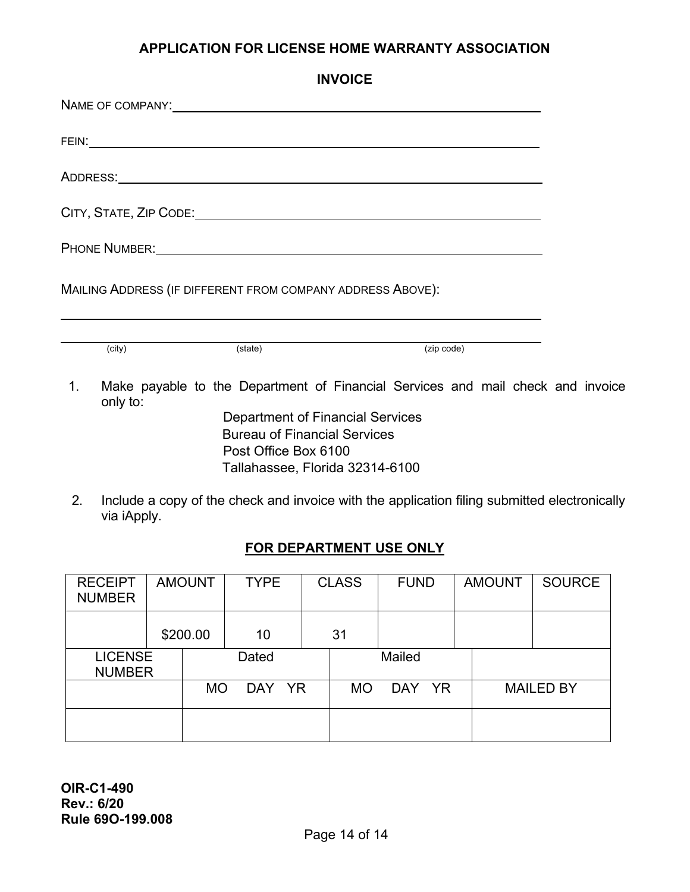|                |          | <b>INVOICE</b>                                                                                                                                                                                                                 |            |  |
|----------------|----------|--------------------------------------------------------------------------------------------------------------------------------------------------------------------------------------------------------------------------------|------------|--|
|                |          | NAME OF COMPANY: WE ARREST AND THE SERVICE OF COMPANY:                                                                                                                                                                         |            |  |
|                |          |                                                                                                                                                                                                                                |            |  |
|                |          |                                                                                                                                                                                                                                |            |  |
|                |          |                                                                                                                                                                                                                                |            |  |
|                |          | PHONE NUMBER: WE ARREST AND THE STATE OF THE STATE OF THE STATE OF THE STATE OF THE STATE OF THE STATE OF THE STATE OF THE STATE OF THE STATE OF THE STATE OF THE STATE OF THE STATE OF THE STATE OF THE STATE OF THE STATE OF |            |  |
|                |          | MAILING ADDRESS (IF DIFFERENT FROM COMPANY ADDRESS ABOVE):                                                                                                                                                                     |            |  |
|                |          |                                                                                                                                                                                                                                |            |  |
|                | (city)   | (state)                                                                                                                                                                                                                        | (zip code) |  |
| $\mathbf{1}$ . | only to: | Make payable to the Department of Financial Services and mail check and invoice                                                                                                                                                |            |  |
|                |          | <b>Department of Financial Services</b><br><b>Bureau of Financial Services</b>                                                                                                                                                 |            |  |
|                |          |                                                                                                                                                                                                                                |            |  |
|                |          | Post Office Box 6100                                                                                                                                                                                                           |            |  |
|                |          | Tallahassee, Florida 32314-6100                                                                                                                                                                                                |            |  |

## **FOR DEPARTMENT USE ONLY**

| <b>RECEIPT</b><br><b>NUMBER</b> | <b>AMOUNT</b> | <b>TYPE</b>             | <b>CLASS</b> | <b>FUND</b> |           | <b>AMOUNT</b> | <b>SOURCE</b>    |
|---------------------------------|---------------|-------------------------|--------------|-------------|-----------|---------------|------------------|
|                                 | \$200.00      | 10                      | 31           |             |           |               |                  |
| <b>LICENSE</b><br><b>NUMBER</b> |               | Dated                   |              | Mailed      |           |               |                  |
|                                 | <b>MO</b>     | <b>DAY</b><br><b>YR</b> | <b>MO</b>    | <b>DAY</b>  | <b>YR</b> |               | <b>MAILED BY</b> |
|                                 |               |                         |              |             |           |               |                  |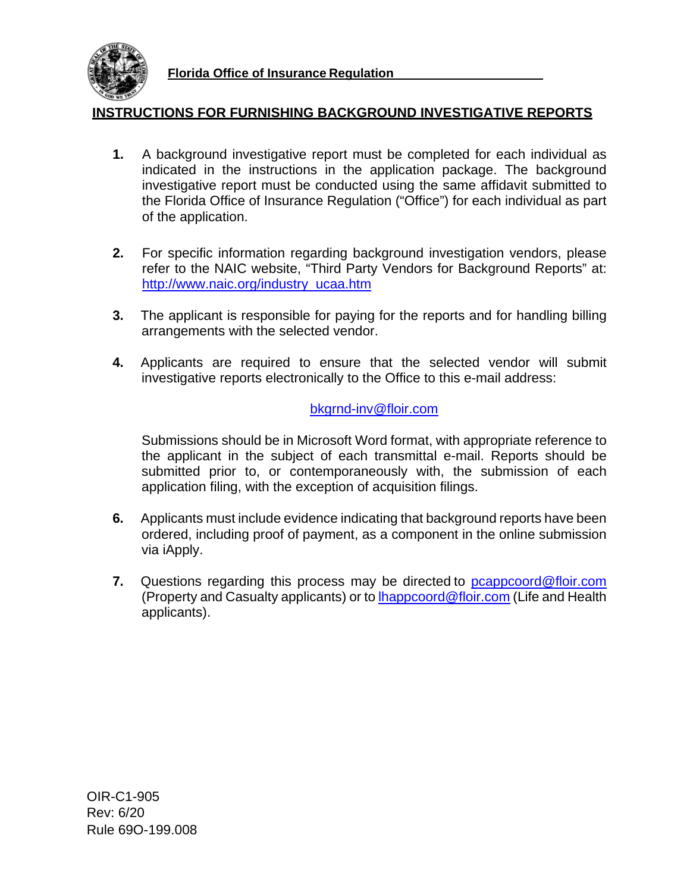

**Florida Office of Insurance Regulation**

#### **INSTRUCTIONS FOR FURNISHING BACKGROUND INVESTIGATIVE REPORTS**

- **1.** A background investigative report must be completed for each individual as indicated in the instructions in the application package. The background investigative report must be conducted using the same affidavit submitted to the Florida Office of Insurance Regulation ("Office") for each individual as part of the application.
- **2.** For specific information regarding background investigation vendors, please refer to the NAIC website, "Third Party Vendors for Background Reports" at: [http://www.naic.org/industry\\_ucaa.htm](http://www.naic.org/industry_ucaa.htm)
- **3.** The applicant is responsible for paying for the reports and for handling billing arrangements with the selected vendor.
- **4.** Applicants are required to ensure that the selected vendor will submit investigative reports electronically to the Office to this e-mail address:

#### [bkgrnd-inv@floir.com](mailto:bkgrnd-inv@floir.com)

Submissions should be in Microsoft Word format, with appropriate reference to the applicant in the subject of each transmittal e-mail. Reports should be submitted prior to, or contemporaneously with, the submission of each application filing, with the exception of acquisition filings.

- **6.** Applicants must include evidence indicating that background reports have been ordered, including proof of payment, as a component in the online submission via iApply.
- **7.** Questions regarding this process may be directed to **pcappcoord@floir.com** (Property and Casualty applicants) or to [lhappcoord@floir.com](mailto:lhappcoord@floir.com) (Life and Health applicants).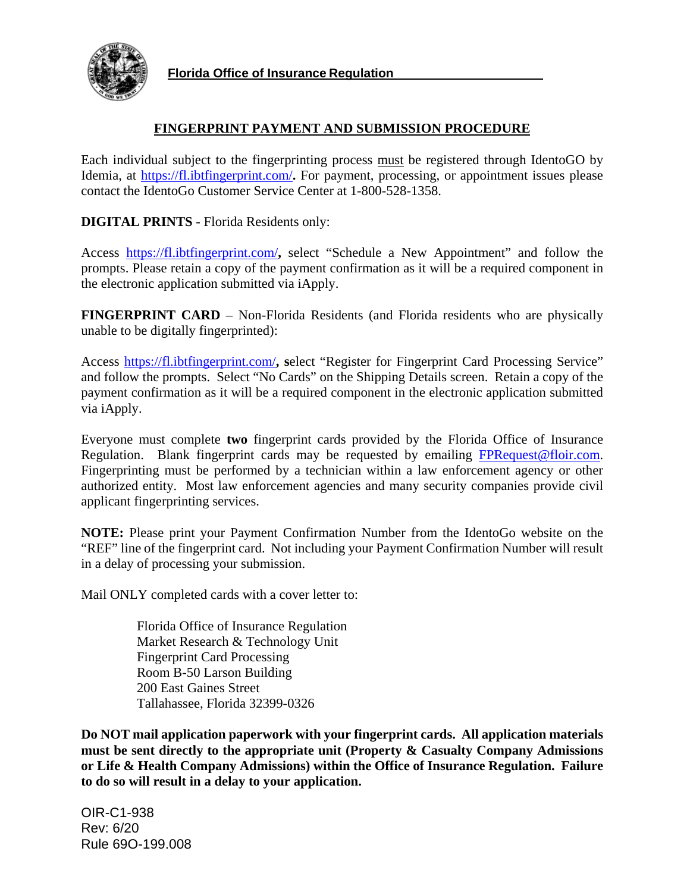

**Florida Office of Insurance Regulation**

#### **FINGERPRINT PAYMENT AND SUBMISSION PROCEDURE**

Each individual subject to the fingerprinting process must be registered through IdentoGO by Idemia, at<https://fl.ibtfingerprint.com/>**.** For payment, processing, or appointment issues please contact the IdentoGo Customer Service Center at 1-800-528-1358.

**DIGITAL PRINTS** - Florida Residents only:

Access <https://fl.ibtfingerprint.com/>**,** select "Schedule a New Appointment" and follow the prompts. Please retain a copy of the payment confirmation as it will be a required component in the electronic application submitted via iApply.

**FINGERPRINT CARD** – Non-Florida Residents (and Florida residents who are physically unable to be digitally fingerprinted):

Access<https://fl.ibtfingerprint.com/>**, s**elect "Register for Fingerprint Card Processing Service" and follow the prompts. Select "No Cards" on the Shipping Details screen. Retain a copy of the payment confirmation as it will be a required component in the electronic application submitted via iApply.

Everyone must complete **two** fingerprint cards provided by the Florida Office of Insurance Regulation. Blank fingerprint cards may be requested by emailing [FPRequest@floir.com.](mailto:FPRequest@floir.com) Fingerprinting must be performed by a technician within a law enforcement agency or other authorized entity. Most law enforcement agencies and many security companies provide civil applicant fingerprinting services.

**NOTE:** Please print your Payment Confirmation Number from the IdentoGo website on the "REF" line of the fingerprint card. Not including your Payment Confirmation Number will result in a delay of processing your submission.

Mail ONLY completed cards with a cover letter to:

Florida Office of Insurance Regulation Market Research & Technology Unit Fingerprint Card Processing Room B-50 Larson Building 200 East Gaines Street Tallahassee, Florida 32399-0326

**Do NOT mail application paperwork with your fingerprint cards. All application materials**  must be sent directly to the appropriate unit (Property & Casualty Company Admissions **or Life & Health Company Admissions) within the Office of Insurance Regulation. Failure to do so will result in a delay to your application.**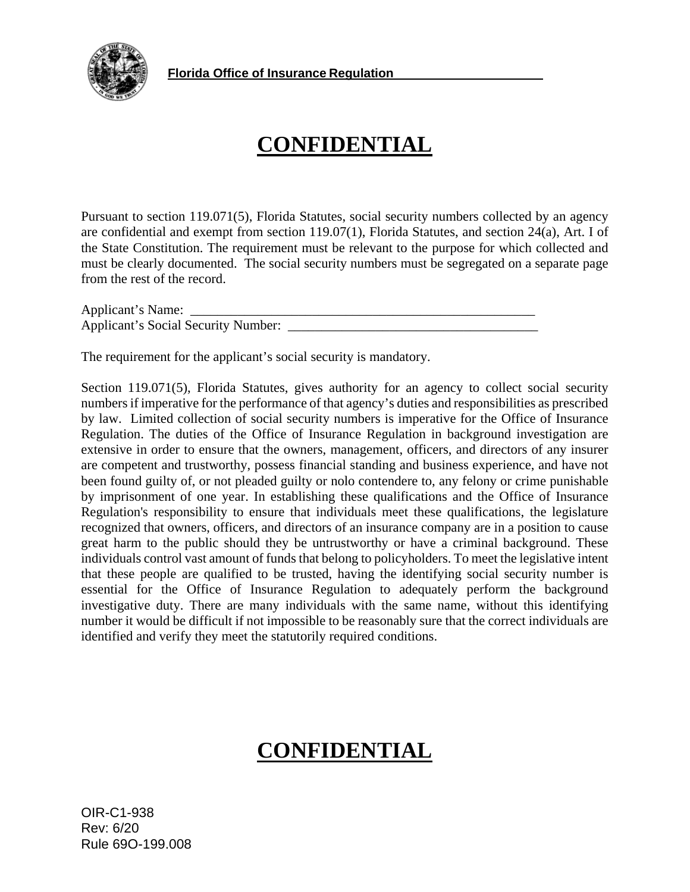

# **CONFIDENTIAL**

Pursuant to section 119.071(5), Florida Statutes, social security numbers collected by an agency are confidential and exempt from section 119.07(1), Florida Statutes, and section 24(a), Art. I of the State Constitution. The requirement must be relevant to the purpose for which collected and must be clearly documented. The social security numbers must be segregated on a separate page from the rest of the record.

Applicant's Name: \_\_\_\_\_\_\_\_\_\_\_\_\_\_\_\_\_\_\_\_\_\_\_\_\_\_\_\_\_\_\_\_\_\_\_\_\_\_\_\_\_\_\_\_\_\_\_\_\_\_\_ Applicant's Social Security Number: \_\_\_\_\_\_\_\_\_\_\_\_\_\_\_\_\_\_\_\_\_\_\_\_\_\_\_\_\_\_\_\_\_\_\_\_\_

The requirement for the applicant's social security is mandatory.

Section 119.071(5), Florida Statutes, gives authority for an agency to collect social security numbers if imperative for the performance of that agency's duties and responsibilities as prescribed by law. Limited collection of social security numbers is imperative for the Office of Insurance Regulation. The duties of the Office of Insurance Regulation in background investigation are extensive in order to ensure that the owners, management, officers, and directors of any insurer are competent and trustworthy, possess financial standing and business experience, and have not been found guilty of, or not pleaded guilty or nolo contendere to, any felony or crime punishable by imprisonment of one year. In establishing these qualifications and the Office of Insurance Regulation's responsibility to ensure that individuals meet these qualifications, the legislature recognized that owners, officers, and directors of an insurance company are in a position to cause great harm to the public should they be untrustworthy or have a criminal background. These individuals control vast amount of funds that belong to policyholders. To meet the legislative intent that these people are qualified to be trusted, having the identifying social security number is essential for the Office of Insurance Regulation to adequately perform the background investigative duty. There are many individuals with the same name, without this identifying number it would be difficult if not impossible to be reasonably sure that the correct individuals are identified and verify they meet the statutorily required conditions.

# **CONFIDENTIAL**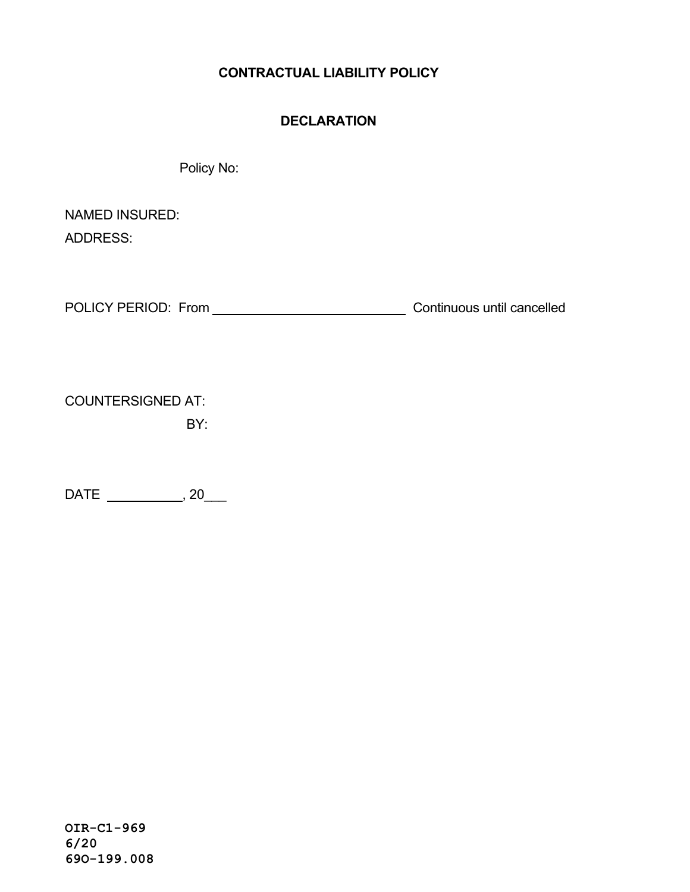## **CONTRACTUAL LIABILITY POLICY**

#### **DECLARATION**

Policy No:

NAMED INSURED: ADDRESS:

POLICY PERIOD: From Continuous until cancelled

COUNTERSIGNED AT:

BY:

DATE \_\_\_\_\_\_\_\_\_\_\_\_\_\_, 20\_\_\_\_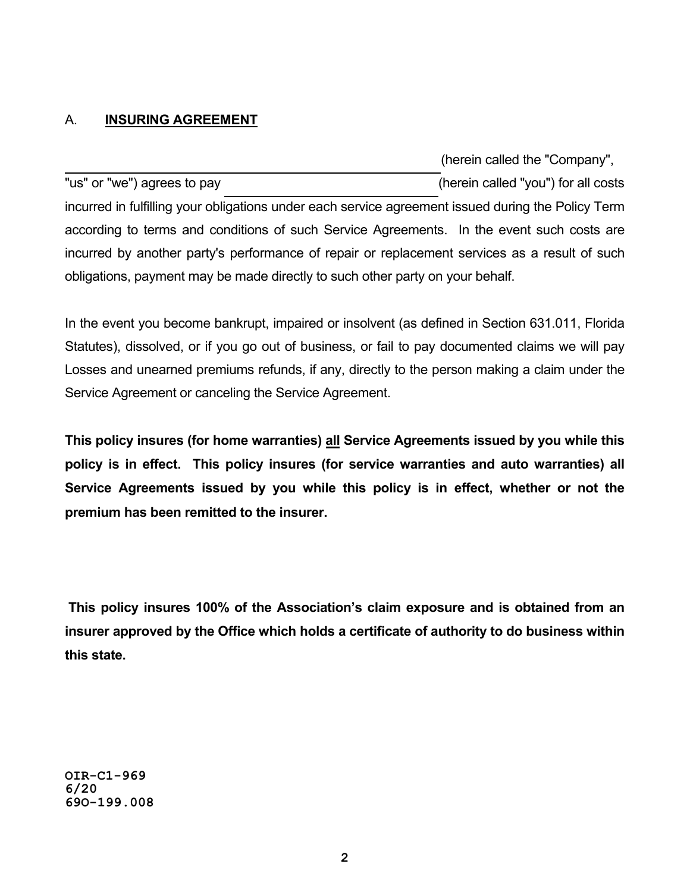## A. **INSURING AGREEMENT**

(herein called the "Company", "us" or "we") agrees to pay (herein called "you") for all costs incurred in fulfilling your obligations under each service agreement issued during the Policy Term according to terms and conditions of such Service Agreements. In the event such costs are incurred by another party's performance of repair or replacement services as a result of such obligations, payment may be made directly to such other party on your behalf.

In the event you become bankrupt, impaired or insolvent (as defined in Section 631.011, Florida Statutes), dissolved, or if you go out of business, or fail to pay documented claims we will pay Losses and unearned premiums refunds, if any, directly to the person making a claim under the Service Agreement or canceling the Service Agreement.

**This policy insures (for home warranties) all Service Agreements issued by you while this policy is in effect. This policy insures (for service warranties and auto warranties) all Service Agreements issued by you while this policy is in effect, whether or not the premium has been remitted to the insurer.** 

**This policy insures 100% of the Association's claim exposure and is obtained from an insurer approved by the Office which holds a certificate of authority to do business within this state.**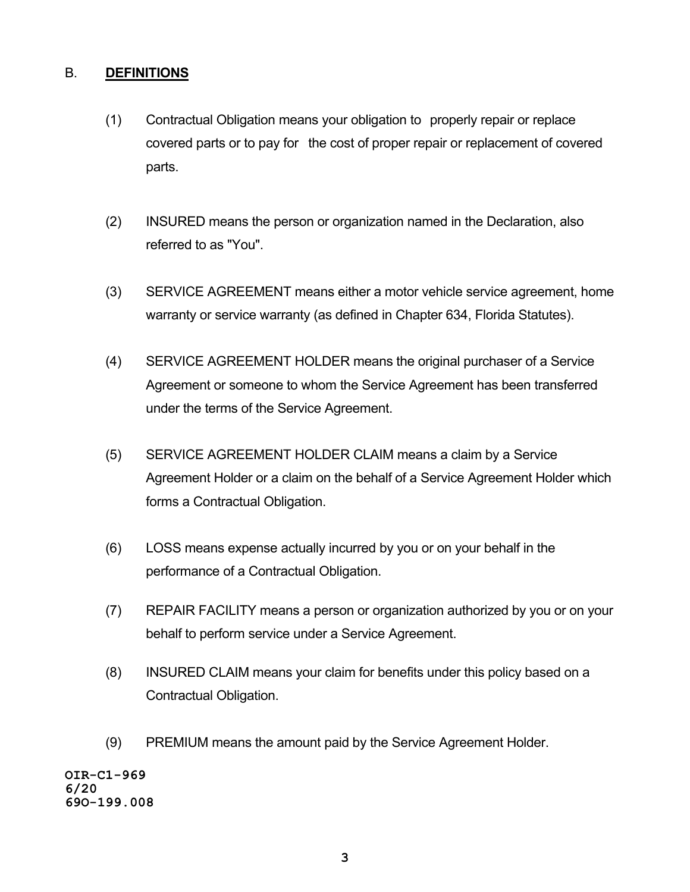#### B. **DEFINITIONS**

- (1) Contractual Obligation means your obligation to properly repair or replace covered parts or to pay for the cost of proper repair or replacement of covered parts.
- (2) INSURED means the person or organization named in the Declaration, also referred to as "You".
- (3) SERVICE AGREEMENT means either a motor vehicle service agreement, home warranty or service warranty (as defined in Chapter 634, Florida Statutes).
- (4) SERVICE AGREEMENT HOLDER means the original purchaser of a Service Agreement or someone to whom the Service Agreement has been transferred under the terms of the Service Agreement.
- (5) SERVICE AGREEMENT HOLDER CLAIM means a claim by a Service Agreement Holder or a claim on the behalf of a Service Agreement Holder which forms a Contractual Obligation.
- (6) LOSS means expense actually incurred by you or on your behalf in the performance of a Contractual Obligation.
- (7) REPAIR FACILITY means a person or organization authorized by you or on your behalf to perform service under a Service Agreement.
- (8) INSURED CLAIM means your claim for benefits under this policy based on a Contractual Obligation.
- (9) PREMIUM means the amount paid by the Service Agreement Holder.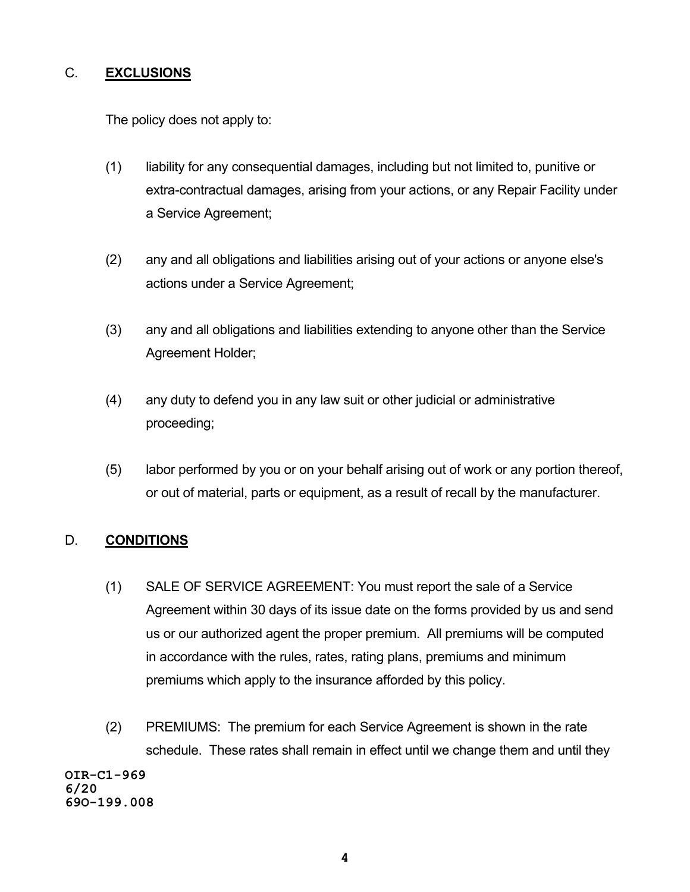## C. **EXCLUSIONS**

The policy does not apply to:

- (1) liability for any consequential damages, including but not limited to, punitive or extra-contractual damages, arising from your actions, or any Repair Facility under a Service Agreement;
- (2) any and all obligations and liabilities arising out of your actions or anyone else's actions under a Service Agreement;
- (3) any and all obligations and liabilities extending to anyone other than the Service Agreement Holder;
- (4) any duty to defend you in any law suit or other judicial or administrative proceeding;
- (5) labor performed by you or on your behalf arising out of work or any portion thereof, or out of material, parts or equipment, as a result of recall by the manufacturer.

## D. **CONDITIONS**

- (1) SALE OF SERVICE AGREEMENT: You must report the sale of a Service Agreement within 30 days of its issue date on the forms provided by us and send us or our authorized agent the proper premium. All premiums will be computed in accordance with the rules, rates, rating plans, premiums and minimum premiums which apply to the insurance afforded by this policy.
- (2) PREMIUMS: The premium for each Service Agreement is shown in the rate schedule. These rates shall remain in effect until we change them and until they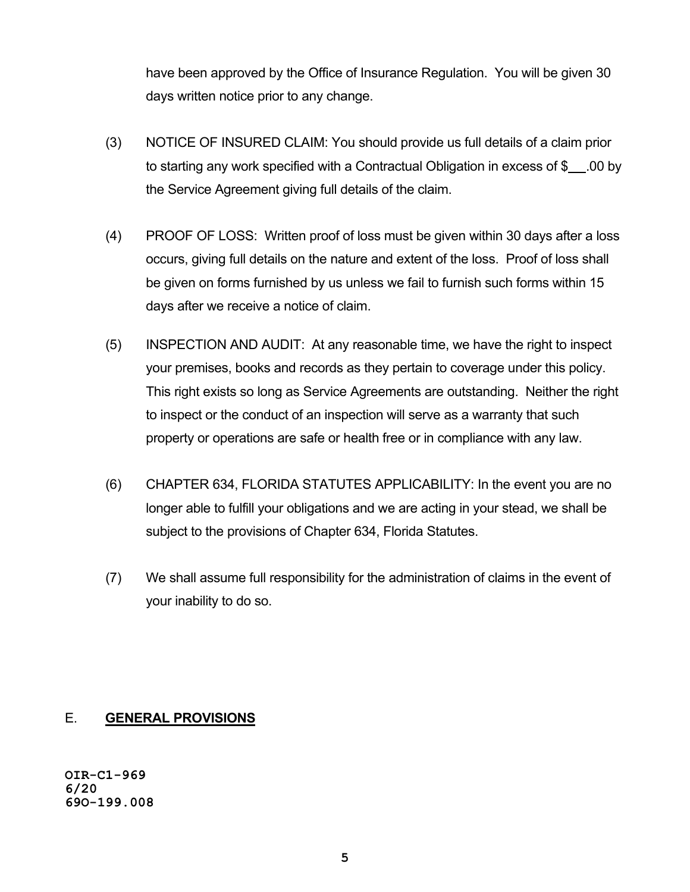have been approved by the Office of Insurance Regulation. You will be given 30 days written notice prior to any change.

- (3) NOTICE OF INSURED CLAIM: You should provide us full details of a claim prior to starting any work specified with a Contractual Obligation in excess of  $\frac{1}{2}$ . 00 by the Service Agreement giving full details of the claim.
- (4) PROOF OF LOSS: Written proof of loss must be given within 30 days after a loss occurs, giving full details on the nature and extent of the loss. Proof of loss shall be given on forms furnished by us unless we fail to furnish such forms within 15 days after we receive a notice of claim.
- (5) INSPECTION AND AUDIT: At any reasonable time, we have the right to inspect your premises, books and records as they pertain to coverage under this policy. This right exists so long as Service Agreements are outstanding. Neither the right to inspect or the conduct of an inspection will serve as a warranty that such property or operations are safe or health free or in compliance with any law.
- (6) CHAPTER 634, FLORIDA STATUTES APPLICABILITY: In the event you are no longer able to fulfill your obligations and we are acting in your stead, we shall be subject to the provisions of Chapter 634, Florida Statutes.
- (7) We shall assume full responsibility for the administration of claims in the event of your inability to do so.

## E. **GENERAL PROVISIONS**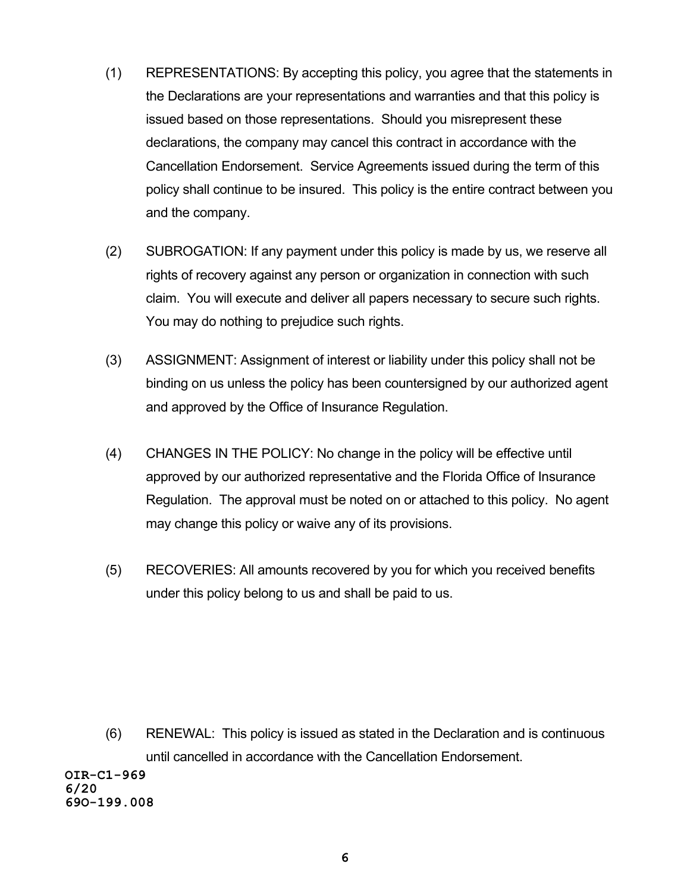- (1) REPRESENTATIONS: By accepting this policy, you agree that the statements in the Declarations are your representations and warranties and that this policy is issued based on those representations. Should you misrepresent these declarations, the company may cancel this contract in accordance with the Cancellation Endorsement. Service Agreements issued during the term of this policy shall continue to be insured. This policy is the entire contract between you and the company.
- (2) SUBROGATION: If any payment under this policy is made by us, we reserve all rights of recovery against any person or organization in connection with such claim. You will execute and deliver all papers necessary to secure such rights. You may do nothing to prejudice such rights.
- (3) ASSIGNMENT: Assignment of interest or liability under this policy shall not be binding on us unless the policy has been countersigned by our authorized agent and approved by the Office of Insurance Regulation.
- (4) CHANGES IN THE POLICY: No change in the policy will be effective until approved by our authorized representative and the Florida Office of Insurance Regulation. The approval must be noted on or attached to this policy. No agent may change this policy or waive any of its provisions.
- (5) RECOVERIES: All amounts recovered by you for which you received benefits under this policy belong to us and shall be paid to us.

(6) RENEWAL: This policy is issued as stated in the Declaration and is continuous until cancelled in accordance with the Cancellation Endorsement.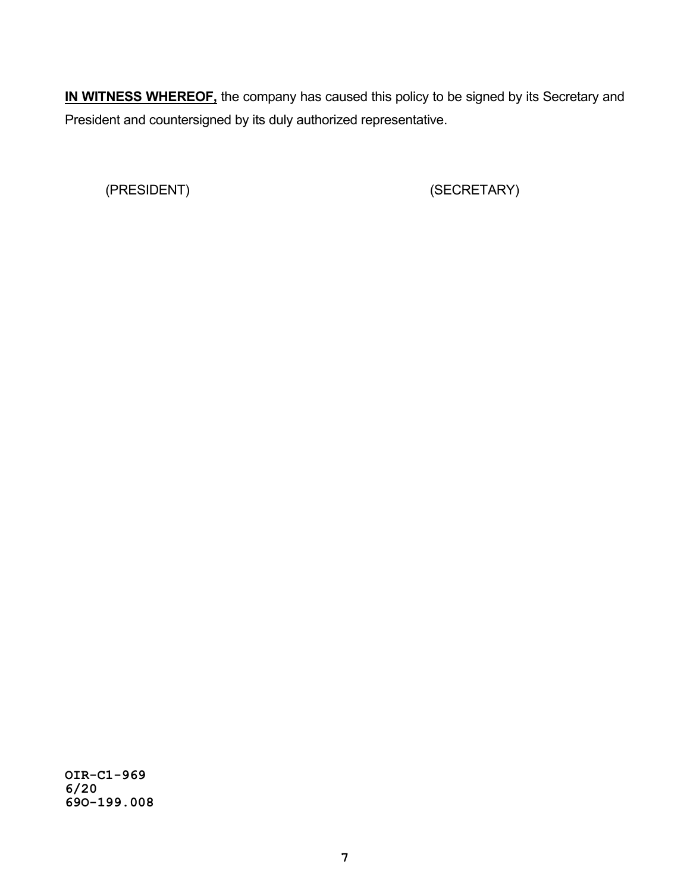**IN WITNESS WHEREOF,** the company has caused this policy to be signed by its Secretary and President and countersigned by its duly authorized representative.

(PRESIDENT) (SECRETARY)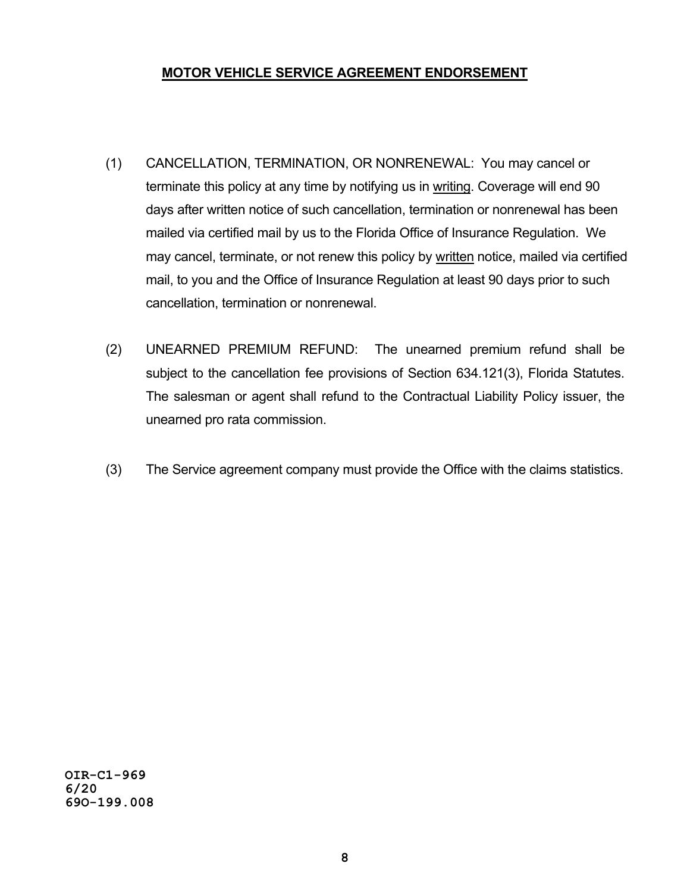## **MOTOR VEHICLE SERVICE AGREEMENT ENDORSEMENT**

- (1) CANCELLATION, TERMINATION, OR NONRENEWAL: You may cancel or terminate this policy at any time by notifying us in writing. Coverage will end 90 days after written notice of such cancellation, termination or nonrenewal has been mailed via certified mail by us to the Florida Office of Insurance Regulation. We may cancel, terminate, or not renew this policy by written notice, mailed via certified mail, to you and the Office of Insurance Regulation at least 90 days prior to such cancellation, termination or nonrenewal.
- (2) UNEARNED PREMIUM REFUND: The unearned premium refund shall be subject to the cancellation fee provisions of Section 634.121(3), Florida Statutes. The salesman or agent shall refund to the Contractual Liability Policy issuer, the unearned pro rata commission.
- (3) The Service agreement company must provide the Office with the claims statistics.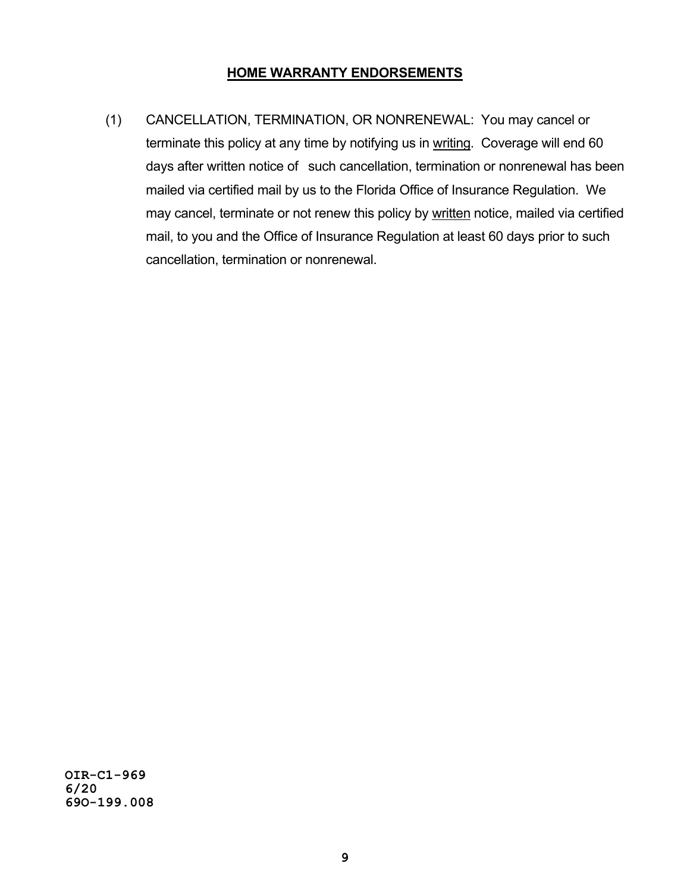## **HOME WARRANTY ENDORSEMENTS**

(1) CANCELLATION, TERMINATION, OR NONRENEWAL: You may cancel or terminate this policy at any time by notifying us in writing. Coverage will end 60 days after written notice of such cancellation, termination or nonrenewal has been mailed via certified mail by us to the Florida Office of Insurance Regulation. We may cancel, terminate or not renew this policy by written notice, mailed via certified mail, to you and the Office of Insurance Regulation at least 60 days prior to such cancellation, termination or nonrenewal.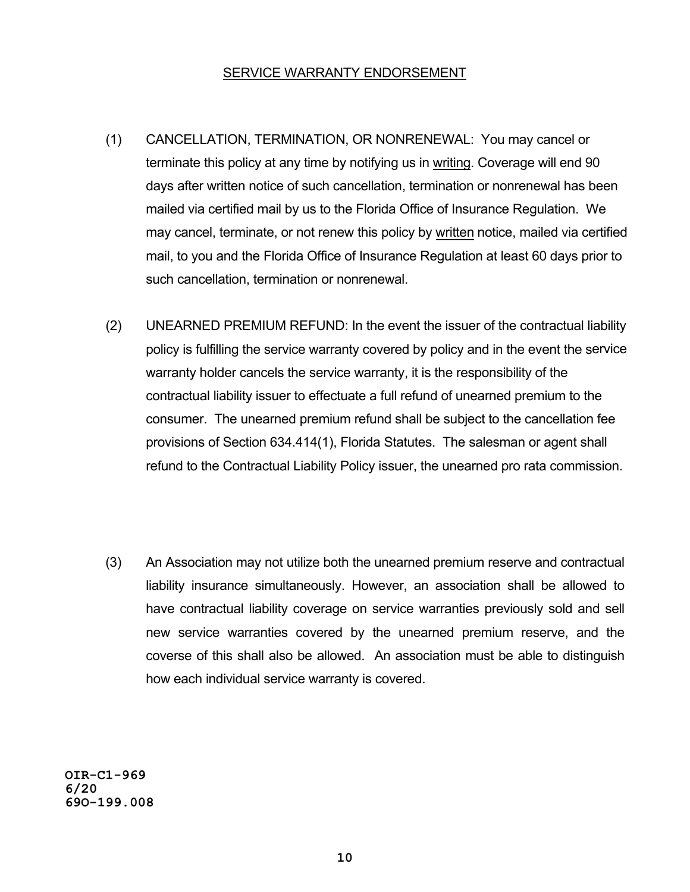#### SERVICE WARRANTY ENDORSEMENT

- (1) CANCELLATION, TERMINATION, OR NONRENEWAL: You may cancel or terminate this policy at any time by notifying us in writing. Coverage will end 90 days after written notice of such cancellation, termination or nonrenewal has been mailed via certified mail by us to the Florida Office of Insurance Regulation. We may cancel, terminate, or not renew this policy by written notice, mailed via certified mail, to you and the Florida Office of Insurance Regulation at least 60 days prior to such cancellation, termination or nonrenewal.
- (2) UNEARNED PREMIUM REFUND: In the event the issuer of the contractual liability policy is fulfilling the service warranty covered by policy and in the event the service warranty holder cancels the service warranty, it is the responsibility of the contractual liability issuer to effectuate a full refund of unearned premium to the consumer. The unearned premium refund shall be subject to the cancellation fee provisions of Section 634.414(1), Florida Statutes. The salesman or agent shall refund to the Contractual Liability Policy issuer, the unearned pro rata commission.
- (3) An Association may not utilize both the unearned premium reserve and contractual liability insurance simultaneously. However, an association shall be allowed to have contractual liability coverage on service warranties previously sold and sell new service warranties covered by the unearned premium reserve, and the coverse of this shall also be allowed. An association must be able to distinguish how each individual service warranty is covered.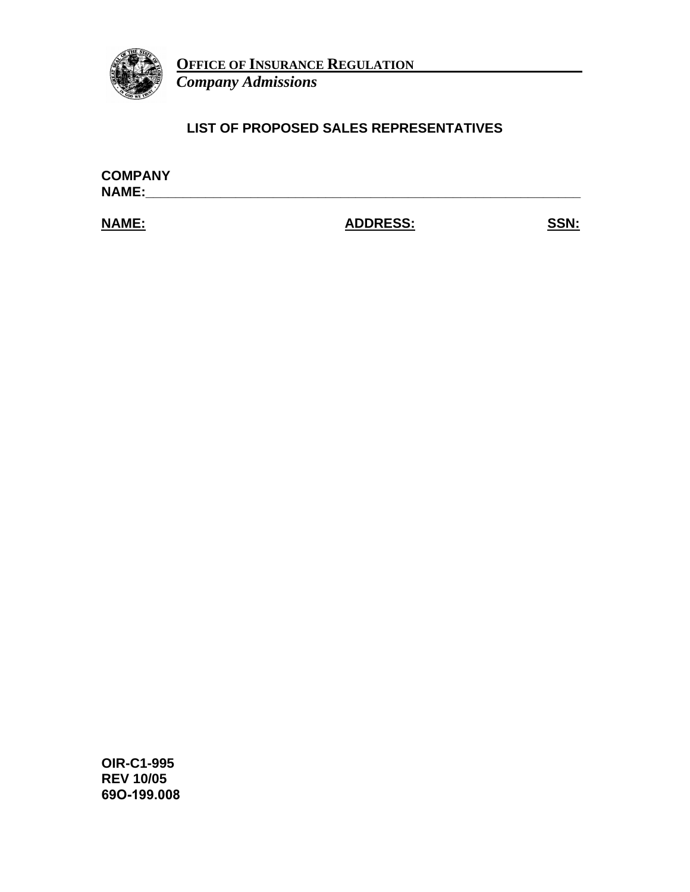

**OFFICE OF INSURANCE REGULATION**

*Company Admissions*

# **LIST OF PROPOSED SALES REPRESENTATIVES**

**COMPANY NAME:\_\_\_\_\_\_\_\_\_\_\_\_\_\_\_\_\_\_\_\_\_\_\_\_\_\_\_\_\_\_\_\_\_\_\_\_\_\_\_\_\_\_\_\_\_\_\_\_\_\_\_\_\_\_\_\_\_\_** 

**NAME: ADDRESS: SSN:**

**OIR-C1-995 REV 10/05 69O-199.008**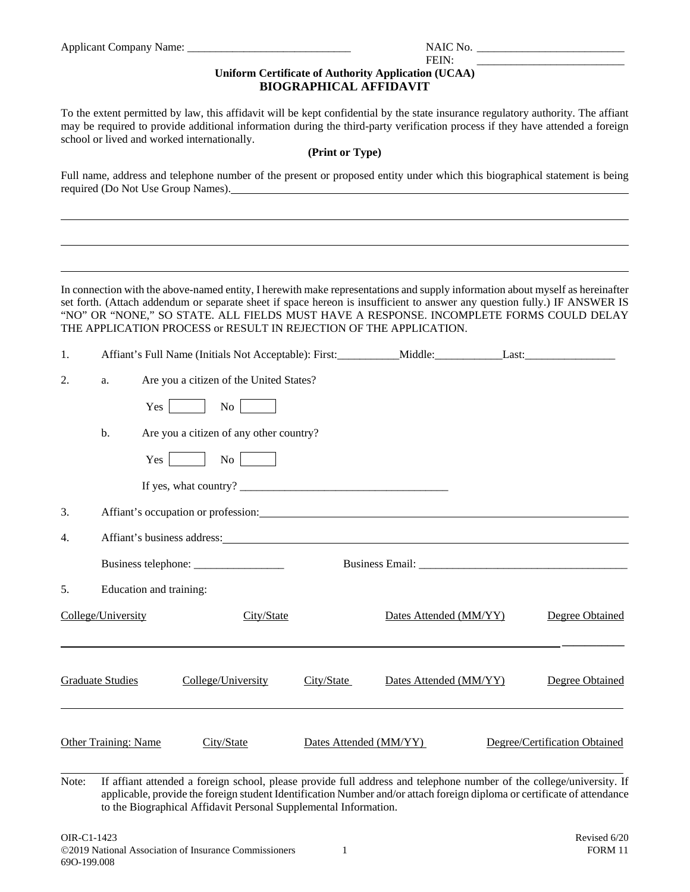|    |                             | Applicant Company Name: 1997                                                                                                                                                                                                                                                                                                                                                                                                |                               |                                                                     |  |                               |  |
|----|-----------------------------|-----------------------------------------------------------------------------------------------------------------------------------------------------------------------------------------------------------------------------------------------------------------------------------------------------------------------------------------------------------------------------------------------------------------------------|-------------------------------|---------------------------------------------------------------------|--|-------------------------------|--|
|    |                             |                                                                                                                                                                                                                                                                                                                                                                                                                             | <b>BIOGRAPHICAL AFFIDAVIT</b> | FEIN:<br><b>Uniform Certificate of Authority Application (UCAA)</b> |  |                               |  |
|    |                             | To the extent permitted by law, this affidavit will be kept confidential by the state insurance regulatory authority. The affiant<br>may be required to provide additional information during the third-party verification process if they have attended a foreign<br>school or lived and worked internationally.                                                                                                           |                               |                                                                     |  |                               |  |
|    |                             |                                                                                                                                                                                                                                                                                                                                                                                                                             | (Print or Type)               |                                                                     |  |                               |  |
|    |                             | Full name, address and telephone number of the present or proposed entity under which this biographical statement is being<br>required (Do Not Use Group Names).                                                                                                                                                                                                                                                            |                               |                                                                     |  |                               |  |
|    |                             | In connection with the above-named entity, I herewith make representations and supply information about myself as hereinafter<br>set forth. (Attach addendum or separate sheet if space hereon is insufficient to answer any question fully.) IF ANSWER IS<br>"NO" OR "NONE," SO STATE. ALL FIELDS MUST HAVE A RESPONSE. INCOMPLETE FORMS COULD DELAY<br>THE APPLICATION PROCESS or RESULT IN REJECTION OF THE APPLICATION. |                               |                                                                     |  |                               |  |
| 1. |                             | Affiant's Full Name (Initials Not Acceptable): First: _________Middle: __________Last: _______________________                                                                                                                                                                                                                                                                                                              |                               |                                                                     |  |                               |  |
| 2. | a.                          | Are you a citizen of the United States?                                                                                                                                                                                                                                                                                                                                                                                     |                               |                                                                     |  |                               |  |
|    | Yes                         | No                                                                                                                                                                                                                                                                                                                                                                                                                          |                               |                                                                     |  |                               |  |
|    | b.                          | Are you a citizen of any other country?                                                                                                                                                                                                                                                                                                                                                                                     |                               |                                                                     |  |                               |  |
|    | Yes                         | No                                                                                                                                                                                                                                                                                                                                                                                                                          |                               |                                                                     |  |                               |  |
|    |                             |                                                                                                                                                                                                                                                                                                                                                                                                                             |                               |                                                                     |  |                               |  |
| 3. |                             | Affiant's occupation or profession: Manual Affiant's occupation or profession:                                                                                                                                                                                                                                                                                                                                              |                               |                                                                     |  |                               |  |
| 4. | Affiant's business address: |                                                                                                                                                                                                                                                                                                                                                                                                                             |                               |                                                                     |  |                               |  |
|    |                             |                                                                                                                                                                                                                                                                                                                                                                                                                             |                               |                                                                     |  |                               |  |
| 5. | Education and training:     |                                                                                                                                                                                                                                                                                                                                                                                                                             |                               |                                                                     |  |                               |  |
|    | College/University          | City/State                                                                                                                                                                                                                                                                                                                                                                                                                  |                               | Dates Attended (MM/YY)                                              |  | <b>Degree Obtained</b>        |  |
|    | <b>Graduate Studies</b>     | College/University                                                                                                                                                                                                                                                                                                                                                                                                          | City/State                    | Dates Attended (MM/YY)                                              |  | Degree Obtained               |  |
|    | <b>Other Training: Name</b> | City/State                                                                                                                                                                                                                                                                                                                                                                                                                  | Dates Attended (MM/YY)        |                                                                     |  | Degree/Certification Obtained |  |
|    |                             | Note: If affiant attended a foreign school, please provide full address and telephone number of the college/university. If                                                                                                                                                                                                                                                                                                  |                               |                                                                     |  |                               |  |

Note: If affiant attended a foreign school, please provide full address and telephone number of the college/university. If applicable, provide the foreign student Identification Number and/or attach foreign diploma or certificate of attendance to the Biographical Affidavit Personal Supplemental Information.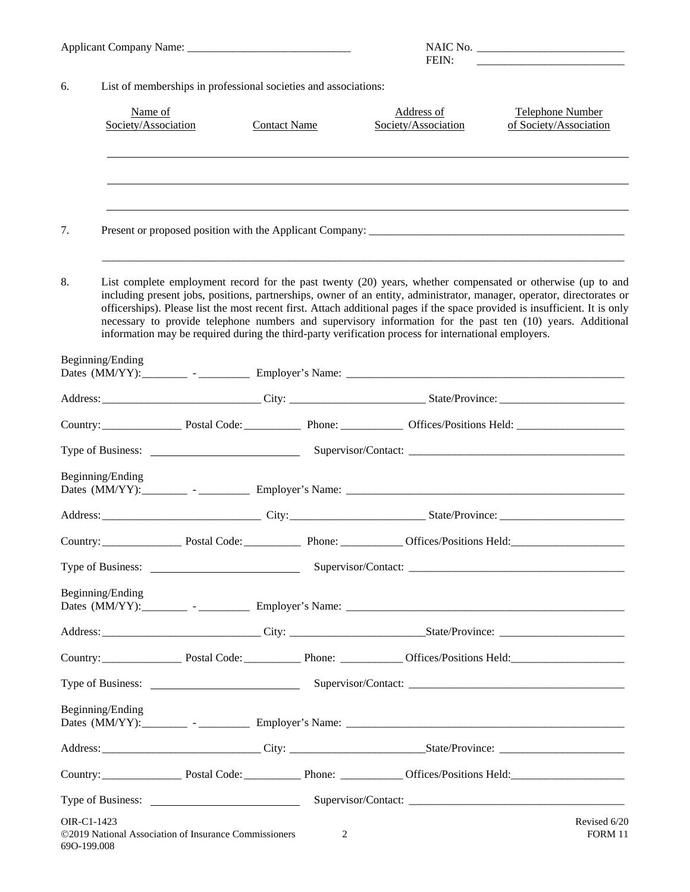|                  |                                                                 |                     | FEIN:                                                                                                |                                                                                                                                                                                                                                                                                                                                                                                                                                                                                    |  |  |
|------------------|-----------------------------------------------------------------|---------------------|------------------------------------------------------------------------------------------------------|------------------------------------------------------------------------------------------------------------------------------------------------------------------------------------------------------------------------------------------------------------------------------------------------------------------------------------------------------------------------------------------------------------------------------------------------------------------------------------|--|--|
| 6.               | List of memberships in professional societies and associations: |                     |                                                                                                      |                                                                                                                                                                                                                                                                                                                                                                                                                                                                                    |  |  |
|                  | Name of<br>Society/Association                                  | <b>Contact Name</b> | Address of<br>Society/Association                                                                    | Telephone Number<br>of Society/Association                                                                                                                                                                                                                                                                                                                                                                                                                                         |  |  |
|                  |                                                                 |                     |                                                                                                      |                                                                                                                                                                                                                                                                                                                                                                                                                                                                                    |  |  |
| 7.               |                                                                 |                     |                                                                                                      |                                                                                                                                                                                                                                                                                                                                                                                                                                                                                    |  |  |
| 8.               |                                                                 |                     | information may be required during the third-party verification process for international employers. | List complete employment record for the past twenty (20) years, whether compensated or otherwise (up to and<br>including present jobs, positions, partnerships, owner of an entity, administrator, manager, operator, directorates or<br>officerships). Please list the most recent first. Attach additional pages if the space provided is insufficient. It is only<br>necessary to provide telephone numbers and supervisory information for the past ten (10) years. Additional |  |  |
| Beginning/Ending |                                                                 |                     |                                                                                                      |                                                                                                                                                                                                                                                                                                                                                                                                                                                                                    |  |  |
|                  |                                                                 |                     |                                                                                                      |                                                                                                                                                                                                                                                                                                                                                                                                                                                                                    |  |  |
|                  |                                                                 |                     |                                                                                                      | Country: Country: Postal Code: Postal Code: Phone: Country: Country: Country:                                                                                                                                                                                                                                                                                                                                                                                                      |  |  |
|                  |                                                                 |                     |                                                                                                      |                                                                                                                                                                                                                                                                                                                                                                                                                                                                                    |  |  |
| Beginning/Ending |                                                                 |                     |                                                                                                      |                                                                                                                                                                                                                                                                                                                                                                                                                                                                                    |  |  |
|                  |                                                                 |                     |                                                                                                      |                                                                                                                                                                                                                                                                                                                                                                                                                                                                                    |  |  |
|                  |                                                                 |                     |                                                                                                      | Country: Postal Code: Phone: Country: Country:                                                                                                                                                                                                                                                                                                                                                                                                                                     |  |  |
|                  |                                                                 |                     |                                                                                                      |                                                                                                                                                                                                                                                                                                                                                                                                                                                                                    |  |  |
| Beginning/Ending |                                                                 |                     |                                                                                                      |                                                                                                                                                                                                                                                                                                                                                                                                                                                                                    |  |  |
|                  |                                                                 |                     |                                                                                                      |                                                                                                                                                                                                                                                                                                                                                                                                                                                                                    |  |  |
|                  |                                                                 |                     |                                                                                                      | Country: Postal Code: Phone: Country: Country: Phone: Phone: Country: Phone: Phone: Country: Phone: Phone: Country: Country: Phone: Phone: Phone: Country: Country: Phone: Phone: Country: Country: Country: Country: Country:                                                                                                                                                                                                                                                     |  |  |
|                  |                                                                 |                     |                                                                                                      |                                                                                                                                                                                                                                                                                                                                                                                                                                                                                    |  |  |
| Beginning/Ending |                                                                 |                     |                                                                                                      |                                                                                                                                                                                                                                                                                                                                                                                                                                                                                    |  |  |
|                  |                                                                 |                     |                                                                                                      |                                                                                                                                                                                                                                                                                                                                                                                                                                                                                    |  |  |
|                  |                                                                 |                     |                                                                                                      |                                                                                                                                                                                                                                                                                                                                                                                                                                                                                    |  |  |
|                  |                                                                 |                     |                                                                                                      |                                                                                                                                                                                                                                                                                                                                                                                                                                                                                    |  |  |
| OIR-C1-1423      |                                                                 |                     |                                                                                                      | Revised 6/20                                                                                                                                                                                                                                                                                                                                                                                                                                                                       |  |  |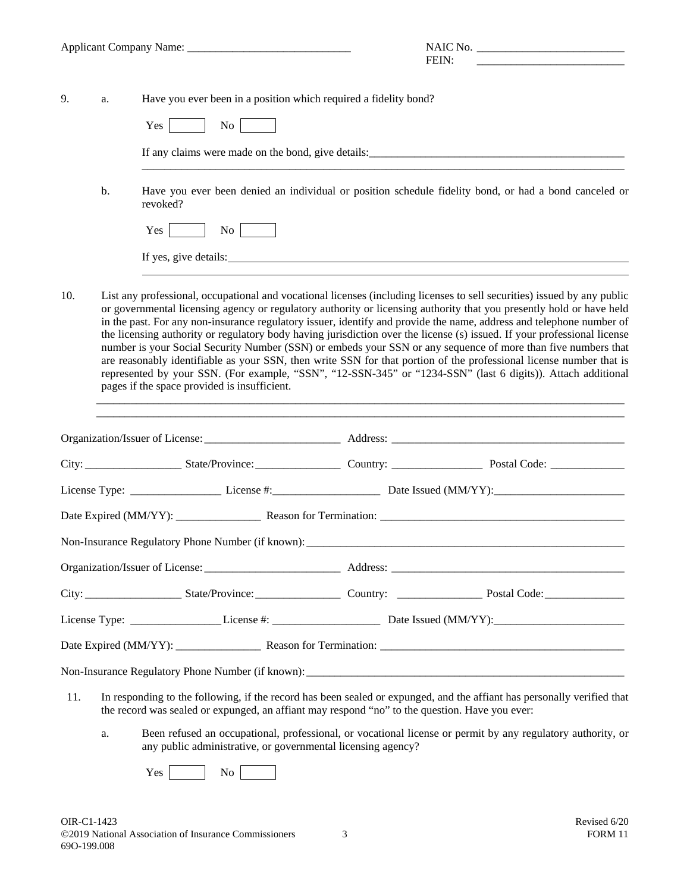|     |                                                                                                                                                                                                                                                                                                                                                                                                                                                                                                                                                                                                                                                                                                                                                                                                                                                                                                              |                                                                                                                                                                                                                           | FEIN: |  |  |  |  |
|-----|--------------------------------------------------------------------------------------------------------------------------------------------------------------------------------------------------------------------------------------------------------------------------------------------------------------------------------------------------------------------------------------------------------------------------------------------------------------------------------------------------------------------------------------------------------------------------------------------------------------------------------------------------------------------------------------------------------------------------------------------------------------------------------------------------------------------------------------------------------------------------------------------------------------|---------------------------------------------------------------------------------------------------------------------------------------------------------------------------------------------------------------------------|-------|--|--|--|--|
|     |                                                                                                                                                                                                                                                                                                                                                                                                                                                                                                                                                                                                                                                                                                                                                                                                                                                                                                              |                                                                                                                                                                                                                           |       |  |  |  |  |
| 9.  | a.                                                                                                                                                                                                                                                                                                                                                                                                                                                                                                                                                                                                                                                                                                                                                                                                                                                                                                           | Have you ever been in a position which required a fidelity bond?                                                                                                                                                          |       |  |  |  |  |
|     |                                                                                                                                                                                                                                                                                                                                                                                                                                                                                                                                                                                                                                                                                                                                                                                                                                                                                                              | No l<br>Yes                                                                                                                                                                                                               |       |  |  |  |  |
|     |                                                                                                                                                                                                                                                                                                                                                                                                                                                                                                                                                                                                                                                                                                                                                                                                                                                                                                              |                                                                                                                                                                                                                           |       |  |  |  |  |
|     | b.                                                                                                                                                                                                                                                                                                                                                                                                                                                                                                                                                                                                                                                                                                                                                                                                                                                                                                           | Have you ever been denied an individual or position schedule fidelity bond, or had a bond canceled or<br>revoked?                                                                                                         |       |  |  |  |  |
|     |                                                                                                                                                                                                                                                                                                                                                                                                                                                                                                                                                                                                                                                                                                                                                                                                                                                                                                              | $\overline{N\sigma}$<br>Yes                                                                                                                                                                                               |       |  |  |  |  |
|     |                                                                                                                                                                                                                                                                                                                                                                                                                                                                                                                                                                                                                                                                                                                                                                                                                                                                                                              | If yes, give details:                                                                                                                                                                                                     |       |  |  |  |  |
| 10. | List any professional, occupational and vocational licenses (including licenses to sell securities) issued by any public<br>or governmental licensing agency or regulatory authority or licensing authority that you presently hold or have held<br>in the past. For any non-insurance regulatory issuer, identify and provide the name, address and telephone number of<br>the licensing authority or regulatory body having jurisdiction over the license (s) issued. If your professional license<br>number is your Social Security Number (SSN) or embeds your SSN or any sequence of more than five numbers that<br>are reasonably identifiable as your SSN, then write SSN for that portion of the professional license number that is<br>represented by your SSN. (For example, "SSN", "12-SSN-345" or "1234-SSN" (last 6 digits)). Attach additional<br>pages if the space provided is insufficient. |                                                                                                                                                                                                                           |       |  |  |  |  |
|     |                                                                                                                                                                                                                                                                                                                                                                                                                                                                                                                                                                                                                                                                                                                                                                                                                                                                                                              |                                                                                                                                                                                                                           |       |  |  |  |  |
|     |                                                                                                                                                                                                                                                                                                                                                                                                                                                                                                                                                                                                                                                                                                                                                                                                                                                                                                              |                                                                                                                                                                                                                           |       |  |  |  |  |
|     |                                                                                                                                                                                                                                                                                                                                                                                                                                                                                                                                                                                                                                                                                                                                                                                                                                                                                                              |                                                                                                                                                                                                                           |       |  |  |  |  |
|     |                                                                                                                                                                                                                                                                                                                                                                                                                                                                                                                                                                                                                                                                                                                                                                                                                                                                                                              |                                                                                                                                                                                                                           |       |  |  |  |  |
|     |                                                                                                                                                                                                                                                                                                                                                                                                                                                                                                                                                                                                                                                                                                                                                                                                                                                                                                              | Non-Insurance Regulatory Phone Number (if known):                                                                                                                                                                         |       |  |  |  |  |
|     |                                                                                                                                                                                                                                                                                                                                                                                                                                                                                                                                                                                                                                                                                                                                                                                                                                                                                                              |                                                                                                                                                                                                                           |       |  |  |  |  |
|     |                                                                                                                                                                                                                                                                                                                                                                                                                                                                                                                                                                                                                                                                                                                                                                                                                                                                                                              |                                                                                                                                                                                                                           |       |  |  |  |  |
|     |                                                                                                                                                                                                                                                                                                                                                                                                                                                                                                                                                                                                                                                                                                                                                                                                                                                                                                              |                                                                                                                                                                                                                           |       |  |  |  |  |
|     |                                                                                                                                                                                                                                                                                                                                                                                                                                                                                                                                                                                                                                                                                                                                                                                                                                                                                                              |                                                                                                                                                                                                                           |       |  |  |  |  |
|     |                                                                                                                                                                                                                                                                                                                                                                                                                                                                                                                                                                                                                                                                                                                                                                                                                                                                                                              |                                                                                                                                                                                                                           |       |  |  |  |  |
| 11. |                                                                                                                                                                                                                                                                                                                                                                                                                                                                                                                                                                                                                                                                                                                                                                                                                                                                                                              | In responding to the following, if the record has been sealed or expunged, and the affiant has personally verified that<br>the record was sealed or expunged, an affiant may respond "no" to the question. Have you ever: |       |  |  |  |  |
|     | a.                                                                                                                                                                                                                                                                                                                                                                                                                                                                                                                                                                                                                                                                                                                                                                                                                                                                                                           | Been refused an occupational, professional, or vocational license or permit by any regulatory authority, or<br>any public administrative, or governmental licensing agency?                                               |       |  |  |  |  |
|     |                                                                                                                                                                                                                                                                                                                                                                                                                                                                                                                                                                                                                                                                                                                                                                                                                                                                                                              | No<br>Yes                                                                                                                                                                                                                 |       |  |  |  |  |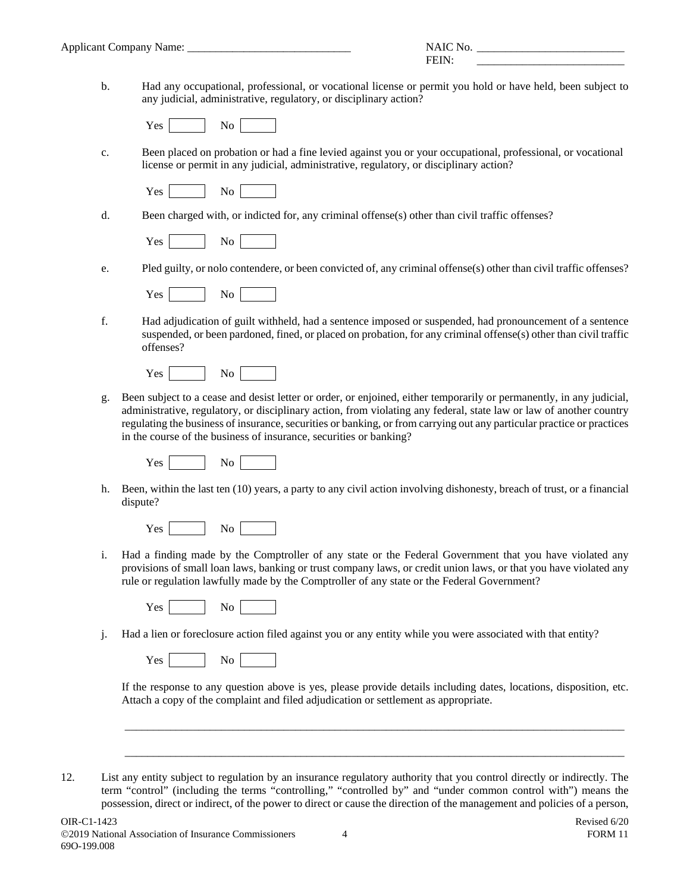b. Had any occupational, professional, or vocational license or permit you hold or have held, been subject to any judicial, administrative, regulatory, or disciplinary action?

Yes No

c. Been placed on probation or had a fine levied against you or your occupational, professional, or vocational license or permit in any judicial, administrative, regulatory, or disciplinary action?

Yes No

d. Been charged with, or indicted for, any criminal offense(s) other than civil traffic offenses?

Yes No

e. Pled guilty, or nolo contendere, or been convicted of, any criminal offense(s) other than civil traffic offenses?

| ₹.<br>'es |  | - |  |  |
|-----------|--|---|--|--|
|-----------|--|---|--|--|

f. Had adjudication of guilt withheld, had a sentence imposed or suspended, had pronouncement of a sentence suspended, or been pardoned, fined, or placed on probation, for any criminal offense(s) other than civil traffic offenses?

Yes No

g. Been subject to a cease and desist letter or order, or enjoined, either temporarily or permanently, in any judicial, administrative, regulatory, or disciplinary action, from violating any federal, state law or law of another country regulating the business of insurance, securities or banking, or from carrying out any particular practice or practices in the course of the business of insurance, securities or banking?

| ×.<br>A <sup>c</sup><br>$\ddot{\,}$ |  |  |  |
|-------------------------------------|--|--|--|
|-------------------------------------|--|--|--|

h. Been, within the last ten (10) years, a party to any civil action involving dishonesty, breach of trust, or a financial dispute?

|--|--|--|

i. Had a finding made by the Comptroller of any state or the Federal Government that you have violated any provisions of small loan laws, banking or trust company laws, or credit union laws, or that you have violated any rule or regulation lawfully made by the Comptroller of any state or the Federal Government?

Yes No

j. Had a lien or foreclosure action filed against you or any entity while you were associated with that entity?

Yes No

If the response to any question above is yes, please provide details including dates, locations, disposition, etc. Attach a copy of the complaint and filed adjudication or settlement as appropriate.

\_\_\_\_\_\_\_\_\_\_\_\_\_\_\_\_\_\_\_\_\_\_\_\_\_\_\_\_\_\_\_\_\_\_\_\_\_\_\_\_\_\_\_\_\_\_\_\_\_\_\_\_\_\_\_\_\_\_\_\_\_\_\_\_\_\_\_\_\_\_\_\_\_\_\_\_\_\_\_\_\_\_\_\_\_\_\_\_

\_\_\_\_\_\_\_\_\_\_\_\_\_\_\_\_\_\_\_\_\_\_\_\_\_\_\_\_\_\_\_\_\_\_\_\_\_\_\_\_\_\_\_\_\_\_\_\_\_\_\_\_\_\_\_\_\_\_\_\_\_\_\_\_\_\_\_\_\_\_\_\_\_\_\_\_\_\_\_\_\_\_\_\_\_\_\_\_

12. List any entity subject to regulation by an insurance regulatory authority that you control directly or indirectly. The term "control" (including the terms "controlling," "controlled by" and "under common control with") means the possession, direct or indirect, of the power to direct or cause the direction of the management and policies of a person,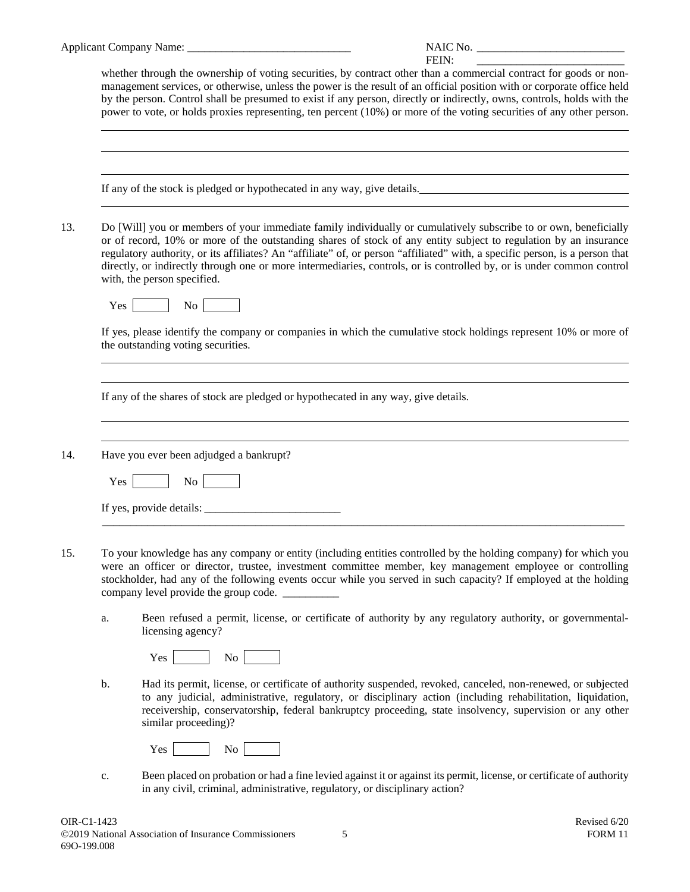|     |     | FEIN:                                                                                                                                                                                                                                                                                                                                                                                                                                                                                                                        |
|-----|-----|------------------------------------------------------------------------------------------------------------------------------------------------------------------------------------------------------------------------------------------------------------------------------------------------------------------------------------------------------------------------------------------------------------------------------------------------------------------------------------------------------------------------------|
|     |     | whether through the ownership of voting securities, by contract other than a commercial contract for goods or non-<br>management services, or otherwise, unless the power is the result of an official position with or corporate office held<br>by the person. Control shall be presumed to exist if any person, directly or indirectly, owns, controls, holds with the<br>power to vote, or holds proxies representing, ten percent (10%) or more of the voting securities of any other person.                            |
|     |     | If any of the stock is pledged or hypothecated in any way, give details.<br><u> 1989 - Johann Barbara, martin amerikan basar dan berasal dan berasal dalam basar dalam basar dalam basar dala</u>                                                                                                                                                                                                                                                                                                                            |
| 13. |     | Do [Will] you or members of your immediate family individually or cumulatively subscribe to or own, beneficially<br>or of record, 10% or more of the outstanding shares of stock of any entity subject to regulation by an insurance<br>regulatory authority, or its affiliates? An "affiliate" of, or person "affiliated" with, a specific person, is a person that<br>directly, or indirectly through one or more intermediaries, controls, or is controlled by, or is under common control<br>with, the person specified. |
|     | Yes | No                                                                                                                                                                                                                                                                                                                                                                                                                                                                                                                           |
|     |     | If yes, please identify the company or companies in which the cumulative stock holdings represent 10% or more of<br>the outstanding voting securities.                                                                                                                                                                                                                                                                                                                                                                       |
|     |     |                                                                                                                                                                                                                                                                                                                                                                                                                                                                                                                              |
|     |     | If any of the shares of stock are pledged or hypothecated in any way, give details.                                                                                                                                                                                                                                                                                                                                                                                                                                          |
|     |     |                                                                                                                                                                                                                                                                                                                                                                                                                                                                                                                              |
| 14. |     | Have you ever been adjudged a bankrupt?                                                                                                                                                                                                                                                                                                                                                                                                                                                                                      |
|     | Yes | $\overline{N_{O}}$                                                                                                                                                                                                                                                                                                                                                                                                                                                                                                           |
|     |     |                                                                                                                                                                                                                                                                                                                                                                                                                                                                                                                              |
| 15. |     | To your knowledge has any company or entity (including entities controlled by the holding company) for which you<br>were an officer or director, trustee, investment committee member, key management employee or controlling<br>stockholder, had any of the following events occur while you served in such capacity? If employed at the holding<br>company level provide the group code. __________                                                                                                                        |
|     | a.  | Been refused a permit, license, or certificate of authority by any regulatory authority, or governmental-<br>licensing agency?                                                                                                                                                                                                                                                                                                                                                                                               |
|     |     | No No<br>Yes                                                                                                                                                                                                                                                                                                                                                                                                                                                                                                                 |
|     | b.  | Had its permit, license, or certificate of authority suspended, revoked, canceled, non-renewed, or subjected<br>to any judicial, administrative, regulatory, or disciplinary action (including rehabilitation, liquidation,<br>receivership, conservatorship, federal bankruptcy proceeding, state insolvency, supervision or any other<br>similar proceeding)?                                                                                                                                                              |
|     |     | No<br>Yes                                                                                                                                                                                                                                                                                                                                                                                                                                                                                                                    |
|     | c.  | Been placed on probation or had a fine levied against it or against its permit, license, or certificate of authority<br>in any civil, criminal, administrative, regulatory, or disciplinary action?                                                                                                                                                                                                                                                                                                                          |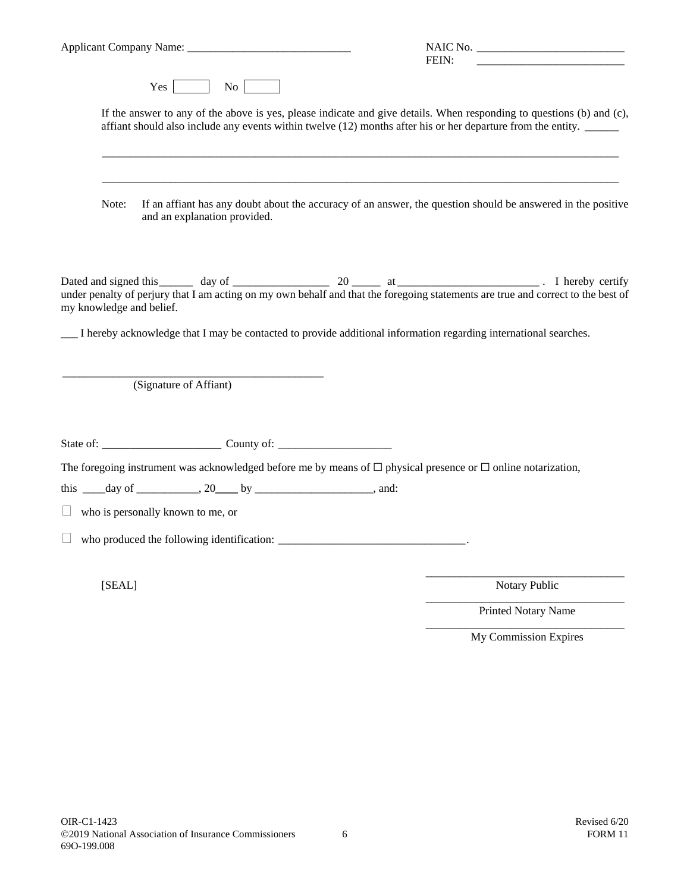|                                                                                                                                                                                                                                          | FEIN:<br><u> 1980 - Jan Barbara, martin da kasar Amerika II.a (j. 1918)</u> |  |
|------------------------------------------------------------------------------------------------------------------------------------------------------------------------------------------------------------------------------------------|-----------------------------------------------------------------------------|--|
| $Yes \t No \t No$                                                                                                                                                                                                                        |                                                                             |  |
| If the answer to any of the above is yes, please indicate and give details. When responding to questions (b) and $(c)$ ,<br>affiant should also include any events within twelve (12) months after his or her departure from the entity. |                                                                             |  |
| If an affiant has any doubt about the accuracy of an answer, the question should be answered in the positive<br>Note:<br>and an explanation provided.                                                                                    |                                                                             |  |
| my knowledge and belief.<br>I hereby acknowledge that I may be contacted to provide additional information regarding international searches.                                                                                             |                                                                             |  |
| (Signature of Affiant)                                                                                                                                                                                                                   |                                                                             |  |
|                                                                                                                                                                                                                                          |                                                                             |  |
| The foregoing instrument was acknowledged before me by means of $\Box$ physical presence or $\Box$ online notarization,                                                                                                                  |                                                                             |  |
| this _____ day of ____________, 20_____ by _____________________, and:                                                                                                                                                                   |                                                                             |  |
| $\Box$<br>who is personally known to me, or                                                                                                                                                                                              |                                                                             |  |
| who produced the following identification:                                                                                                                                                                                               |                                                                             |  |
| [SEAL]                                                                                                                                                                                                                                   | Notary Public<br>Printed Notary Name                                        |  |

My Commission Expires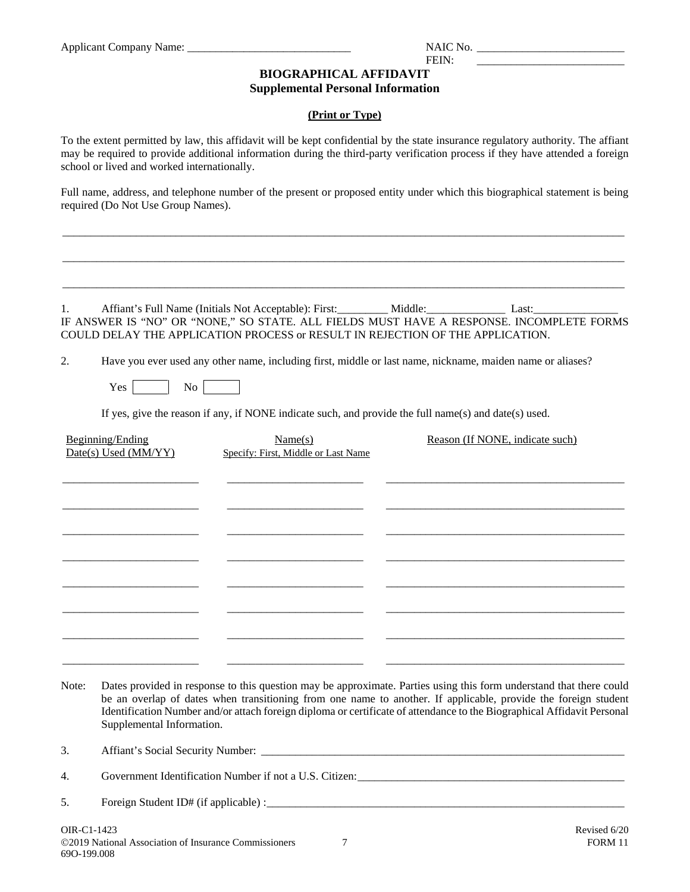$FEN:$ 

# **BIOGRAPHICAL AFFIDAVIT**

#### **Supplemental Personal Information**

#### **(Print or Type)**

To the extent permitted by law, this affidavit will be kept confidential by the state insurance regulatory authority. The affiant may be required to provide additional information during the third-party verification process if they have attended a foreign school or lived and worked internationally.

Full name, address, and telephone number of the present or proposed entity under which this biographical statement is being required (Do Not Use Group Names).

\_\_\_\_\_\_\_\_\_\_\_\_\_\_\_\_\_\_\_\_\_\_\_\_\_\_\_\_\_\_\_\_\_\_\_\_\_\_\_\_\_\_\_\_\_\_\_\_\_\_\_\_\_\_\_\_\_\_\_\_\_\_\_\_\_\_\_\_\_\_\_\_\_\_\_\_\_\_\_\_\_\_\_\_\_\_\_\_\_\_\_\_\_\_\_\_\_\_\_

\_\_\_\_\_\_\_\_\_\_\_\_\_\_\_\_\_\_\_\_\_\_\_\_\_\_\_\_\_\_\_\_\_\_\_\_\_\_\_\_\_\_\_\_\_\_\_\_\_\_\_\_\_\_\_\_\_\_\_\_\_\_\_\_\_\_\_\_\_\_\_\_\_\_\_\_\_\_\_\_\_\_\_\_\_\_\_\_\_\_\_\_\_\_\_\_\_\_\_

\_\_\_\_\_\_\_\_\_\_\_\_\_\_\_\_\_\_\_\_\_\_\_\_\_\_\_\_\_\_\_\_\_\_\_\_\_\_\_\_\_\_\_\_\_\_\_\_\_\_\_\_\_\_\_\_\_\_\_\_\_\_\_\_\_\_\_\_\_\_\_\_\_\_\_\_\_\_\_\_\_\_\_\_\_\_\_\_\_\_\_\_\_\_\_\_\_\_\_

IF ANSWER IS "NO" OR "NONE," SO STATE. ALL FIELDS MUST HAVE A RESPONSE. INCOMPLETE FORMS COULD DELAY THE APPLICATION PROCESS or RESULT IN REJECTION OF THE APPLICATION.

2. Have you ever used any other name, including first, middle or last name, nickname, maiden name or aliases?

1. Affiant's Full Name (Initials Not Acceptable): First: \_\_\_\_\_\_\_\_\_\_ Middle: Last: Last:

 $Yes$   $No$ 

If yes, give the reason if any, if NONE indicate such, and provide the full name(s) and date(s) used.

| Beginning/Ending<br>Date(s) Used (MM/YY) | Name(s)<br>Specify: First, Middle or Last Name | Reason (If NONE, indicate such) |
|------------------------------------------|------------------------------------------------|---------------------------------|
|                                          |                                                |                                 |
|                                          |                                                |                                 |
|                                          |                                                |                                 |
|                                          |                                                |                                 |
|                                          |                                                |                                 |
|                                          |                                                |                                 |

Note: Dates provided in response to this question may be approximate. Parties using this form understand that there could be an overlap of dates when transitioning from one name to another. If applicable, provide the foreign student Identification Number and/or attach foreign diploma or certificate of attendance to the Biographical Affidavit Personal Supplemental Information.

3. Affiant's Social Security Number:

4. Government Identification Number if not a U.S. Citizen:

5. Foreign Student ID# (if applicable) :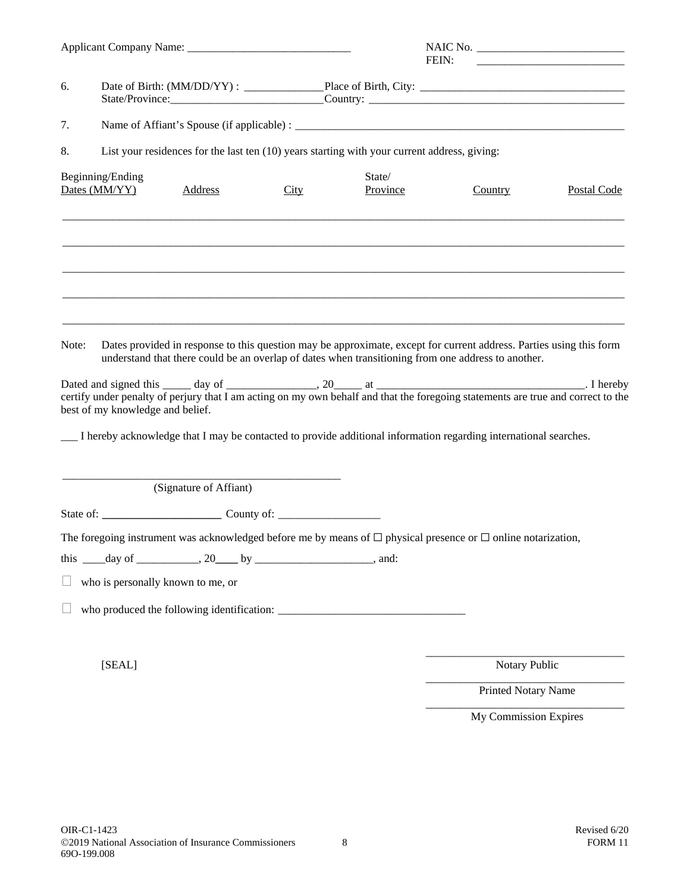|       |                                                                                                                                                                                                                                                               |      | FEIN:              |                       |             |
|-------|---------------------------------------------------------------------------------------------------------------------------------------------------------------------------------------------------------------------------------------------------------------|------|--------------------|-----------------------|-------------|
| 6.    | State/Province: Country: Country:                                                                                                                                                                                                                             |      |                    |                       |             |
| 7.    |                                                                                                                                                                                                                                                               |      |                    |                       |             |
| 8.    | List your residences for the last ten (10) years starting with your current address, giving:                                                                                                                                                                  |      |                    |                       |             |
|       | Beginning/Ending<br>Dates (MM/YY)<br><b>Address</b>                                                                                                                                                                                                           | City | State/<br>Province | Country               | Postal Code |
|       |                                                                                                                                                                                                                                                               |      |                    |                       |             |
| Note: | Dates provided in response to this question may be approximate, except for current address. Parties using this form<br>understand that there could be an overlap of dates when transitioning from one address to another.<br>best of my knowledge and belief. |      |                    |                       |             |
|       | I hereby acknowledge that I may be contacted to provide additional information regarding international searches.                                                                                                                                              |      |                    |                       |             |
|       | (Signature of Affiant)                                                                                                                                                                                                                                        |      |                    |                       |             |
|       | The foregoing instrument was acknowledged before me by means of $\Box$ physical presence or $\Box$ online notarization,<br>this $\_\_\_day\$ of $\_\_\_\_\_$ , 20 $\_\_\_by$ by $\_\_\_\_\_\_\_\_\_$ , and:<br>who is personally known to me, or              |      |                    |                       |             |
|       | [SEAL]                                                                                                                                                                                                                                                        |      |                    | Notary Public         |             |
|       |                                                                                                                                                                                                                                                               |      |                    | Printed Notary Name   |             |
|       |                                                                                                                                                                                                                                                               |      |                    | My Commission Expires |             |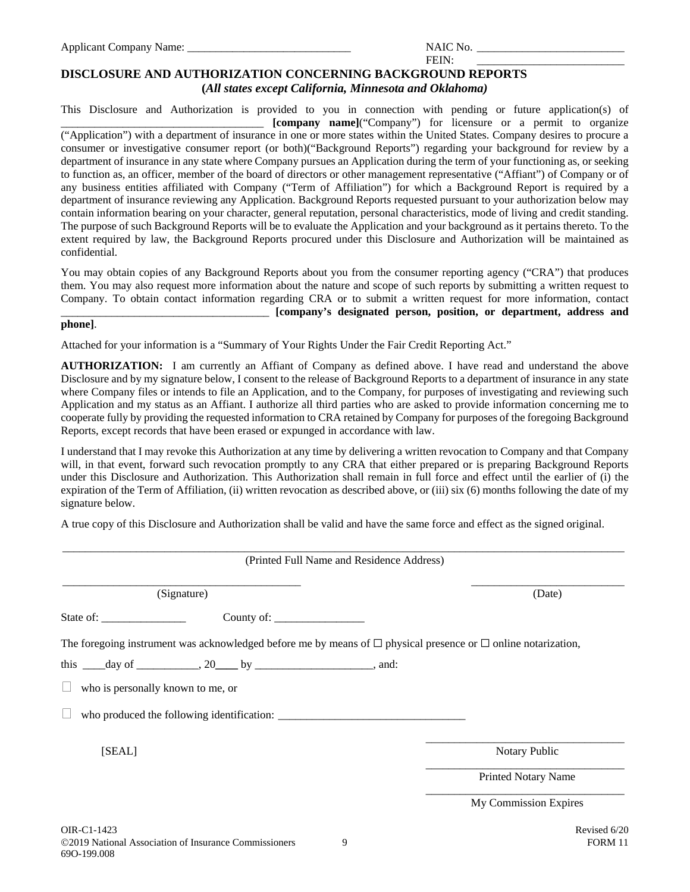| NAIC | No. |
|------|-----|
|      |     |

| <b>FEIN</b>                                                       |  |
|-------------------------------------------------------------------|--|
| <b>DISCLOSURE AND AUTHORIZATION CONCERNING BACKGROUND REPORTS</b> |  |
|                                                                   |  |

**(***All states except California, Minnesota and Oklahoma)*

This Disclosure and Authorization is provided to you in connection with pending or future application(s) of \_\_\_\_\_\_\_\_\_\_\_\_\_\_\_\_\_\_\_\_\_\_\_\_\_\_\_\_\_\_\_\_\_\_\_\_ **[company name]**("Company") for licensure or a permit to organize ("Application") with a department of insurance in one or more states within the United States. Company desires to procure a consumer or investigative consumer report (or both)("Background Reports") regarding your background for review by a department of insurance in any state where Company pursues an Application during the term of your functioning as, or seeking to function as, an officer, member of the board of directors or other management representative ("Affiant") of Company or of any business entities affiliated with Company ("Term of Affiliation") for which a Background Report is required by a department of insurance reviewing any Application. Background Reports requested pursuant to your authorization below may contain information bearing on your character, general reputation, personal characteristics, mode of living and credit standing. The purpose of such Background Reports will be to evaluate the Application and your background as it pertains thereto. To the extent required by law, the Background Reports procured under this Disclosure and Authorization will be maintained as confidential.

You may obtain copies of any Background Reports about you from the consumer reporting agency ("CRA") that produces them. You may also request more information about the nature and scope of such reports by submitting a written request to Company. To obtain contact information regarding CRA or to submit a written request for more information, contact \_\_\_\_\_\_\_\_\_\_\_\_\_\_\_\_\_\_\_\_\_\_\_\_\_\_\_\_\_\_\_\_\_\_\_\_\_ **[company's designated person, position, or department, address and** 

#### **phone]**.

Attached for your information is a "Summary of Your Rights Under the Fair Credit Reporting Act."

**AUTHORIZATION:** I am currently an Affiant of Company as defined above. I have read and understand the above Disclosure and by my signature below, I consent to the release of Background Reports to a department of insurance in any state where Company files or intends to file an Application, and to the Company, for purposes of investigating and reviewing such Application and my status as an Affiant. I authorize all third parties who are asked to provide information concerning me to cooperate fully by providing the requested information to CRA retained by Company for purposes of the foregoing Background Reports, except records that have been erased or expunged in accordance with law.

I understand that I may revoke this Authorization at any time by delivering a written revocation to Company and that Company will, in that event, forward such revocation promptly to any CRA that either prepared or is preparing Background Reports under this Disclosure and Authorization. This Authorization shall remain in full force and effect until the earlier of (i) the expiration of the Term of Affiliation, (ii) written revocation as described above, or (iii) six (6) months following the date of my signature below.

A true copy of this Disclosure and Authorization shall be valid and have the same force and effect as the signed original.

| (Printed Full Name and Residence Address)                                                                                                                                                                                                                                                                                                                                                                            |                            |
|----------------------------------------------------------------------------------------------------------------------------------------------------------------------------------------------------------------------------------------------------------------------------------------------------------------------------------------------------------------------------------------------------------------------|----------------------------|
| (Signature)                                                                                                                                                                                                                                                                                                                                                                                                          | (Date)                     |
| County of: $\frac{1}{\sqrt{1-\frac{1}{2}}}\frac{1}{\sqrt{1-\frac{1}{2}}}\frac{1}{\sqrt{1-\frac{1}{2}}}\frac{1}{\sqrt{1-\frac{1}{2}}}\frac{1}{\sqrt{1-\frac{1}{2}}}\frac{1}{\sqrt{1-\frac{1}{2}}}\frac{1}{\sqrt{1-\frac{1}{2}}}\frac{1}{\sqrt{1-\frac{1}{2}}}\frac{1}{\sqrt{1-\frac{1}{2}}}\frac{1}{\sqrt{1-\frac{1}{2}}}\frac{1}{\sqrt{1-\frac{1}{2}}}\frac{1}{\sqrt{1-\frac{1}{2}}}\frac{1}{\sqrt{1-\frac{1}{2}}}\$ |                            |
| The foregoing instrument was acknowledged before me by means of $\Box$ physical presence or $\Box$ online notarization,                                                                                                                                                                                                                                                                                              |                            |
| this $\_\_\_day\$ of $\_\_\_\_\_\_y$ , 20 by $\_\_\_\_\_\_\_\_\_\_\_x$ , and:                                                                                                                                                                                                                                                                                                                                        |                            |
| $\Box$ who is personally known to me, or                                                                                                                                                                                                                                                                                                                                                                             |                            |
| who produced the following identification:                                                                                                                                                                                                                                                                                                                                                                           |                            |
| [SEAL]                                                                                                                                                                                                                                                                                                                                                                                                               | Notary Public              |
|                                                                                                                                                                                                                                                                                                                                                                                                                      | <b>Printed Notary Name</b> |
|                                                                                                                                                                                                                                                                                                                                                                                                                      | My Commission Expires      |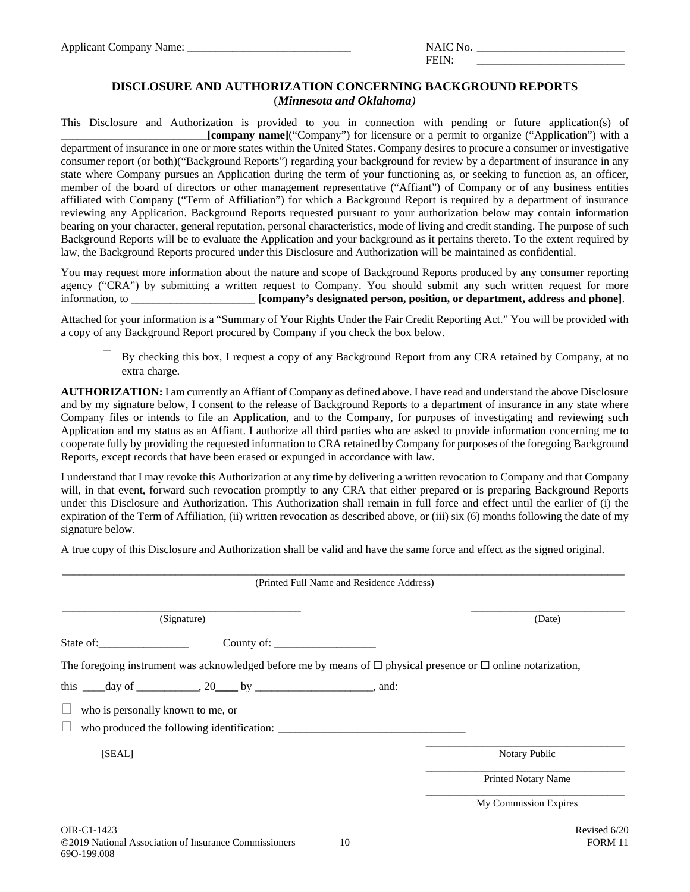| Nο<br><b>NAIC</b> |  |
|-------------------|--|
|-------------------|--|

FEIN:

#### **DISCLOSURE AND AUTHORIZATION CONCERNING BACKGROUND REPORTS** (*Minnesota and Oklahoma)*

This Disclosure and Authorization is provided to you in connection with pending or future application(s) of \_\_\_\_\_\_\_\_\_\_\_\_\_\_\_\_\_\_\_\_\_\_\_\_\_\_**[company name]**("Company") for licensure or a permit to organize ("Application") with a department of insurance in one or more states within the United States. Company desires to procure a consumer or investigative consumer report (or both)("Background Reports") regarding your background for review by a department of insurance in any state where Company pursues an Application during the term of your functioning as, or seeking to function as, an officer, member of the board of directors or other management representative ("Affiant") of Company or of any business entities affiliated with Company ("Term of Affiliation") for which a Background Report is required by a department of insurance reviewing any Application. Background Reports requested pursuant to your authorization below may contain information bearing on your character, general reputation, personal characteristics, mode of living and credit standing. The purpose of such Background Reports will be to evaluate the Application and your background as it pertains thereto. To the extent required by law, the Background Reports procured under this Disclosure and Authorization will be maintained as confidential.

You may request more information about the nature and scope of Background Reports produced by any consumer reporting agency ("CRA") by submitting a written request to Company. You should submit any such written request for more information, to \_\_\_\_\_\_\_\_\_\_\_\_\_\_\_\_\_\_\_\_\_\_ **[company's designated person, position, or department, address and phone]**.

Attached for your information is a "Summary of Your Rights Under the Fair Credit Reporting Act." You will be provided with a copy of any Background Report procured by Company if you check the box below.

 $\Box$  By checking this box, I request a copy of any Background Report from any CRA retained by Company, at no extra charge.

**AUTHORIZATION:** I am currently an Affiant of Company as defined above. I have read and understand the above Disclosure and by my signature below, I consent to the release of Background Reports to a department of insurance in any state where Company files or intends to file an Application, and to the Company, for purposes of investigating and reviewing such Application and my status as an Affiant. I authorize all third parties who are asked to provide information concerning me to cooperate fully by providing the requested information to CRA retained by Company for purposes of the foregoing Background Reports, except records that have been erased or expunged in accordance with law.

I understand that I may revoke this Authorization at any time by delivering a written revocation to Company and that Company will, in that event, forward such revocation promptly to any CRA that either prepared or is preparing Background Reports under this Disclosure and Authorization. This Authorization shall remain in full force and effect until the earlier of (i) the expiration of the Term of Affiliation, (ii) written revocation as described above, or (iii) six (6) months following the date of my signature below.

A true copy of this Disclosure and Authorization shall be valid and have the same force and effect as the signed original.

|                                                                                                                         | (Printed Full Name and Residence Address) |
|-------------------------------------------------------------------------------------------------------------------------|-------------------------------------------|
| (Signature)                                                                                                             | (Date)                                    |
| State of:                                                                                                               |                                           |
| The foregoing instrument was acknowledged before me by means of $\Box$ physical presence or $\Box$ online notarization, |                                           |
| this $\_\_\_day\$ of $\_\_\_\_\_y$ , 20 by $\_\_\_\_\_\_\_\_\_\_x$ , and:                                               |                                           |
| who is personally known to me, or                                                                                       |                                           |
| who produced the following identification:                                                                              |                                           |
| [SEAL]                                                                                                                  | Notary Public                             |
|                                                                                                                         | <b>Printed Notary Name</b>                |
|                                                                                                                         | My Commission Expires                     |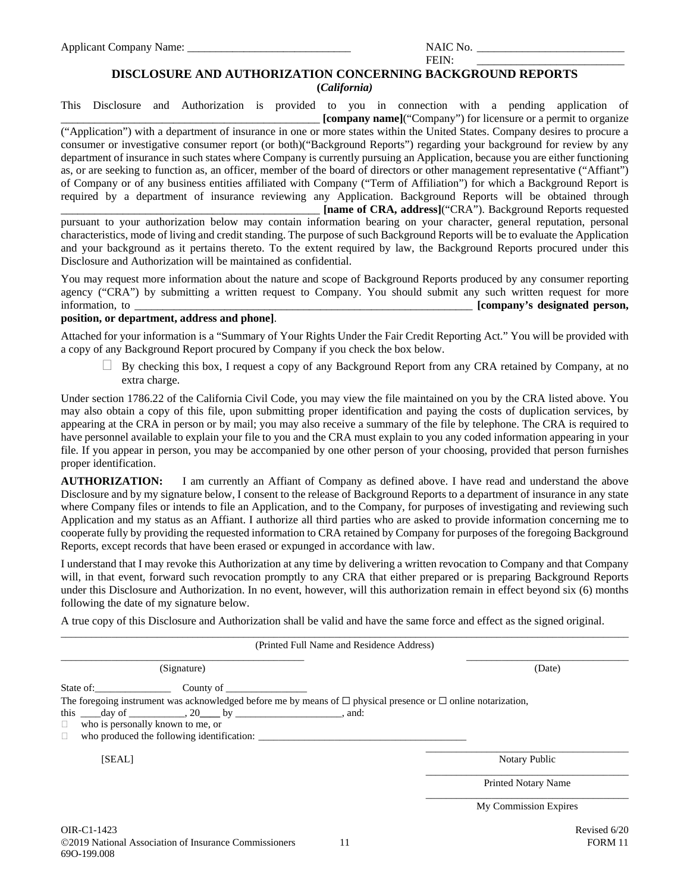2019 National Association of Insurance Commissioners 11 FORM 11 69O-199.008

Applicant Company Name:  $\blacksquare$ 

#### **DISCLOSURE AND AUTHORIZATION CONCERNING BACKGROUND REPORTS**

**(***California)*

This Disclosure and Authorization is provided to you in connection with a pending application of \_\_\_\_\_\_\_\_\_\_\_\_\_\_\_\_\_\_\_\_\_\_\_\_\_\_\_\_\_\_\_\_\_\_\_\_\_\_\_\_\_\_\_\_\_\_ **[company name]**("Company") for licensure or a permit to organize ("Application") with a department of insurance in one or more states within the United States. Company desires to procure a consumer or investigative consumer report (or both)("Background Reports") regarding your background for review by any department of insurance in such states where Company is currently pursuing an Application, because you are either functioning as, or are seeking to function as, an officer, member of the board of directors or other management representative ("Affiant") of Company or of any business entities affiliated with Company ("Term of Affiliation") for which a Background Report is required by a department of insurance reviewing any Application. Background Reports will be obtained through \_\_\_\_\_\_\_\_\_\_\_\_\_\_\_\_\_\_\_\_\_\_\_\_\_\_\_\_\_\_\_\_\_\_\_\_\_\_\_\_\_\_\_\_\_\_ **[name of CRA, address]**("CRA"). Background Reports requested pursuant to your authorization below may contain information bearing on your character, general reputation, personal

characteristics, mode of living and credit standing. The purpose of such Background Reports will be to evaluate the Application and your background as it pertains thereto. To the extent required by law, the Background Reports procured under this Disclosure and Authorization will be maintained as confidential.

You may request more information about the nature and scope of Background Reports produced by any consumer reporting agency ("CRA") by submitting a written request to Company. You should submit any such written request for more information, to **and information** to **a** *n information***, to <b>***i company's designated person, <i>i i <i>i <i>i <i>i <i>i <i>i <i>i <i>i <i>i <i>i <i>i <i>i <i>i <i>i*

#### **position, or department, address and phone]**.

Attached for your information is a "Summary of Your Rights Under the Fair Credit Reporting Act." You will be provided with a copy of any Background Report procured by Company if you check the box below.

 $\Box$  By checking this box, I request a copy of any Background Report from any CRA retained by Company, at no extra charge.

Under section 1786.22 of the California Civil Code, you may view the file maintained on you by the CRA listed above. You may also obtain a copy of this file, upon submitting proper identification and paying the costs of duplication services, by appearing at the CRA in person or by mail; you may also receive a summary of the file by telephone. The CRA is required to have personnel available to explain your file to you and the CRA must explain to you any coded information appearing in your file. If you appear in person, you may be accompanied by one other person of your choosing, provided that person furnishes proper identification.

**AUTHORIZATION:** I am currently an Affiant of Company as defined above. I have read and understand the above Disclosure and by my signature below, I consent to the release of Background Reports to a department of insurance in any state where Company files or intends to file an Application, and to the Company, for purposes of investigating and reviewing such Application and my status as an Affiant. I authorize all third parties who are asked to provide information concerning me to cooperate fully by providing the requested information to CRA retained by Company for purposes of the foregoing Background Reports, except records that have been erased or expunged in accordance with law.

I understand that I may revoke this Authorization at any time by delivering a written revocation to Company and that Company will, in that event, forward such revocation promptly to any CRA that either prepared or is preparing Background Reports under this Disclosure and Authorization. In no event, however, will this authorization remain in effect beyond six (6) months following the date of my signature below.

 $\_$  ,  $\_$  ,  $\_$  ,  $\_$  ,  $\_$  ,  $\_$  ,  $\_$  ,  $\_$  ,  $\_$  ,  $\_$  ,  $\_$  ,  $\_$  ,  $\_$  ,  $\_$  ,  $\_$  ,  $\_$  ,  $\_$  ,  $\_$  ,  $\_$  ,  $\_$  ,  $\_$  ,  $\_$  ,  $\_$  ,  $\_$  ,  $\_$  ,  $\_$  ,  $\_$  ,  $\_$  ,  $\_$  ,  $\_$  ,  $\_$  ,  $\_$  ,  $\_$  ,  $\_$  ,  $\_$  ,  $\_$  ,  $\_$  ,

A true copy of this Disclosure and Authorization shall be valid and have the same force and effect as the signed original.

|                                                                                                                                                                                                                                                                                                                                                                                                                                                                                                                                                | (Printed Full Name and Residence Address) |
|------------------------------------------------------------------------------------------------------------------------------------------------------------------------------------------------------------------------------------------------------------------------------------------------------------------------------------------------------------------------------------------------------------------------------------------------------------------------------------------------------------------------------------------------|-------------------------------------------|
| (Signature)                                                                                                                                                                                                                                                                                                                                                                                                                                                                                                                                    | (Date)                                    |
| State of: County of County of County of County of County of County of County of County of County of County of County of County of County of County of County of County of County of County of County of County of County of Co<br>The foregoing instrument was acknowledged before me by means of $\Box$ physical presence or $\Box$ online notarization,<br>this $\_\_\_day\$ of $\_\_\_\_\_y\$ , 20 by $\_\_\_\_\_\_\_\_\_\_x$ , and:<br>who is personally known to me, or<br>$\Box$<br>who produced the following identification:<br>$\Box$ |                                           |
| [SEAL]                                                                                                                                                                                                                                                                                                                                                                                                                                                                                                                                         | Notary Public                             |
|                                                                                                                                                                                                                                                                                                                                                                                                                                                                                                                                                | <b>Printed Notary Name</b>                |
|                                                                                                                                                                                                                                                                                                                                                                                                                                                                                                                                                | My Commission Expires                     |
| OIR-C1-1423                                                                                                                                                                                                                                                                                                                                                                                                                                                                                                                                    | Revised 6/20                              |

FEIN: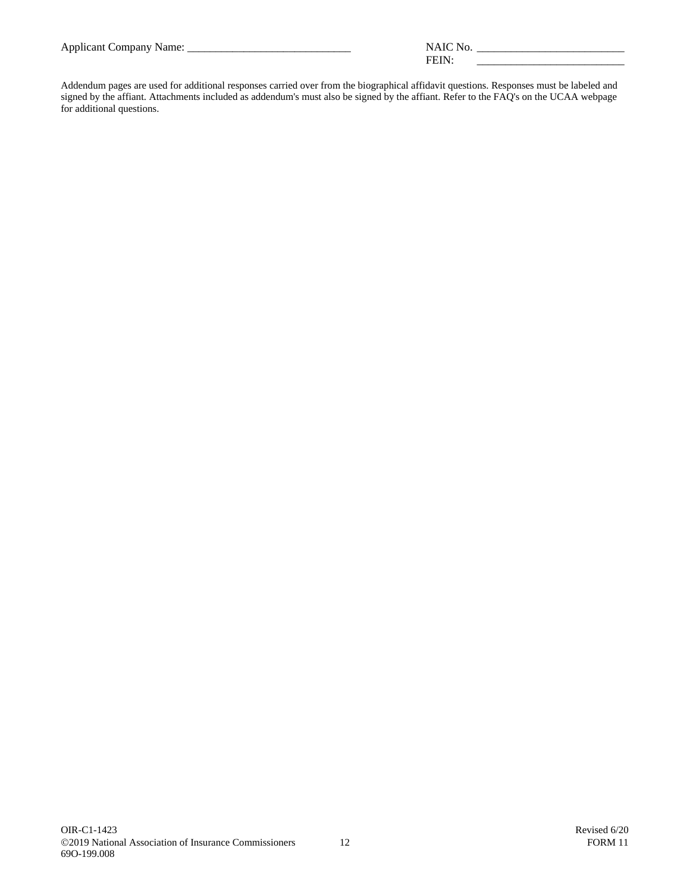| Applicant<br>company<br>таппе. |                              |  |
|--------------------------------|------------------------------|--|
| . .                            | . .<br>_____________________ |  |

Addendum pages are used for additional responses carried over from the biographical affidavit questions. Responses must be labeled and signed by the affiant. Attachments included as addendum's must also be signed by the affiant. Refer to the FAQ's on the UCAA webpage for additional questions.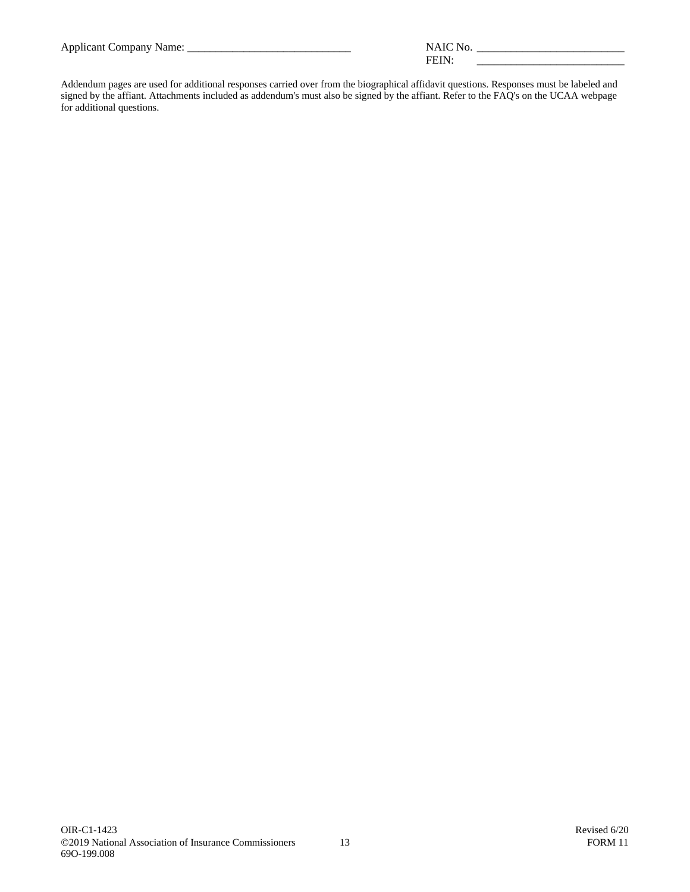| <b>Applicant Company Name:</b> |  |
|--------------------------------|--|
|                                |  |

| Applicant<br>`omnany<br>ame:<br>імиі |                                                                                        |  |
|--------------------------------------|----------------------------------------------------------------------------------------|--|
| . .                                  | . .<br>the contract of the contract of the contract of the contract of the contract of |  |

Addendum pages are used for additional responses carried over from the biographical affidavit questions. Responses must be labeled and signed by the affiant. Attachments included as addendum's must also be signed by the affiant. Refer to the FAQ's on the UCAA webpage for additional questions.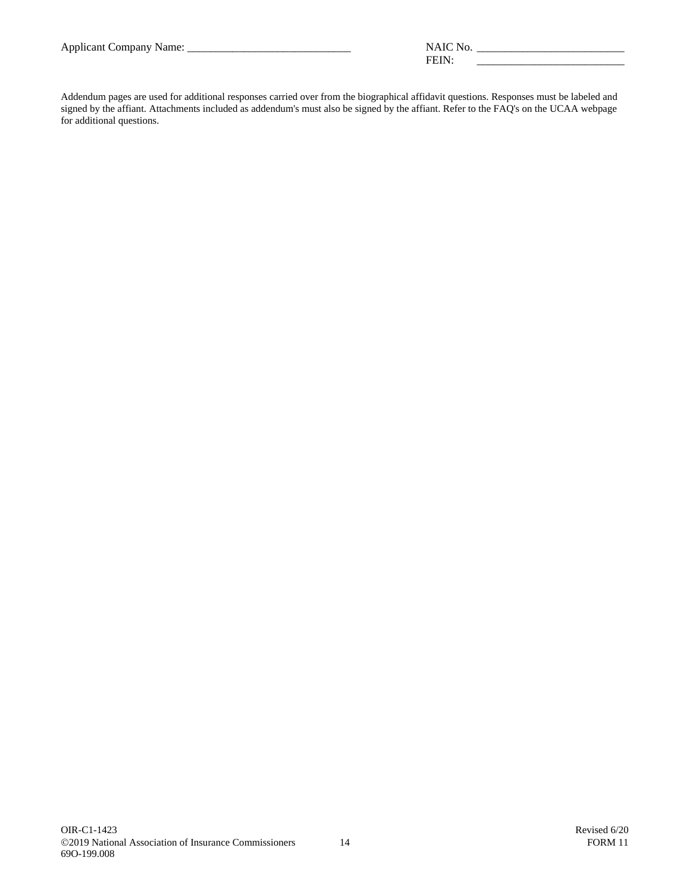|  |  |  | <b>Applicant Company Name:</b> |
|--|--|--|--------------------------------|
|--|--|--|--------------------------------|

| Applicant<br>$\gamma$ mpany<br>чаше.<br>. . | .<br>______________                                    |
|---------------------------------------------|--------------------------------------------------------|
|                                             | ---<br>the contract of the contract of the contract of |

Addendum pages are used for additional responses carried over from the biographical affidavit questions. Responses must be labeled and signed by the affiant. Attachments included as addendum's must also be signed by the affiant. Refer to the FAQ's on the UCAA webpage for additional questions.